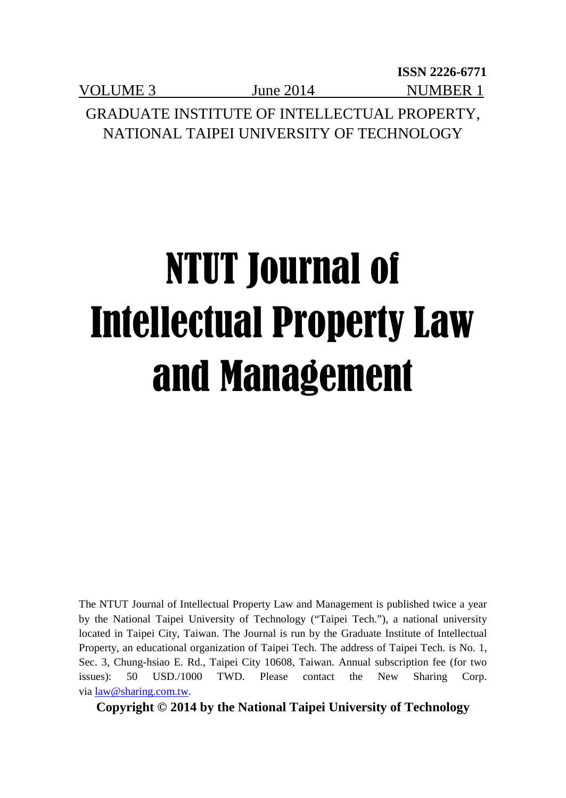**ISSN 2226-6771** VOLUME 3 June 2014 NUMBER 1 GRADUATE INSTITUTE OF INTELLECTUAL PROPERTY,

NATIONAL TAIPEI UNIVERSITY OF TECHNOLOGY

# NTUT Journal of Intellectual Property Law and Management

The NTUT Journal of Intellectual Property Law and Management is published twice a year by the National Taipei University of Technology ("Taipei Tech."), a national university located in Taipei City, Taiwan. The Journal is run by the Graduate Institute of Intellectual Property, an educational organization of Taipei Tech. The address of Taipei Tech. is No. 1, Sec. 3, Chung-hsiao E. Rd., Taipei City 10608, Taiwan. Annual subscription fee (for two issues): 50 USD./1000 TWD. Please contact the New Sharing Corp. vi[a law@sharing.com.tw.](mailto:law@sharing.com.tw)

**Copyright © 2014 by the National Taipei University of Technology**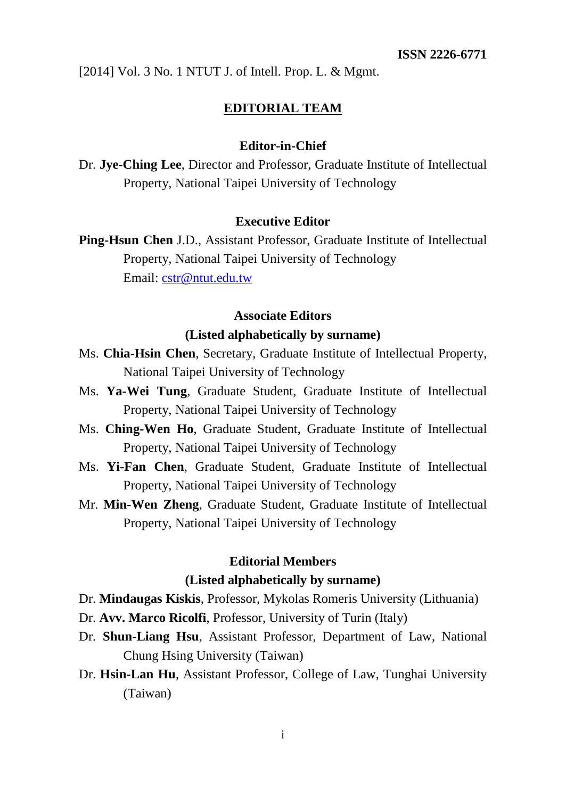### **EDITORIAL TEAM**

### **Editor-in-Chief**

Dr. **Jye-Ching Lee**, Director and Professor, Graduate Institute of Intellectual Property, National Taipei University of Technology

### **Executive Editor**

**Ping-Hsun Chen** J.D., Assistant Professor, Graduate Institute of Intellectual Property, National Taipei University of Technology Email: [cstr@ntut.edu.tw](mailto:cstr@ntut.edu.tw)

### **Associate Editors (Listed alphabetically by surname)**

- Ms. **Chia-Hsin Chen**, Secretary, Graduate Institute of Intellectual Property, National Taipei University of Technology
- Ms. **Ya-Wei Tung**, Graduate Student, Graduate Institute of Intellectual Property, National Taipei University of Technology
- Ms. **Ching-Wen Ho**, Graduate Student, Graduate Institute of Intellectual Property, National Taipei University of Technology
- Ms. **Yi-Fan Chen**, Graduate Student, Graduate Institute of Intellectual Property, National Taipei University of Technology
- Mr. **Min-Wen Zheng**, Graduate Student, Graduate Institute of Intellectual Property, National Taipei University of Technology

### **Editorial Members**

### **(Listed alphabetically by surname)**

- Dr. **Mindaugas Kiskis**, Professor, Mykolas Romeris University (Lithuania)
- Dr. **Avv. Marco Ricolfi**, Professor, University of Turin (Italy)
- Dr. **Shun-Liang Hsu**, Assistant Professor, Department of Law, National Chung Hsing University (Taiwan)
- Dr. **Hsin-Lan Hu**, Assistant Professor, College of Law, Tunghai University (Taiwan)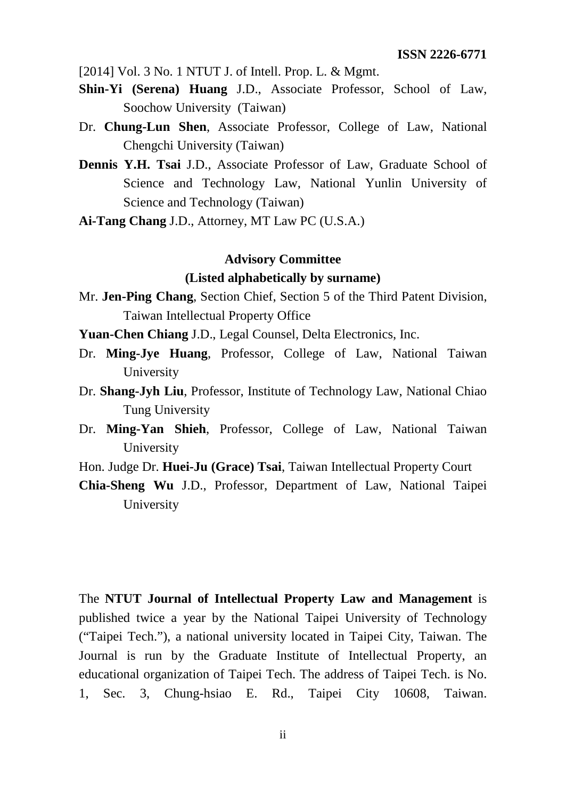- **Shin-Yi (Serena) Huang** J.D., Associate Professor, School of Law, Soochow University (Taiwan)
- Dr. **Chung-Lun Shen**, Associate Professor, College of Law, National Chengchi University (Taiwan)
- **Dennis Y.H. Tsai** J.D., Associate Professor of Law, Graduate School of Science and Technology Law, National Yunlin University of Science and Technology (Taiwan)
- **Ai-Tang Chang** J.D., Attorney, MT Law PC (U.S.A.)

### **Advisory Committee (Listed alphabetically by surname)**

- Mr. **Jen-Ping Chang**, Section Chief, Section 5 of the Third Patent Division, Taiwan Intellectual Property Office
- **Yuan-Chen Chiang** J.D., Legal Counsel, Delta Electronics, Inc.
- Dr. **Ming-Jye Huang**, Professor, College of Law, National Taiwan University
- Dr. **Shang-Jyh Liu**, Professor, Institute of Technology Law, National Chiao Tung University
- Dr. **Ming-Yan Shieh**, Professor, College of Law, National Taiwan University
- Hon. Judge Dr. **Huei-Ju (Grace) Tsai**, Taiwan Intellectual Property Court
- **Chia-Sheng Wu** J.D., Professor, Department of Law, National Taipei University

The **NTUT Journal of Intellectual Property Law and Management** is published twice a year by the National Taipei University of Technology ("Taipei Tech."), a national university located in Taipei City, Taiwan. The Journal is run by the Graduate Institute of Intellectual Property, an educational organization of Taipei Tech. The address of Taipei Tech. is No. 1, Sec. 3, Chung-hsiao E. Rd., Taipei City 10608, Taiwan.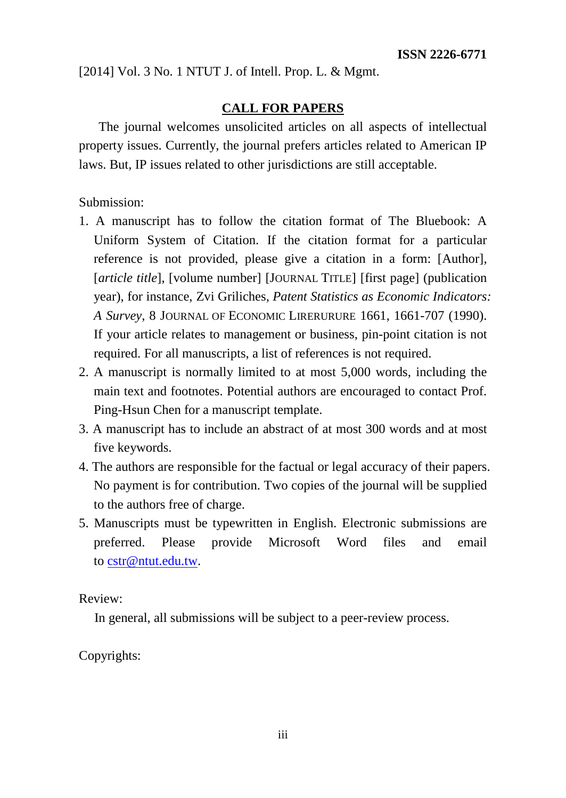### **CALL FOR PAPERS**

The journal welcomes unsolicited articles on all aspects of intellectual property issues. Currently, the journal prefers articles related to American IP laws. But, IP issues related to other jurisdictions are still acceptable.

Submission:

- 1. A manuscript has to follow the citation format of The Bluebook: A Uniform System of Citation. If the citation format for a particular reference is not provided, please give a citation in a form: [Author], [*article title*], [volume number] [JOURNAL TITLE] [first page] (publication year), for instance, Zvi Griliches, *Patent Statistics as Economic Indicators: A Survey*, 8 JOURNAL OF ECONOMIC LIRERURURE 1661, 1661-707 (1990). If your article relates to management or business, pin-point citation is not required. For all manuscripts, a list of references is not required.
- 2. A manuscript is normally limited to at most 5,000 words, including the main text and footnotes. Potential authors are encouraged to contact Prof. Ping-Hsun Chen for a manuscript template.
- 3. A manuscript has to include an abstract of at most 300 words and at most five keywords.
- 4. The authors are responsible for the factual or legal accuracy of their papers. No payment is for contribution. Two copies of the journal will be supplied to the authors free of charge.
- 5. Manuscripts must be typewritten in English. Electronic submissions are preferred. Please provide Microsoft Word files and email to [cstr@ntut.edu.tw.](mailto:cstr@ntut.edu.tw)

Review:

In general, all submissions will be subject to a peer-review process.

Copyrights: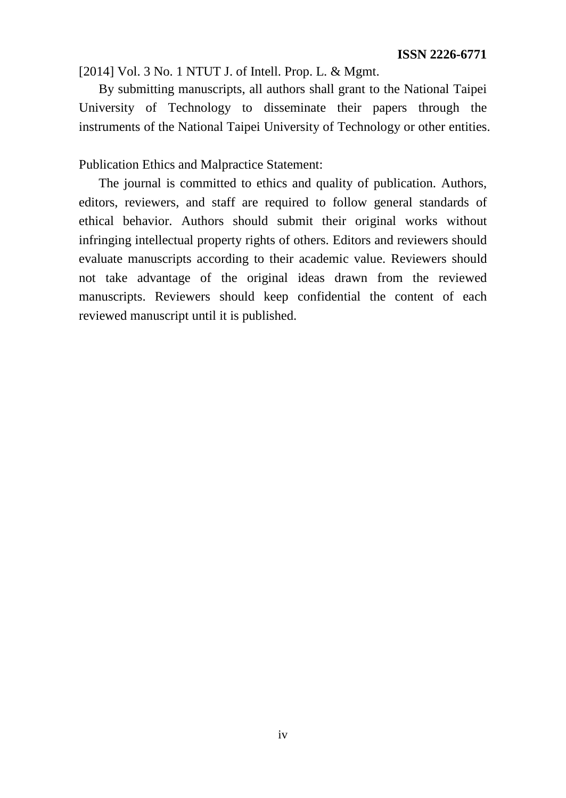By submitting manuscripts, all authors shall grant to the National Taipei University of Technology to disseminate their papers through the instruments of the National Taipei University of Technology or other entities.

Publication Ethics and Malpractice Statement:

The journal is committed to ethics and quality of publication. Authors, editors, reviewers, and staff are required to follow general standards of ethical behavior. Authors should submit their original works without infringing intellectual property rights of others. Editors and reviewers should evaluate manuscripts according to their academic value. Reviewers should not take advantage of the original ideas drawn from the reviewed manuscripts. Reviewers should keep confidential the content of each reviewed manuscript until it is published.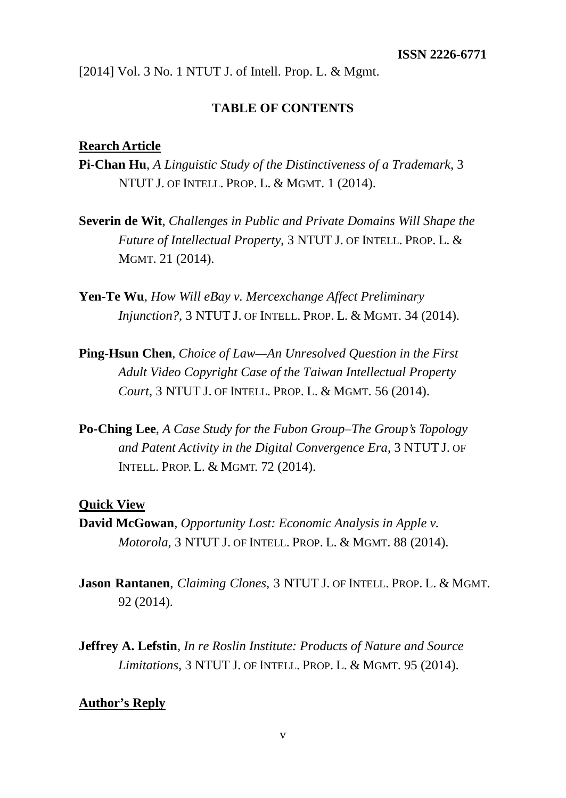### **TABLE OF CONTENTS**

### **Rearch Article**

- **Pi-Chan Hu**, *A Linguistic Study of the Distinctiveness of a Trademark*, 3 NTUT J. OF INTELL. PROP. L. & MGMT. 1 (2014).
- **Severin de Wit**, *Challenges in Public and Private Domains Will Shape the Future of Intellectual Property*, 3 NTUT J. OF INTELL. PROP. L. & MGMT. 21 (2014).
- **Yen-Te Wu**, *How Will eBay v. Mercexchange Affect Preliminary Injunction?*, 3 NTUT J. OF INTELL. PROP. L. & MGMT. 34 (2014).
- **Ping-Hsun Chen**, *Choice of Law—An Unresolved Question in the First Adult Video Copyright Case of the Taiwan Intellectual Property Court*, 3 NTUT J. OF INTELL. PROP. L. & MGMT. 56 (2014).
- **Po-Ching Lee**, *A Case Study for the Fubon Group–The Group's Topology and Patent Activity in the Digital Convergence Era*, 3 NTUT J. OF INTELL. PROP. L. & MGMT. 72 (2014).

### **Quick View**

- **David McGowan**, *Opportunity Lost: Economic Analysis in Apple v. Motorola*, 3 NTUT J. OF INTELL. PROP. L. & MGMT. 88 (2014).
- **Jason Rantanen**, *Claiming Clones*, 3 NTUT J. OF INTELL. PROP. L. & MGMT. 92 (2014).
- **Jeffrey A. Lefstin**, *In re Roslin Institute: Products of Nature and Source Limitations*, 3 NTUT J. OF INTELL. PROP. L. & MGMT. 95 (2014).

### **Author's Reply**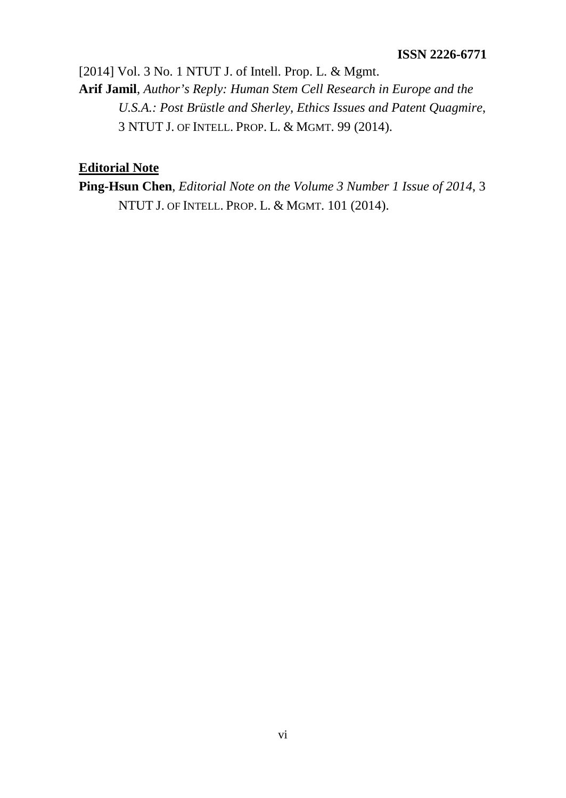[2014] Vol. 3 No. 1 NTUT J. of Intell. Prop. L. & Mgmt. **Arif Jamil**, *Author's Reply: Human Stem Cell Research in Europe and the U.S.A.: Post Brüstle and Sherley, Ethics Issues and Patent Quagmire*, 3 NTUT J. OF INTELL. PROP. L. & MGMT. 99 (2014).

### **Editorial Note**

**Ping-Hsun Chen**, *Editorial Note on the Volume 3 Number 1 Issue of 2014*, 3 NTUT J. OF INTELL. PROP. L. & MGMT. 101 (2014).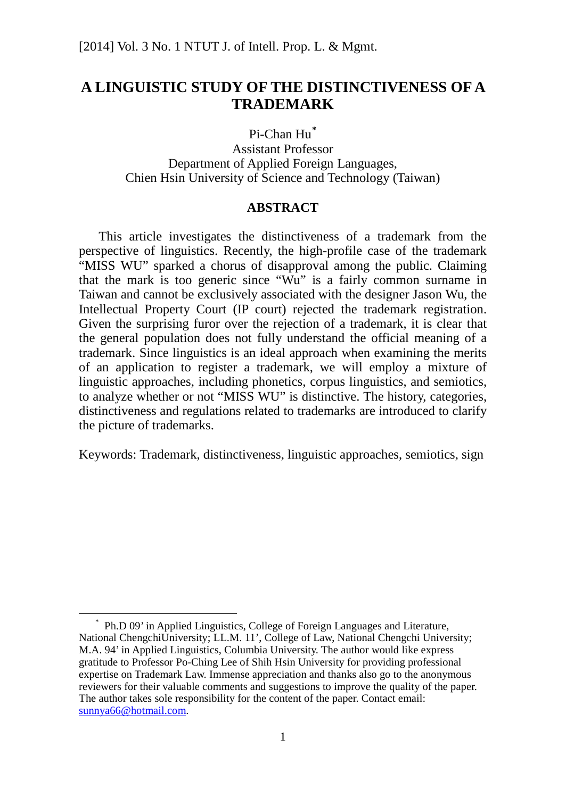### **A LINGUISTIC STUDY OF THE DISTINCTIVENESS OF A TRADEMARK**

Pi-Chan Hu**[\\*](#page-7-0)**

Assistant Professor Department of Applied Foreign Languages, Chien Hsin University of Science and Technology (Taiwan)

### **ABSTRACT**

This article investigates the distinctiveness of a trademark from the perspective of linguistics. Recently, the high-profile case of the trademark "MISS WU" sparked a chorus of disapproval among the public. Claiming that the mark is too generic since "Wu" is a fairly common surname in Taiwan and cannot be exclusively associated with the designer Jason Wu, the Intellectual Property Court (IP court) rejected the trademark registration. Given the surprising furor over the rejection of a trademark, it is clear that the general population does not fully understand the official meaning of a trademark. Since linguistics is an ideal approach when examining the merits of an application to register a trademark, we will employ a mixture of linguistic approaches, including phonetics, corpus linguistics, and semiotics, to analyze whether or not "MISS WU" is distinctive. The history, categories, distinctiveness and regulations related to trademarks are introduced to clarify the picture of trademarks.

Keywords: Trademark, distinctiveness, linguistic approaches, semiotics, sign

<span id="page-7-0"></span> <sup>\*</sup> Ph.D 09' in Applied Linguistics, College of Foreign Languages and Literature, National ChengchiUniversity; LL.M. 11', College of Law, National Chengchi University; M.A. 94' in Applied Linguistics, Columbia University. The author would like express gratitude to Professor Po-Ching Lee of Shih Hsin University for providing professional expertise on Trademark Law. Immense appreciation and thanks also go to the anonymous reviewers for their valuable comments and suggestions to improve the quality of the paper. The author takes sole responsibility for the content of the paper. Contact email: [sunnya66@hotmail.com.](mailto:sunnya66@hotmail.com)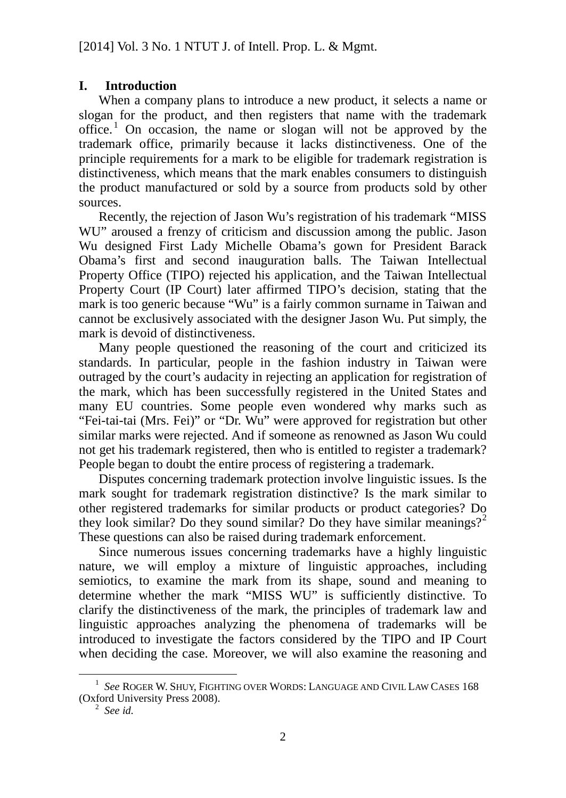### **I. Introduction**

When a company plans to introduce a new product, it selects a name or slogan for the product, and then registers that name with the trademark office. [1](#page-8-0) On occasion, the name or slogan will not be approved by the trademark office, primarily because it lacks distinctiveness. One of the principle requirements for a mark to be eligible for trademark registration is distinctiveness, which means that the mark enables consumers to distinguish the product manufactured or sold by a source from products sold by other sources.

Recently, the rejection of Jason Wu's registration of his trademark "MISS WU" aroused a frenzy of criticism and discussion among the public. Jason Wu designed First Lady Michelle Obama's gown for President Barack Obama's first and second inauguration balls. The Taiwan Intellectual Property Office (TIPO) rejected his application, and the Taiwan Intellectual Property Court (IP Court) later affirmed TIPO's decision, stating that the mark is too generic because "Wu" is a fairly common surname in Taiwan and cannot be exclusively associated with the designer Jason Wu. Put simply, the mark is devoid of distinctiveness.

Many people questioned the reasoning of the court and criticized its standards. In particular, people in the fashion industry in Taiwan were outraged by the court's audacity in rejecting an application for registration of the mark, which has been successfully registered in the United States and many EU countries. Some people even wondered why marks such as "Fei-tai-tai (Mrs. Fei)" or "Dr. Wu" were approved for registration but other similar marks were rejected. And if someone as renowned as Jason Wu could not get his trademark registered, then who is entitled to register a trademark? People began to doubt the entire process of registering a trademark.

Disputes concerning trademark protection involve linguistic issues. Is the mark sought for trademark registration distinctive? Is the mark similar to other registered trademarks for similar products or product categories? Do they look similar? Do they sound similar? Do they have similar meanings?<sup>[2](#page-8-1)</sup> These questions can also be raised during trademark enforcement.

Since numerous issues concerning trademarks have a highly linguistic nature, we will employ a mixture of linguistic approaches, including semiotics, to examine the mark from its shape, sound and meaning to determine whether the mark "MISS WU" is sufficiently distinctive. To clarify the distinctiveness of the mark, the principles of trademark law and linguistic approaches analyzing the phenomena of trademarks will be introduced to investigate the factors considered by the TIPO and IP Court when deciding the case. Moreover, we will also examine the reasoning and

<span id="page-8-1"></span><span id="page-8-0"></span> <sup>1</sup> *See* ROGER W. SHUY, FIGHTING OVER WORDS: LANGUAGE AND CIVIL LAW CASES <sup>168</sup> (Oxford University Press 2008). <sup>2</sup> *See id.*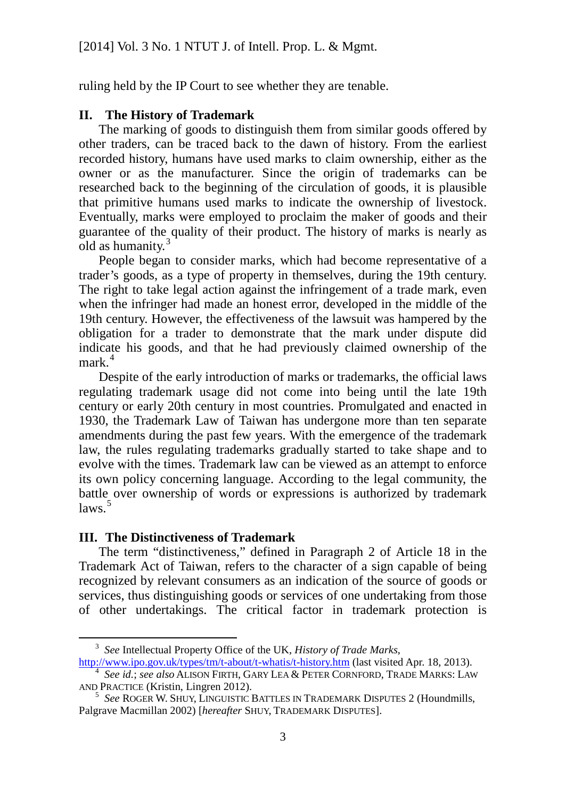ruling held by the IP Court to see whether they are tenable.

### **II. The History of Trademark**

The marking of goods to distinguish them from similar goods offered by other traders, can be traced back to the dawn of history. From the earliest recorded history, humans have used marks to claim ownership, either as the owner or as the manufacturer. Since the origin of trademarks can be researched back to the beginning of the circulation of goods, it is plausible that primitive humans used marks to indicate the ownership of livestock. Eventually, marks were employed to proclaim the maker of goods and their guarantee of the quality of their product. The history of marks is nearly as old as humanity.<sup>[3](#page-9-0)</sup>

People began to consider marks, which had become representative of a trader's goods, as a type of property in themselves, during the 19th century. The right to take legal action against the infringement of a trade mark, even when the infringer had made an honest error, developed in the middle of the 19th century. However, the effectiveness of the lawsuit was hampered by the obligation for a trader to demonstrate that the mark under dispute did indicate his goods, and that he had previously claimed ownership of the mark. [4](#page-9-1)

Despite of the early introduction of marks or trademarks, the official laws regulating trademark usage did not come into being until the late 19th century or early 20th century in most countries. Promulgated and enacted in 1930, the Trademark Law of Taiwan has undergone more than ten separate amendments during the past few years. With the emergence of the trademark law, the rules regulating trademarks gradually started to take shape and to evolve with the times. Trademark law can be viewed as an attempt to enforce its own policy concerning language. According to the legal community, the battle over ownership of words or expressions is authorized by trademark laws. [5](#page-9-2)

### <span id="page-9-3"></span>**III. The Distinctiveness of Trademark**

The term "distinctiveness," defined in Paragraph 2 of Article 18 in the Trademark Act of Taiwan, refers to the character of a sign capable of being recognized by relevant consumers as an indication of the source of goods or services, thus distinguishing goods or services of one undertaking from those of other undertakings. The critical factor in trademark protection is

<span id="page-9-0"></span> <sup>3</sup> *See* Intellectual Property Office of the UK, *History of Trade Marks*,

<http://www.ipo.gov.uk/types/tm/t-about/t-whatis/t-history.htm> (last visited Apr. 18, 2013). <sup>4</sup> *See id.*; *see also* ALISON FIRTH, GARY LEA & PETER CORNFORD, TRADE MARKS: LAW

<span id="page-9-2"></span><span id="page-9-1"></span>AND PRACTICE (Kristin, Lingren 2012). 5 *See* ROGER W. SHUY, LINGUISTIC BATTLES IN TRADEMARK DISPUTES <sup>2</sup> (Houndmills, Palgrave Macmillan 2002) [*hereafter* SHUY, TRADEMARK DISPUTES].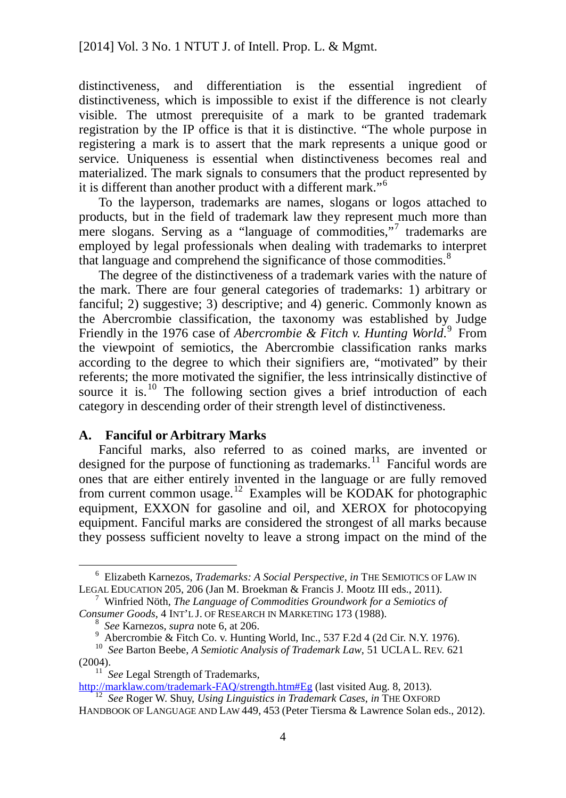distinctiveness, and differentiation is the essential ingredient of distinctiveness, which is impossible to exist if the difference is not clearly visible. The utmost prerequisite of a mark to be granted trademark registration by the IP office is that it is distinctive. "The whole purpose in registering a mark is to assert that the mark represents a unique good or service. Uniqueness is essential when distinctiveness becomes real and materialized. The mark signals to consumers that the product represented by it is different than another product with a different mark."<sup>[6](#page-10-0)</sup>

To the layperson, trademarks are names, slogans or logos attached to products, but in the field of trademark law they represent much more than mere slogans. Serving as a "language of commodities,"<sup>[7](#page-10-1)</sup> trademarks are employed by legal professionals when dealing with trademarks to interpret that language and comprehend the significance of those commodities.<sup>[8](#page-10-2)</sup>

The degree of the distinctiveness of a trademark varies with the nature of the mark. There are four general categories of trademarks: 1) arbitrary or fanciful; 2) suggestive; 3) descriptive; and 4) generic. Commonly known as the Abercrombie classification, the taxonomy was established by Judge Friendly in the 1[9](#page-10-3)76 case of *Abercrombie & Fitch v. Hunting World*.<sup>9</sup> From the viewpoint of semiotics, the Abercrombie classification ranks marks according to the degree to which their signifiers are, "motivated" by their referents; the more motivated the signifier, the less intrinsically distinctive of source it is.<sup>[10](#page-10-4)</sup> The following section gives a brief introduction of each category in descending order of their strength level of distinctiveness.

### **A. Fanciful or Arbitrary Marks**

Fanciful marks, also referred to as coined marks, are invented or designed for the purpose of functioning as trademarks.<sup>[11](#page-10-5)</sup> Fanciful words are ones that are either entirely invented in the language or are fully removed from current common usage.<sup>[12](#page-10-6)</sup> Examples will be KODAK for photographic equipment, EXXON for gasoline and oil, and XEROX for photocopying equipment. Fanciful marks are considered the strongest of all marks because they possess sufficient novelty to leave a strong impact on the mind of the

<span id="page-10-5"></span><span id="page-10-4"></span><span id="page-10-3"></span>(2004).<br><sup>11</sup> *See* Legal Strength of Trademarks,<br>http://marklaw.com/trademark-FAQ/strength.htm#Eg (last visited Aug. 8, 2013). <sup>12</sup> See Roger W. Shuy, *Using Linguistics in Trademark Cases, in* THE OXFORD

<span id="page-10-0"></span><sup>&</sup>lt;sup>6</sup> Elizabeth Karnezos, *Trademarks: A Social Perspective*, *in* THE SEMIOTICS OF LAW IN LEGAL EDUCATION 205, 206 (Jan M. Broekman & Francis J. Mootz III eds., 2011).

<span id="page-10-1"></span><sup>&</sup>lt;sup>7</sup> Winfried Nöth, *The Language of Commodities Groundwork for a Semiotics of Consumer Goods*, 4 INT'L J. OF RESEARCH IN MARKETING 173 (1988).

<span id="page-10-2"></span><sup>&</sup>lt;sup>8</sup> See Karnezos, *supra* note 6, at 206.<br>
<sup>9</sup> Abercrombie & Fitch Co. v. Hunting World, Inc., 537 F.2d 4 (2d Cir. N.Y. 1976).<br>
<sup>10</sup> See Barton Beebe, *A Semiotic Analysis of Trademark Law*, 51 UCLAL. REV. 621

<span id="page-10-6"></span>HANDBOOK OF LANGUAGE AND LAW 449, 453 (Peter Tiersma & Lawrence Solan eds., 2012).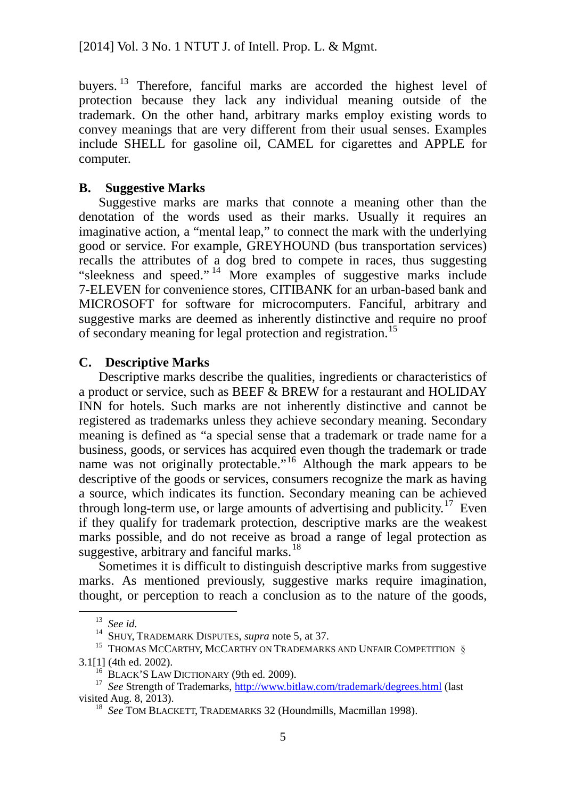buyers.<sup>[13](#page-11-0)</sup> Therefore, fanciful marks are accorded the highest level of protection because they lack any individual meaning outside of the trademark. On the other hand, arbitrary marks employ existing words to convey meanings that are very different from their usual senses. Examples include SHELL for gasoline oil, CAMEL for cigarettes and APPLE for computer.

### **B. Suggestive Marks**

Suggestive marks are marks that connote a meaning other than the denotation of the words used as their marks. Usually it requires an imaginative action, a "mental leap," to connect the mark with the underlying good or service. For example, GREYHOUND (bus transportation services) recalls the attributes of a dog bred to compete in races, thus suggesting "sleekness and speed." [14](#page-11-1) More examples of suggestive marks include 7-ELEVEN for convenience stores, CITIBANK for an urban-based bank and MICROSOFT for software for microcomputers. Fanciful, arbitrary and suggestive marks are deemed as inherently distinctive and require no proof of secondary meaning for legal protection and registration. [15](#page-11-2)

### **C. Descriptive Marks**

Descriptive marks describe the qualities, ingredients or characteristics of a product or service, such as BEEF & BREW for a restaurant and HOLIDAY INN for hotels. Such marks are not inherently distinctive and cannot be registered as trademarks unless they achieve secondary meaning. Secondary meaning is defined as "a special sense that a trademark or trade name for a business, goods, or services has acquired even though the trademark or trade name was not originally protectable."<sup>[16](#page-11-3)</sup> Although the mark appears to be descriptive of the goods or services, consumers recognize the mark as having a source, which indicates its function. Secondary meaning can be achieved through long-term use, or large amounts of advertising and publicity.<sup>[17](#page-11-4)</sup> Even if they qualify for trademark protection, descriptive marks are the weakest marks possible, and do not receive as broad a range of legal protection as suggestive, arbitrary and fanciful marks.<sup>[18](#page-11-5)</sup>

Sometimes it is difficult to distinguish descriptive marks from suggestive marks. As mentioned previously, suggestive marks require imagination, thought, or perception to reach a conclusion as to the nature of the goods,

<sup>13</sup> *See id.* <sup>14</sup> SHUY, TRADEMARK DISPUTES, *supra* note [5,](#page-9-3) at 37.

<span id="page-11-0"></span> $^{15}$  THOMAS MCCARTHY, MCCARTHY ON TRADEMARKS AND UNFAIR COMPETITION  $\,$ 

<span id="page-11-5"></span><span id="page-11-4"></span><span id="page-11-3"></span><span id="page-11-2"></span><span id="page-11-1"></span><sup>3.1[1] (4</sup>th ed. 2002).<br><sup>16</sup> BLACK'S LAW DICTIONARY (9th ed. 2009).<br><sup>17</sup> *See* Strength of Trademarks, <u>http://www.bitlaw.com/trademark/degrees.html</u> (last<br>visited Aug. 8, 2013).

<sup>&</sup>lt;sup>18</sup> See TOM BLACKETT, TRADEMARKS 32 (Houndmills, Macmillan 1998).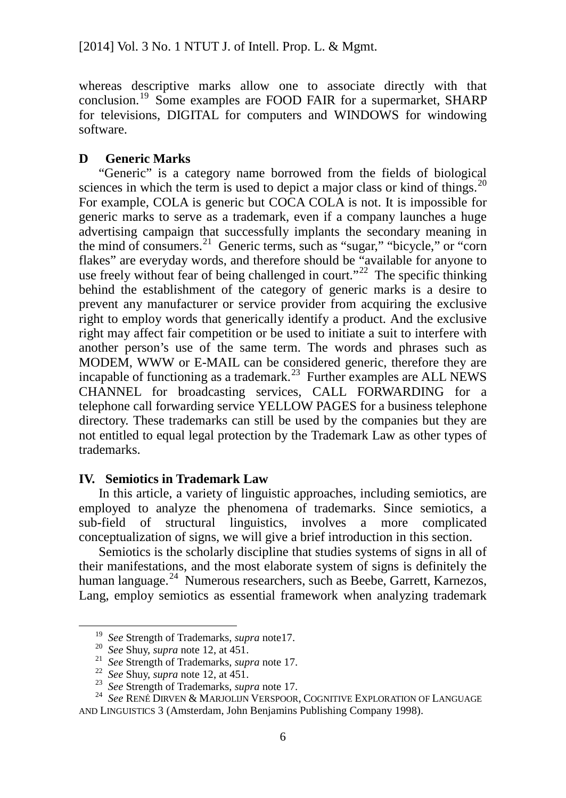whereas descriptive marks allow one to associate directly with that conclusion.<sup>[19](#page-12-0)</sup> Some examples are FOOD FAIR for a supermarket, SHARP for televisions, DIGITAL for computers and WINDOWS for windowing software.

### **D Generic Marks**

"Generic" is a category name borrowed from the fields of biological sciences in which the term is used to depict a major class or kind of things.<sup>[20](#page-12-1)</sup> For example, COLA is generic but COCA COLA is not. It is impossible for generic marks to serve as a trademark, even if a company launches a huge advertising campaign that successfully implants the secondary meaning in the mind of consumers. [21](#page-12-2) Generic terms, such as "sugar," "bicycle," or "corn flakes" are everyday words, and therefore should be "available for anyone to use freely without fear of being challenged in court."<sup>[22](#page-12-3)</sup> The specific thinking behind the establishment of the category of generic marks is a desire to prevent any manufacturer or service provider from acquiring the exclusive right to employ words that generically identify a product. And the exclusive right may affect fair competition or be used to initiate a suit to interfere with another person's use of the same term. The words and phrases such as MODEM, WWW or E-MAIL can be considered generic, therefore they are incapable of functioning as a trademark. [23](#page-12-4) Further examples are ALL NEWS CHANNEL for broadcasting services, CALL FORWARDING for a telephone call forwarding service YELLOW PAGES for a business telephone directory. These trademarks can still be used by the companies but they are not entitled to equal legal protection by the Trademark Law as other types of trademarks.

### **IV. Semiotics in Trademark Law**

In this article, a variety of linguistic approaches, including semiotics, are employed to analyze the phenomena of trademarks. Since semiotics, a sub-field of structural linguistics, involves a more complicated conceptualization of signs, we will give a brief introduction in this section.

Semiotics is the scholarly discipline that studies systems of signs in all of their manifestations, and the most elaborate system of signs is definitely the human language.<sup>[24](#page-12-5)</sup> Numerous researchers, such as Beebe, Garrett, Karnezos, Lang, employ semiotics as essential framework when analyzing trademark

<span id="page-12-5"></span>

<span id="page-12-4"></span><span id="page-12-3"></span><span id="page-12-2"></span><span id="page-12-1"></span><span id="page-12-0"></span><sup>&</sup>lt;sup>19</sup> See Strength of Trademarks, *supra* note17.<br>
<sup>20</sup> See Shuy, *supra* note 12, at 451.<br>
<sup>21</sup> See Strength of Trademarks, *supra* note 17.<br>
<sup>22</sup> See Strength of Trademarks, *supra* note 17.<br>
<sup>23</sup> See Strength of Tradema AND LINGUISTICS 3 (Amsterdam, John Benjamins Publishing Company 1998).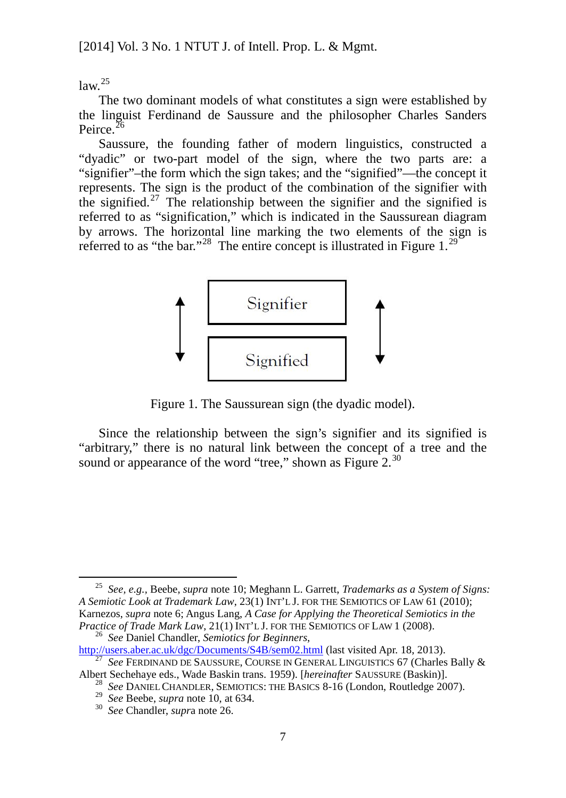<span id="page-13-6"></span> $law.<sup>25</sup>$  $law.<sup>25</sup>$  $law.<sup>25</sup>$ 

The two dominant models of what constitutes a sign were established by the linguist Ferdinand de Saussure and the philosopher Charles Sanders Peirce.<sup>[26](#page-13-1)</sup>

Saussure, the founding father of modern linguistics, constructed a "dyadic" or two-part model of the sign, where the two parts are: a "signifier"–the form which the sign takes; and the "signified"—the concept it represents. The sign is the product of the combination of the signifier with the signified.<sup>[27](#page-13-2)</sup> The relationship between the signifier and the signified is referred to as "signification," which is indicated in the Saussurean diagram by arrows. The horizontal line marking the two elements of the sign is referred to as "the bar."<sup>[28](#page-13-3)</sup> The entire concept is illustrated in Figure 1.<sup>[29](#page-13-4)</sup>



Figure 1. The Saussurean sign (the dyadic model).

Since the relationship between the sign's signifier and its signified is "arbitrary," there is no natural link between the concept of a tree and the sound or appearance of the word "tree," shown as Figure  $2.^{30}$  $2.^{30}$  $2.^{30}$ 

<span id="page-13-0"></span> <sup>25</sup> *See, e.g.,* Beebe, *supra* note 10; Meghann L. Garrett, *Trademarks as a System of Signs: A Semiotic Look at Trademark Law*, 23(1) INT'L J. FOR THE SEMIOTICS OF LAW 61 (2010); Karnezos, *supra* note 6; Angus Lang, *A Case for Applying the Theoretical Semiotics in the Practice of Trade Mark Law*, 21(1) INT'L J. FOR THE SEMIOTICS OF LAW 1 (2008).<br><sup>26</sup> *See* Daniel Chandler, *Semiotics for Beginners*,<br><u>http://users.aber.ac.uk/dgc/Documents/S4B/sem02.html</u> (last visited Apr. 18, 2013).

<span id="page-13-1"></span>

<span id="page-13-5"></span><span id="page-13-4"></span><span id="page-13-3"></span><span id="page-13-2"></span> $\frac{27}{27}$  See FERDINAND DE SAUSSURE, COURSE IN GENERAL LINGUISTICS 67 (Charles Bally & Albert Sechehaye eds., Wade Baskin trans. 1959). [*hereinafter SAUSSURE* (Baskin)].

<sup>&</sup>lt;sup>28</sup> See DANIEL CHANDLER, SEMIOTICS: THE BASICS 8-16 (London, Routledge 2007).<br><sup>29</sup> See Beebe, *supra* note 10, at 634.<br><sup>30</sup> See Chandler, *supra* note 26.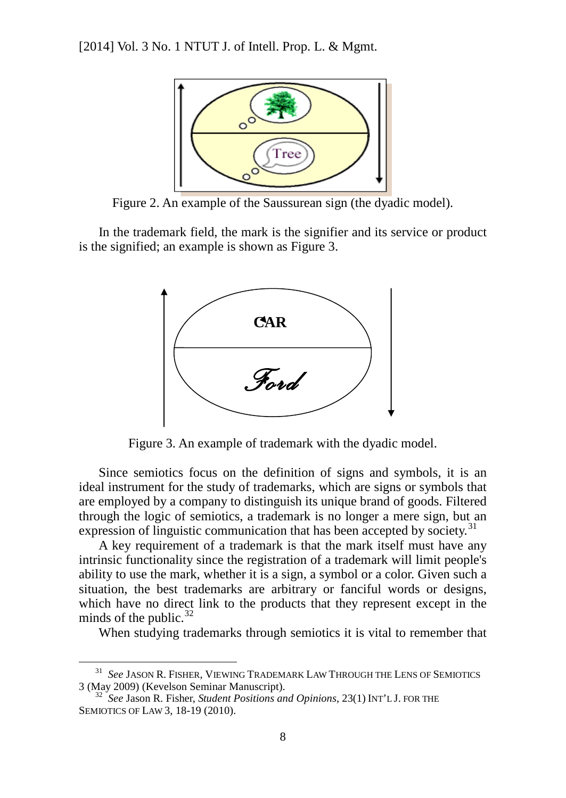

Figure 2. An example of the Saussurean sign (the dyadic model).

In the trademark field, the mark is the signifier and its service or product is the signified; an example is shown as Figure 3.



Figure 3. An example of trademark with the dyadic model.

Since semiotics focus on the definition of signs and symbols, it is an ideal instrument for the study of trademarks, which are signs or symbols that are employed by a company to distinguish its unique brand of goods. Filtered through the logic of semiotics, a trademark is no longer a mere sign, but an expression of linguistic communication that has been accepted by society.<sup>[31](#page-14-0)</sup>

A key requirement of a trademark is that the mark itself must have any intrinsic functionality since the registration of a trademark will limit people's ability to use the mark, whether it is a sign, a symbol or a color. Given such a situation, the best trademarks are arbitrary or fanciful words or designs, which have no direct link to the products that they represent except in the minds of the public. $32$ 

When studying trademarks through semiotics it is vital to remember that

<span id="page-14-0"></span><sup>&</sup>lt;sup>31</sup> *See* JASON R. FISHER, VIEWING TRADEMARK LAW THROUGH THE LENS OF SEMIOTICS 3 (May 2009) (Kevelson Seminar Manuscript).

<span id="page-14-1"></span><sup>3 (</sup>May 2009) (Kevelson Seminar Manuscript). <sup>32</sup> *See* Jason R. Fisher, *Student Positions and Opinions*, 23(1) INT'L J. FOR THE SEMIOTICS OF LAW 3, 18-19 (2010).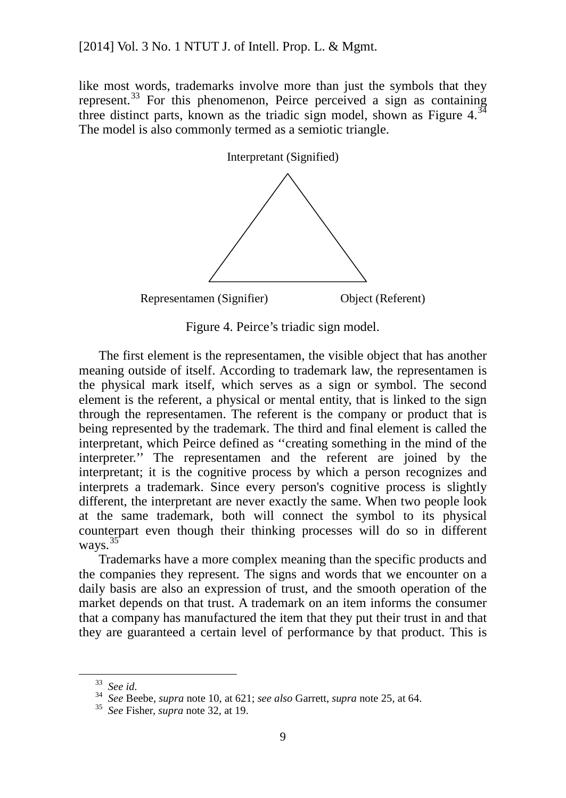like most words, trademarks involve more than just the symbols that they represent.<sup>[33](#page-15-0)</sup> For this phenomenon, Peirce perceived a sign as containing three distinct parts, known as the triadic sign model, shown as Figure  $4.^{34}$  $4.^{34}$  $4.^{34}$ The model is also commonly termed as a semiotic triangle.



Figure 4. Peirce's triadic sign model.

The first element is the representamen, the visible object that has another meaning outside of itself. According to trademark law, the representamen is the physical mark itself, which serves as a sign or symbol. The second element is the referent, a physical or mental entity, that is linked to the sign through the representamen. The referent is the company or product that is being represented by the trademark. The third and final element is called the interpretant, which Peirce defined as ''creating something in the mind of the interpreter.'' The representamen and the referent are joined by the interpretant; it is the cognitive process by which a person recognizes and interprets a trademark. Since every person's cognitive process is slightly different, the interpretant are never exactly the same. When two people look at the same trademark, both will connect the symbol to its physical counterpart even though their thinking processes will do so in different ways. [35](#page-15-2)

Trademarks have a more complex meaning than the specific products and the companies they represent. The signs and words that we encounter on a daily basis are also an expression of trust, and the smooth operation of the market depends on that trust. A trademark on an item informs the consumer that a company has manufactured the item that they put their trust in and that they are guaranteed a certain level of performance by that product. This is

<span id="page-15-1"></span><span id="page-15-0"></span><sup>33</sup> *See id.* <sup>34</sup> *See* Beebe, *supra* note 10, at 621; *see also* Garrett, *supra* not[e 25,](#page-13-6) at 64. <sup>35</sup> *See* Fisher, *supra* note 32, at 19.

<span id="page-15-2"></span>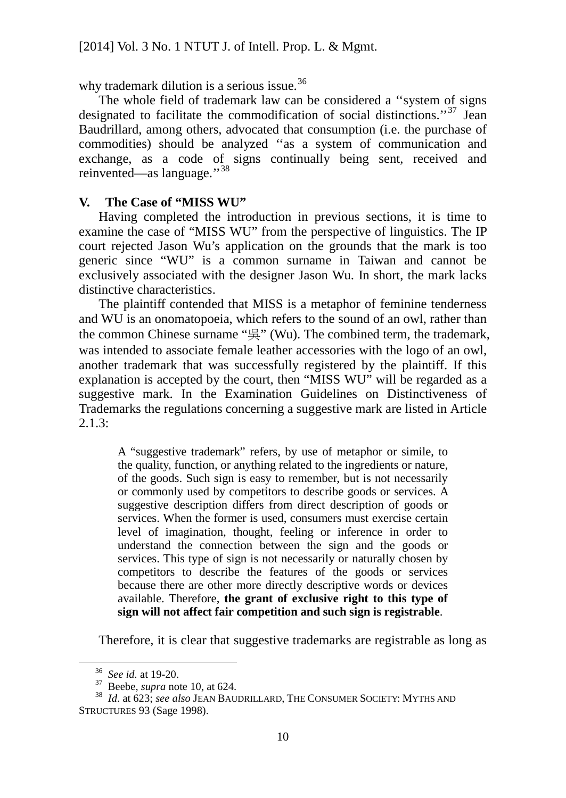why trademark dilution is a serious issue.<sup>[36](#page-16-0)</sup>

The whole field of trademark law can be considered a ''system of signs designated to facilitate the commodification of social distinctions."<sup>[37](#page-16-1)</sup> Jean Baudrillard, among others, advocated that consumption (i.e. the purchase of commodities) should be analyzed ''as a system of communication and exchange, as a code of signs continually being sent, received and reinvented—as language."<sup>[38](#page-16-2)</sup>

### **V. The Case of "MISS WU"**

Having completed the introduction in previous sections, it is time to examine the case of "MISS WU" from the perspective of linguistics. The IP court rejected Jason Wu's application on the grounds that the mark is too generic since "WU" is a common surname in Taiwan and cannot be exclusively associated with the designer Jason Wu. In short, the mark lacks distinctive characteristics.

The plaintiff contended that MISS is a metaphor of feminine tenderness and WU is an onomatopoeia, which refers to the sound of an owl, rather than the common Chinese surname "吳" (Wu). The combined term, the trademark, was intended to associate female leather accessories with the logo of an owl, another trademark that was successfully registered by the plaintiff. If this explanation is accepted by the court, then "MISS WU" will be regarded as a suggestive mark. In the Examination Guidelines on Distinctiveness of Trademarks the regulations concerning a suggestive mark are listed in Article  $2.1.3:$ 

A "suggestive trademark" refers, by use of metaphor or simile, to the quality, function, or anything related to the ingredients or nature, of the goods. Such sign is easy to remember, but is not necessarily or commonly used by competitors to describe goods or services. A suggestive description differs from direct description of goods or services. When the former is used, consumers must exercise certain level of imagination, thought, feeling or inference in order to understand the connection between the sign and the goods or services. This type of sign is not necessarily or naturally chosen by competitors to describe the features of the goods or services because there are other more directly descriptive words or devices available. Therefore, **the grant of exclusive right to this type of sign will not affect fair competition and such sign is registrable**.

Therefore, it is clear that suggestive trademarks are registrable as long as

<span id="page-16-2"></span><span id="page-16-1"></span><span id="page-16-0"></span><sup>36</sup> *See id.* at 19-20. <sup>37</sup> Beebe, *supra* note 10, at 624. <sup>38</sup> *Id*. at 623; *see also* JEAN BAUDRILLARD, THE CONSUMER SOCIETY: MYTHS AND STRUCTURES 93 (Sage 1998).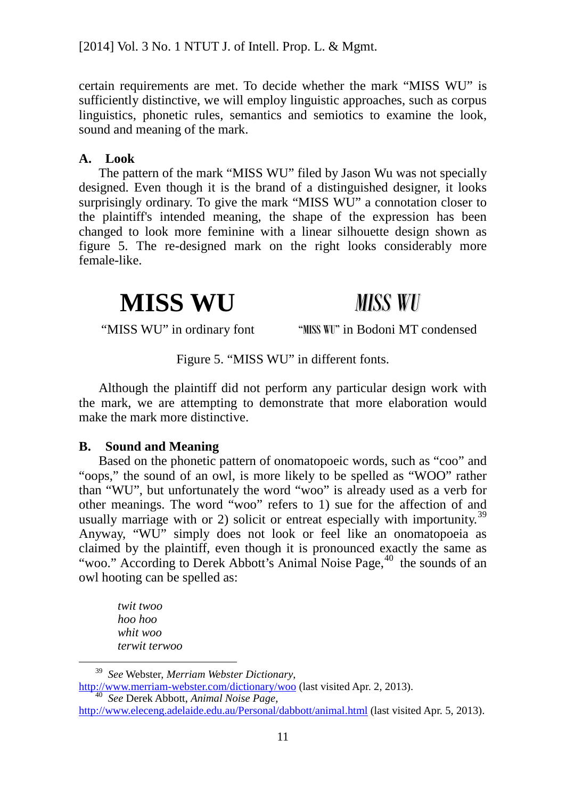certain requirements are met. To decide whether the mark "MISS WU" is sufficiently distinctive, we will employ linguistic approaches, such as corpus linguistics, phonetic rules, semantics and semiotics to examine the look, sound and meaning of the mark.

### **A. Look**

The pattern of the mark "MISS WU" filed by Jason Wu was not specially designed. Even though it is the brand of a distinguished designer, it looks surprisingly ordinary. To give the mark "MISS WU" a connotation closer to the plaintiff's intended meaning, the shape of the expression has been changed to look more feminine with a linear silhouette design shown as figure 5. The re-designed mark on the right looks considerably more female-like.

## **MISS WU** *MISS WU*

"MISS WU" in ordinary font "MISS WU" in Bodoni MT condensed

### Figure 5. "MISS WU" in different fonts.

Although the plaintiff did not perform any particular design work with the mark, we are attempting to demonstrate that more elaboration would make the mark more distinctive.

### **B. Sound and Meaning**

Based on the phonetic pattern of onomatopoeic words, such as "coo" and "oops," the sound of an owl, is more likely to be spelled as "WOO" rather than "WU", but unfortunately the word "woo" is already used as a verb for other meanings. The word "woo" refers to 1) sue for the affection of and usually marriage with or 2) solicit or entreat especially with importunity.<sup>[39](#page-17-0)</sup> Anyway, "WU" simply does not look or feel like an onomatopoeia as claimed by the plaintiff, even though it is pronounced exactly the same as "woo." According to Derek Abbott's Animal Noise Page,<sup>[40](#page-17-1)</sup> the sounds of an owl hooting can be spelled as:

*twit twoo hoo hoo whit woo terwit terwoo*

<span id="page-17-0"></span> 39 *See* Webster, *Merriam Webster Dictionary*, <http://www.merriam-webster.com/dictionary/woo> (last visited Apr. 2, 2013). <sup>40</sup> *See* Derek Abbott, *Animal Noise Page*,

<span id="page-17-1"></span><http://www.eleceng.adelaide.edu.au/Personal/dabbott/animal.html> (last visited Apr. 5, 2013).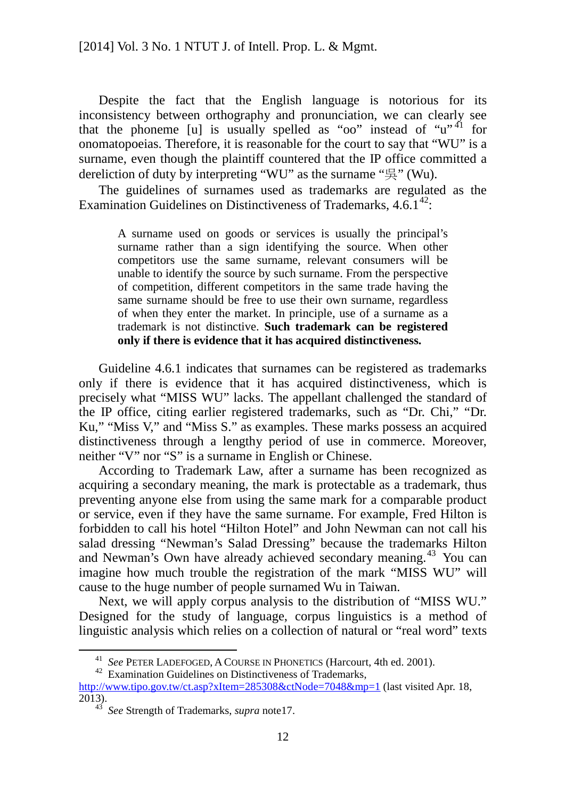Despite the fact that the English language is notorious for its inconsistency between orthography and pronunciation, we can clearly see that the phoneme [u] is usually spelled as "oo" instead of " $u''^{41}$  $u''^{41}$  $u''^{41}$  for onomatopoeias. Therefore, it is reasonable for the court to say that "WU" is a surname, even though the plaintiff countered that the IP office committed a dereliction of duty by interpreting "WU" as the surname "吳" (Wu).

The guidelines of surnames used as trademarks are regulated as the Examination Guidelines on Distinctiveness of Trademarks,  $4.6.1<sup>42</sup>$  $4.6.1<sup>42</sup>$  $4.6.1<sup>42</sup>$ :

<span id="page-18-3"></span>A surname used on goods or services is usually the principal's surname rather than a sign identifying the source. When other competitors use the same surname, relevant consumers will be unable to identify the source by such surname. From the perspective of competition, different competitors in the same trade having the same surname should be free to use their own surname, regardless of when they enter the market. In principle, use of a surname as a trademark is not distinctive. **Such trademark can be registered only if there is evidence that it has acquired distinctiveness.**

Guideline 4.6.1 indicates that surnames can be registered as trademarks only if there is evidence that it has acquired distinctiveness, which is precisely what "MISS WU" lacks. The appellant challenged the standard of the IP office, citing earlier registered trademarks, such as "Dr. Chi," "Dr. Ku," "Miss V," and "Miss S." as examples. These marks possess an acquired distinctiveness through a lengthy period of use in commerce. Moreover, neither "V" nor "S" is a surname in English or Chinese.

According to Trademark Law, after a surname has been recognized as acquiring a secondary meaning, the mark is protectable as a trademark, thus preventing anyone else from using the same mark for a comparable product or service, even if they have the same surname. For example, Fred Hilton is forbidden to call his hotel "Hilton Hotel" and John Newman can not call his salad dressing "Newman's Salad Dressing" because the trademarks Hilton and Newman's Own have already achieved secondary meaning.<sup>[43](#page-18-2)</sup> You can imagine how much trouble the registration of the mark "MISS WU" will cause to the huge number of people surnamed Wu in Taiwan.

Next, we will apply corpus analysis to the distribution of "MISS WU." Designed for the study of language, corpus linguistics is a method of linguistic analysis which relies on a collection of natural or "real word" texts

<sup>&</sup>lt;sup>41</sup> *See* PETER LADEFOGED, A COURSE IN PHONETICS (Harcourt, 4th ed. 2001).<br><sup>42</sup> Examination Guidelines on Distinctiveness of Trademarks,

<span id="page-18-2"></span><span id="page-18-1"></span><span id="page-18-0"></span><http://www.tipo.gov.tw/ct.asp?xItem=285308&ctNode=7048&mp=1> (last visited Apr. 18, 2013).

<sup>&</sup>lt;sup>43</sup> *See* Strength of Trademarks, *supra* note17.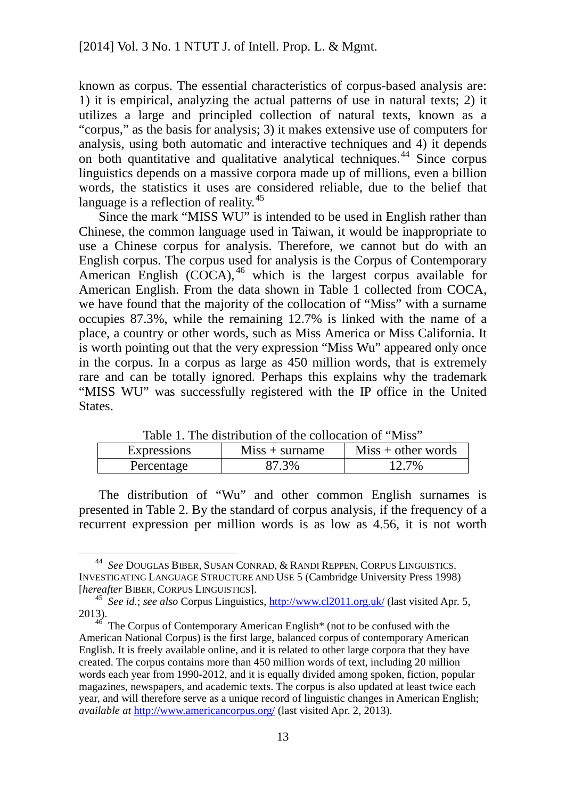known as corpus. The essential characteristics of corpus-based analysis are: 1) it is empirical, analyzing the actual patterns of use in natural texts; 2) it utilizes a large and principled collection of natural texts, known as a "corpus," as the basis for analysis; 3) it makes extensive use of computers for analysis, using both automatic and interactive techniques and 4) it depends on both quantitative and qualitative analytical techniques. [44](#page-19-0) Since corpus linguistics depends on a massive corpora made up of millions, even a billion words, the statistics it uses are considered reliable, due to the belief that language is a reflection of reality.<sup>[45](#page-19-1)</sup>

<span id="page-19-3"></span>Since the mark "MISS WU" is intended to be used in English rather than Chinese, the common language used in Taiwan, it would be inappropriate to use a Chinese corpus for analysis. Therefore, we cannot but do with an English corpus. The corpus used for analysis is the Corpus of Contemporary American English (COCA), [46](#page-19-2) which is the largest corpus available for American English. From the data shown in Table 1 collected from COCA, we have found that the majority of the collocation of "Miss" with a surname occupies 87.3%, while the remaining 12.7% is linked with the name of a place, a country or other words, such as Miss America or Miss California. It is worth pointing out that the very expression "Miss Wu" appeared only once in the corpus. In a corpus as large as 450 million words, that is extremely rare and can be totally ignored. Perhaps this explains why the trademark "MISS WU" was successfully registered with the IP office in the United States.

| Tuoto II Tilo Gibtitoglioni of the contocution of Trilib |                  |                      |  |  |  |
|----------------------------------------------------------|------------------|----------------------|--|--|--|
| <b>Expressions</b>                                       | $Miss + surname$ | $Miss + other words$ |  |  |  |
| Percentage                                               | 87.3%            | 12.7%                |  |  |  |

Table 1. The distribution of the collocation of "Miss"

The distribution of "Wu" and other common English surnames is presented in Table 2. By the standard of corpus analysis, if the frequency of a recurrent expression per million words is as low as 4.56, it is not worth

<span id="page-19-0"></span> <sup>44</sup> *See* DOUGLAS BIBER, SUSAN CONRAD, & RANDI REPPEN, CORPUS LINGUISTICS. INVESTIGATING LANGUAGE STRUCTURE AND USE 5 (Cambridge University Press 1998) [hereafter BIBER, CORPUS LINGUISTICS].

<span id="page-19-1"></span><sup>&</sup>lt;sup>45</sup> *See id.*; *see also* Corpus Linguistics, <http://www.cl2011.org.uk/> (last visited Apr. 5, 2013).  $46$  The Corpus of Contemporary American English\* (not to be confused with the

<span id="page-19-2"></span>American National Corpus) is the first large, balanced corpus of contemporary American English. It is freely available online, and it is related to other large corpora that they have created. The corpus contains more than 450 million words of text, including 20 million words each year from 1990-2012, and it is equally divided among spoken, fiction, popular magazines, newspapers, and academic texts. The corpus is also updated at least twice each year, and will therefore serve as a unique record of linguistic changes in American English; *available at* <http://www.americancorpus.org/> (last visited Apr. 2, 2013).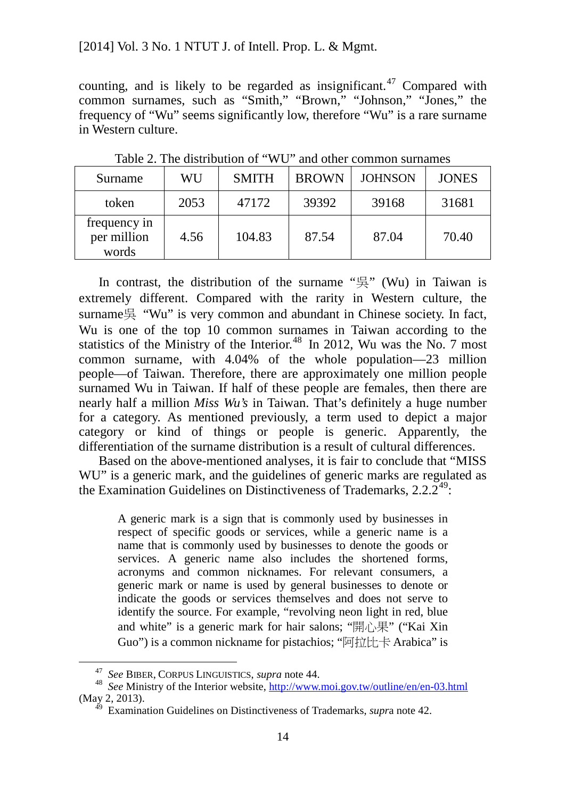counting, and is likely to be regarded as insignificant.<sup>[47](#page-20-0)</sup> Compared with common surnames, such as "Smith," "Brown," "Johnson," "Jones," the frequency of "Wu" seems significantly low, therefore "Wu" is a rare surname in Western culture.

| Surname                              | WU   | <b>SMITH</b> | <b>BROWN</b> | <b>JOHNSON</b> | <b>JONES</b> |
|--------------------------------------|------|--------------|--------------|----------------|--------------|
| token                                | 2053 | 47172        | 39392        | 39168          | 31681        |
| frequency in<br>per million<br>words | 4.56 | 104.83       | 87.54        | 87.04          | 70.40        |

Table 2. The distribution of "WU" and other common surnames

In contrast, the distribution of the surname "吳" (Wu) in Taiwan is extremely different. Compared with the rarity in Western culture, the surname吳 "Wu" is very common and abundant in Chinese society. In fact, Wu is one of the top 10 common surnames in Taiwan according to the statistics of the Ministry of the Interior.<sup>[48](#page-20-1)</sup> In 2012, Wu was the No. 7 most common surname, with 4.04% of the whole population—23 million people—of Taiwan. Therefore, there are approximately one million people surnamed Wu in Taiwan. If half of these people are females, then there are nearly half a million *Miss Wu's* in Taiwan. That's definitely a huge number for a category. As mentioned previously, a term used to depict a major category or kind of things or people is generic. Apparently, the differentiation of the surname distribution is a result of cultural differences.

Based on the above-mentioned analyses, it is fair to conclude that "MISS WU" is a generic mark, and the guidelines of generic marks are regulated as the Examination Guidelines on Distinctiveness of Trademarks,  $2.2 \cdot 2^{49}$ :

A generic mark is a sign that is commonly used by businesses in respect of specific goods or services, while a generic name is a name that is commonly used by businesses to denote the goods or services. A generic name also includes the shortened forms, acronyms and common nicknames. For relevant consumers, a generic mark or name is used by general businesses to denote or indicate the goods or services themselves and does not serve to identify the source. For example, "revolving neon light in red, blue and white" is a generic mark for hair salons; " $\mathbb{H}\cap\mathbb{R}$ " ("Kai Xin Guo") is a common nickname for pistachios; "阿拉比卡 Arabica" is

<span id="page-20-2"></span><span id="page-20-1"></span><span id="page-20-0"></span><sup>&</sup>lt;sup>47</sup> *See* BIBER, CORPUS LINGUISTICS, *supra* note [44.](#page-19-3)<br><sup>48</sup> *See* Ministry of the Interior website, <http://www.moi.gov.tw/outline/en/en-03.html> (May 2, 2013). <sup>49</sup> Examination Guidelines on Distinctiveness of Trademarks, *supr*a note [42.](#page-18-3)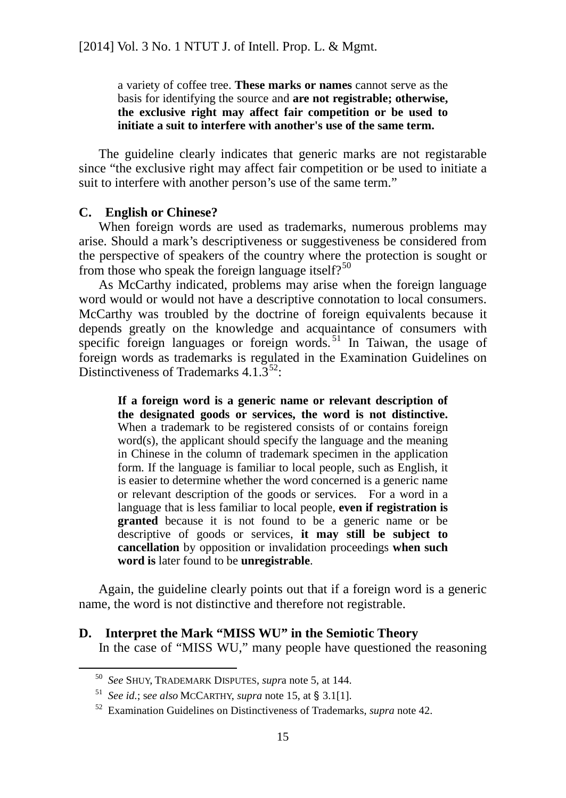a variety of coffee tree. **These marks or names** cannot serve as the basis for identifying the source and **are not registrable; otherwise, the exclusive right may affect fair competition or be used to initiate a suit to interfere with another's use of the same term.** 

The guideline clearly indicates that generic marks are not registarable since "the exclusive right may affect fair competition or be used to initiate a suit to interfere with another person's use of the same term."

### **C. English or Chinese?**

When foreign words are used as trademarks, numerous problems may arise. Should a mark's descriptiveness or suggestiveness be considered from the perspective of speakers of the country where the protection is sought or from those who speak the foreign language itself?<sup>[50](#page-21-0)</sup>

As McCarthy indicated, problems may arise when the foreign language word would or would not have a descriptive connotation to local consumers. McCarthy was troubled by the doctrine of foreign equivalents because it depends greatly on the knowledge and acquaintance of consumers with specific foreign languages or foreign words.<sup>[51](#page-21-1)</sup> In Taiwan, the usage of foreign words as trademarks is regulated in the Examination Guidelines on Distinctiveness of Trademarks  $4.1.3^{52}$ :

**If a foreign word is a generic name or relevant description of the designated goods or services, the word is not distinctive.** When a trademark to be registered consists of or contains foreign word(s), the applicant should specify the language and the meaning in Chinese in the column of trademark specimen in the application form. If the language is familiar to local people, such as English, it is easier to determine whether the word concerned is a generic name or relevant description of the goods or services. For a word in a language that is less familiar to local people, **even if registration is granted** because it is not found to be a generic name or be descriptive of goods or services, **it may still be subject to cancellation** by opposition or invalidation proceedings **when such word is** later found to be **unregistrable**.

Again, the guideline clearly points out that if a foreign word is a generic name, the word is not distinctive and therefore not registrable.

<span id="page-21-0"></span>**D. Interpret the Mark "MISS WU" in the Semiotic Theory** In the case of "MISS WU," many people have questioned the reasoning

<sup>50</sup> *See* SHUY, TRADEMARK DISPUTES, *supr*a note [5,](#page-9-3) at 144. 51 *See id.*; s*ee also* MCCARTHY, *supra* note 15, at § 3.1[1].

<span id="page-21-1"></span>

<span id="page-21-2"></span><sup>52</sup> Examination Guidelines on Distinctiveness of Trademarks, *supra* note [42.](#page-18-3)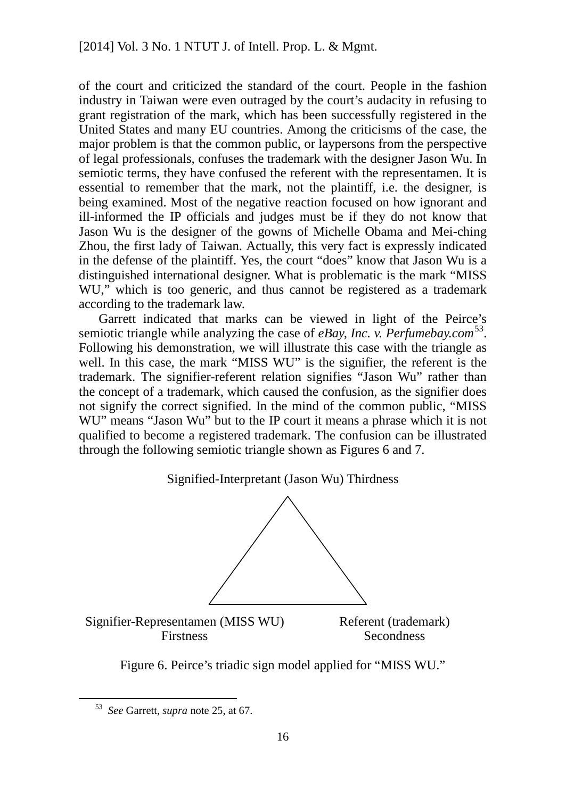of the court and criticized the standard of the court. People in the fashion industry in Taiwan were even outraged by the court's audacity in refusing to grant registration of the mark, which has been successfully registered in the United States and many EU countries. Among the criticisms of the case, the major problem is that the common public, or laypersons from the perspective of legal professionals, confuses the trademark with the designer Jason Wu. In semiotic terms, they have confused the referent with the representamen. It is essential to remember that the mark, not the plaintiff, i.e. the designer, is being examined. Most of the negative reaction focused on how ignorant and ill-informed the IP officials and judges must be if they do not know that Jason Wu is the designer of the gowns of Michelle Obama and Mei-ching Zhou, the first lady of Taiwan. Actually, this very fact is expressly indicated in the defense of the plaintiff. Yes, the court "does" know that Jason Wu is a distinguished international designer. What is problematic is the mark "MISS WU," which is too generic, and thus cannot be registered as a trademark according to the trademark law.

Garrett indicated that marks can be viewed in light of the Peirce's semiotic triangle while analyzing the case of *eBay, Inc. v. Perfumebay.com*<sup>[53](#page-22-0)</sup>. Following his demonstration, we will illustrate this case with the triangle as well. In this case, the mark "MISS WU" is the signifier, the referent is the trademark. The signifier-referent relation signifies "Jason Wu" rather than the concept of a trademark, which caused the confusion, as the signifier does not signify the correct signified. In the mind of the common public, "MISS WU" means "Jason Wu" but to the IP court it means a phrase which it is not qualified to become a registered trademark. The confusion can be illustrated through the following semiotic triangle shown as Figures 6 and 7.

Signified-Interpretant (Jason Wu) Thirdness





<span id="page-22-0"></span> <sup>53</sup> *See* Garrett, *supra* note 25, at 67.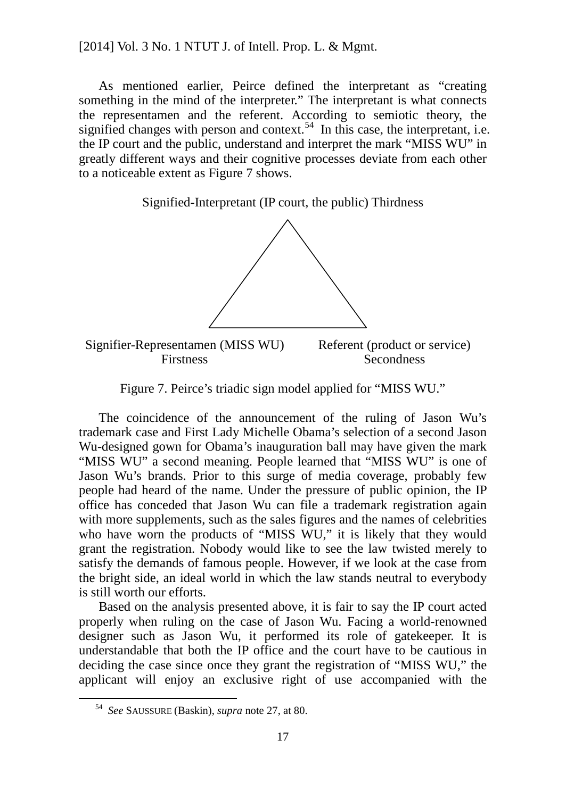As mentioned earlier, Peirce defined the interpretant as "creating something in the mind of the interpreter." The interpretant is what connects the representamen and the referent. According to semiotic theory, the signified changes with person and context.<sup>[54](#page-23-0)</sup> In this case, the interpretant, i.e. the IP court and the public, understand and interpret the mark "MISS WU" in greatly different ways and their cognitive processes deviate from each other to a noticeable extent as Figure 7 shows.

Signified-Interpretant (IP court, the public) Thirdness



Figure 7. Peirce's triadic sign model applied for "MISS WU."

The coincidence of the announcement of the ruling of Jason Wu's trademark case and First Lady Michelle Obama's selection of a second Jason Wu-designed gown for Obama's inauguration ball may have given the mark "MISS WU" a second meaning. People learned that "MISS WU" is one of Jason Wu's brands. Prior to this surge of media coverage, probably few people had heard of the name. Under the pressure of public opinion, the IP office has conceded that Jason Wu can file a trademark registration again with more supplements, such as the sales figures and the names of celebrities who have worn the products of "MISS WU," it is likely that they would grant the registration. Nobody would like to see the law twisted merely to satisfy the demands of famous people. However, if we look at the case from the bright side, an ideal world in which the law stands neutral to everybody is still worth our efforts.

Based on the analysis presented above, it is fair to say the IP court acted properly when ruling on the case of Jason Wu. Facing a world-renowned designer such as Jason Wu, it performed its role of gatekeeper. It is understandable that both the IP office and the court have to be cautious in deciding the case since once they grant the registration of "MISS WU," the applicant will enjoy an exclusive right of use accompanied with the

<span id="page-23-0"></span> <sup>54</sup> *See* SAUSSURE (Baskin), *supra* note 27, at 80.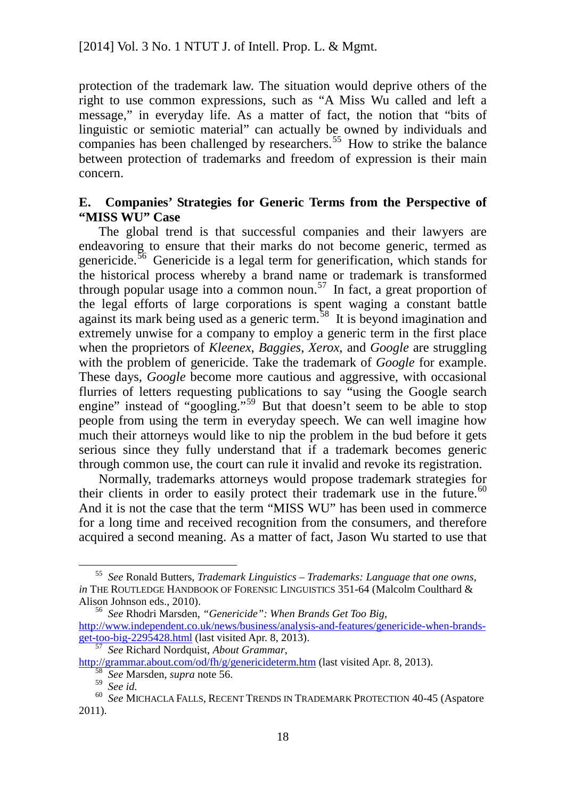protection of the trademark law. The situation would deprive others of the right to use common expressions, such as "A Miss Wu called and left a message," in everyday life. As a matter of fact, the notion that "bits of linguistic or semiotic material" can actually be owned by individuals and companies has been challenged by researchers. [55](#page-24-0) How to strike the balance between protection of trademarks and freedom of expression is their main concern.

### **E. Companies' Strategies for Generic Terms from the Perspective of "MISS WU" Case**

The global trend is that successful companies and their lawyers are endeavoring to ensure that their marks do not become generic, termed as genericide.<sup>[56](#page-24-1)</sup> Genericide is a legal term for generification, which stands for the historical process whereby a brand name or trademark is transformed through popular usage into a common noun.<sup>[57](#page-24-2)</sup> In fact, a great proportion of the legal efforts of large corporations is spent waging a constant battle against its mark being used as a generic term.<sup>38</sup> It is beyond imagination and extremely unwise for a company to employ a generic term in the first place when the proprietors of *Kleenex*, *Baggies*, *Xerox*, and *Google* are struggling with the problem of genericide. Take the trademark of *Google* for example. These days, *Google* become more cautious and aggressive, with occasional flurries of letters requesting publications to say "using the Google search engine" instead of "googling."<sup>[59](#page-24-4)</sup> But that doesn't seem to be able to stop people from using the term in everyday speech. We can well imagine how much their attorneys would like to nip the problem in the bud before it gets serious since they fully understand that if a trademark becomes generic through common use, the court can rule it invalid and revoke its registration.

Normally, trademarks attorneys would propose trademark strategies for their clients in order to easily protect their trademark use in the future.<sup>[60](#page-24-5)</sup> And it is not the case that the term "MISS WU" has been used in commerce for a long time and received recognition from the consumers, and therefore acquired a second meaning. As a matter of fact, Jason Wu started to use that

<span id="page-24-0"></span> <sup>55</sup> *See* Ronald Butters, *Trademark Linguistics – Trademarks: Language that one owns*, *in* THE ROUTLEDGE HANDBOOK OF FORENSIC LINGUISTICS 351-64 (Malcolm Coulthard & Alison Johnson eds., 2010). <sup>56</sup> *See* Rhodri Marsden, *"Genericide": When Brands Get Too Big*,

<span id="page-24-1"></span>[http://www.independent.co.uk/news/business/analysis-and-features/genericide-when-brands](http://www.independent.co.uk/news/business/analysis-and-features/genericide-when-brands-get-too-big-2295428.html)[get-too-big-2295428.html](http://www.independent.co.uk/news/business/analysis-and-features/genericide-when-brands-get-too-big-2295428.html) (last visited Apr. 8, 2013). <sup>57</sup> *See* Richard Nordquist, *About Grammar*,

<span id="page-24-3"></span><span id="page-24-2"></span> $\frac{\text{http://grammar.about.com/od/fh/g/genericidetermint}{58} \frac{\text{Step Marsden, supra note 56.}}{\text{See id.}}$   $\frac{58}{58} \frac{\text{See Marsden, supra note 56.}}{\text{See id.}}$   $\frac{59}{58} \frac{\text{See id.}}{\text{See MICHACLA FALLS, RECENT TRENDS IN TRADEMARK PROTECTION 40-45 (Aspatore)}}$ 

<span id="page-24-5"></span><span id="page-24-4"></span><sup>2011).</sup>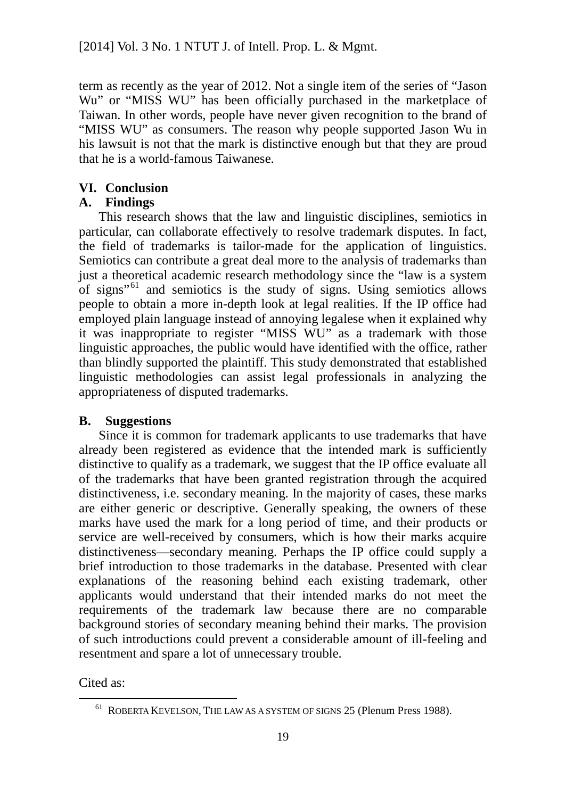term as recently as the year of 2012. Not a single item of the series of "Jason Wu" or "MISS WU" has been officially purchased in the marketplace of Taiwan. In other words, people have never given recognition to the brand of "MISS WU" as consumers. The reason why people supported Jason Wu in his lawsuit is not that the mark is distinctive enough but that they are proud that he is a world-famous Taiwanese.

### **VI. Conclusion**

### **A. Findings**

This research shows that the law and linguistic disciplines, semiotics in particular, can collaborate effectively to resolve trademark disputes. In fact, the field of trademarks is tailor-made for the application of linguistics. Semiotics can contribute a great deal more to the analysis of trademarks than just a theoretical academic research methodology since the "law is a system of signs<sup>"[61](#page-25-0)</sup> and semiotics is the study of signs. Using semiotics allows people to obtain a more in-depth look at legal realities. If the IP office had employed plain language instead of annoying legalese when it explained why it was inappropriate to register "MISS WU" as a trademark with those linguistic approaches, the public would have identified with the office, rather than blindly supported the plaintiff. This study demonstrated that established linguistic methodologies can assist legal professionals in analyzing the appropriateness of disputed trademarks.

### **B. Suggestions**

Since it is common for trademark applicants to use trademarks that have already been registered as evidence that the intended mark is sufficiently distinctive to qualify as a trademark, we suggest that the IP office evaluate all of the trademarks that have been granted registration through the acquired distinctiveness, i.e. secondary meaning. In the majority of cases, these marks are either generic or descriptive. Generally speaking, the owners of these marks have used the mark for a long period of time, and their products or service are well-received by consumers, which is how their marks acquire distinctiveness—secondary meaning. Perhaps the IP office could supply a brief introduction to those trademarks in the database. Presented with clear explanations of the reasoning behind each existing trademark, other applicants would understand that their intended marks do not meet the requirements of the trademark law because there are no comparable background stories of secondary meaning behind their marks. The provision of such introductions could prevent a considerable amount of ill-feeling and resentment and spare a lot of unnecessary trouble.

<span id="page-25-0"></span>Cited as:

<sup>&</sup>lt;sup>61</sup> ROBERTA KEVELSON, THE LAW AS A SYSTEM OF SIGNS 25 (Plenum Press 1988).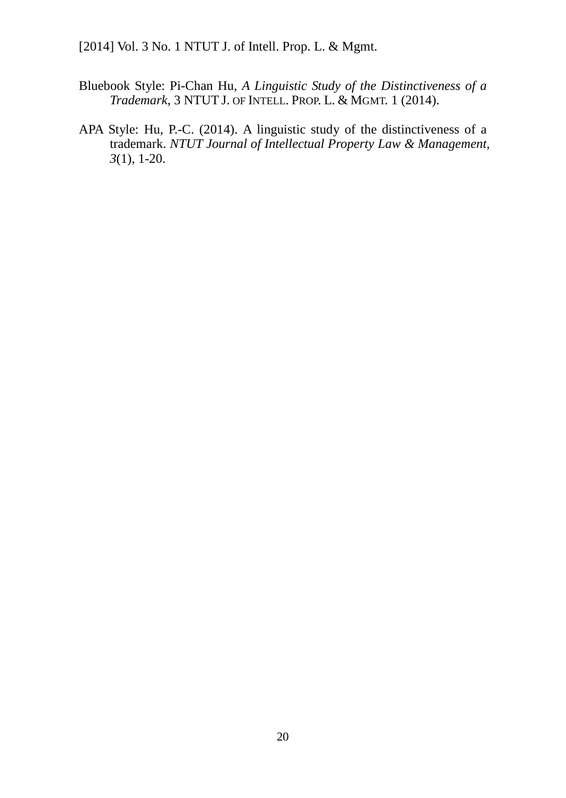- Bluebook Style: Pi-Chan Hu, *A Linguistic Study of the Distinctiveness of a Trademark*, 3 NTUT J. OF INTELL. PROP. L. & MGMT. 1 (2014).
- APA Style: Hu, P.-C. (2014). A linguistic study of the distinctiveness of a trademark. *NTUT Journal of Intellectual Property Law & Management, 3*(1), 1-20.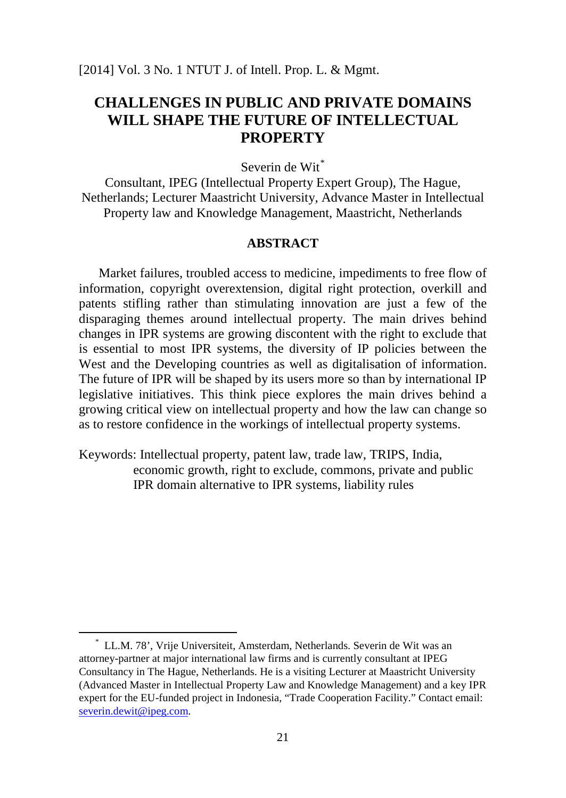### **CHALLENGES IN PUBLIC AND PRIVATE DOMAINS WILL SHAPE THE FUTURE OF INTELLECTUAL PROPERTY**

Severin de Wit<sup>[\\*](#page-27-0)</sup>

Consultant, IPEG (Intellectual Property Expert Group), The Hague, Netherlands; Lecturer Maastricht University, Advance Master in Intellectual Property law and Knowledge Management, Maastricht, Netherlands

### **ABSTRACT**

Market failures, troubled access to medicine, impediments to free flow of information, copyright overextension, digital right protection, overkill and patents stifling rather than stimulating innovation are just a few of the disparaging themes around intellectual property. The main drives behind changes in IPR systems are growing discontent with the right to exclude that is essential to most IPR systems, the diversity of IP policies between the West and the Developing countries as well as digitalisation of information. The future of IPR will be shaped by its users more so than by international IP legislative initiatives. This think piece explores the main drives behind a growing critical view on intellectual property and how the law can change so as to restore confidence in the workings of intellectual property systems.

Keywords: Intellectual property, patent law, trade law, TRIPS, India, economic growth, right to exclude, commons, private and public IPR domain alternative to IPR systems, liability rules

<span id="page-27-0"></span><sup>\*</sup> LL.M. 78', Vrije Universiteit, Amsterdam, Netherlands. Severin de Wit was an attorney-partner at major international law firms and is currently consultant at IPEG Consultancy in The Hague, Netherlands. He is a visiting Lecturer at Maastricht University (Advanced Master in Intellectual Property Law and Knowledge Management) and a key IPR expert for the EU-funded project in Indonesia, "Trade Cooperation Facility." Contact email: [severin.dewit@ipeg.com.](mailto:severin.dewit@ipeg.com)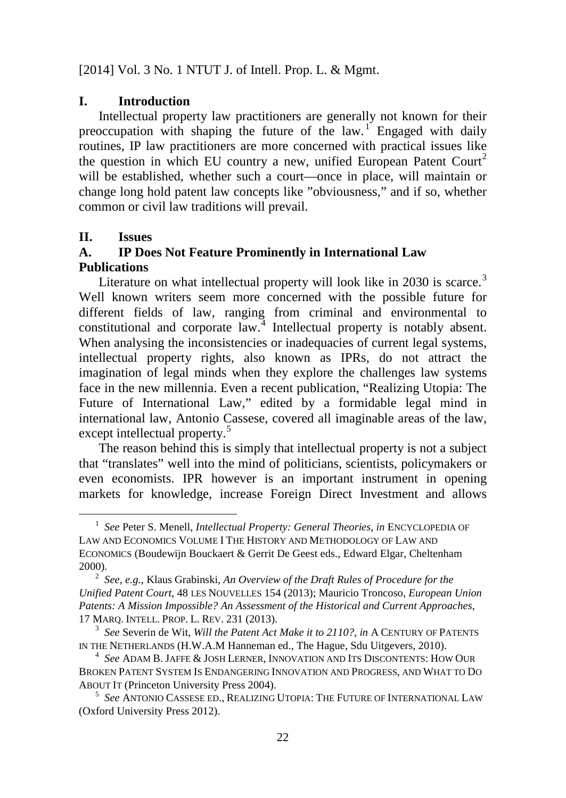### **I. Introduction**

Intellectual property law practitioners are generally not known for their preoccupation with shaping the future of the law.<sup>[1](#page-28-0)</sup> Engaged with daily routines, IP law practitioners are more concerned with practical issues like the question in which EU country a new, unified European Patent Court<sup>[2](#page-28-1)</sup> will be established, whether such a court—once in place, will maintain or change long hold patent law concepts like "obviousness," and if so, whether common or civil law traditions will prevail.

### **II. Issues**

 $\overline{\phantom{0}}$ 

### **A. IP Does Not Feature Prominently in International Law Publications**

Literature on what intellectual property will look like in  $2030$  $2030$  $2030$  is scarce.<sup>3</sup> Well known writers seem more concerned with the possible future for different fields of law, ranging from criminal and environmental to constitutional and corporate law.<sup>[4](#page-28-3)</sup> Intellectual property is notably absent. When analysing the inconsistencies or inadequacies of current legal systems, intellectual property rights, also known as IPRs, do not attract the imagination of legal minds when they explore the challenges law systems face in the new millennia. Even a recent publication, "Realizing Utopia: The Future of International Law," edited by a formidable legal mind in international law, Antonio Cassese, covered all imaginable areas of the law, except intellectual property.<sup>[5](#page-28-4)</sup>

The reason behind this is simply that intellectual property is not a subject that "translates" well into the mind of politicians, scientists, policymakers or even economists. IPR however is an important instrument in opening markets for knowledge, increase Foreign Direct Investment and allows

<span id="page-28-0"></span><sup>1</sup> *See* Peter S. Menell, *Intellectual Property: General Theories*, *in* ENCYCLOPEDIA OF LAW AND ECONOMICS VOLUME I THE HISTORY AND METHODOLOGY OF LAW AND ECONOMICS (Boudewijn Bouckaert & Gerrit De Geest eds., Edward Elgar, Cheltenham 2000).

<span id="page-28-1"></span><sup>2</sup> *See*, *e.g.*, Klaus Grabinski, *An Overview of the Draft Rules of Procedure for the Unified Patent Court*, 48 LES NOUVELLES 154 (2013); Mauricio Troncoso, *European Union Patents: A Mission Impossible? An Assessment of the Historical and Current Approaches*, 17 MARQ. INTELL. PROP. L. REV. 231 (2013).

<span id="page-28-2"></span><sup>3</sup> *See* Severin de Wit, *Will the Patent Act Make it to 2110?*, *in* A CENTURY OF PATENTS IN THE NETHERLANDS (H.W.A.M Hanneman ed., The Hague, Sdu Uitgevers, 2010).

<span id="page-28-3"></span><sup>4</sup> *See* ADAM B. JAFFE & JOSH LERNER, INNOVATION AND ITS DISCONTENTS: HOW OUR BROKEN PATENT SYSTEM IS ENDANGERING INNOVATION AND PROGRESS, AND WHAT TO DO ABOUT IT (Princeton University Press 2004).

<span id="page-28-4"></span><sup>5</sup> *See* ANTONIO CASSESE ED., REALIZING UTOPIA: THE FUTURE OF INTERNATIONAL LAW (Oxford University Press 2012).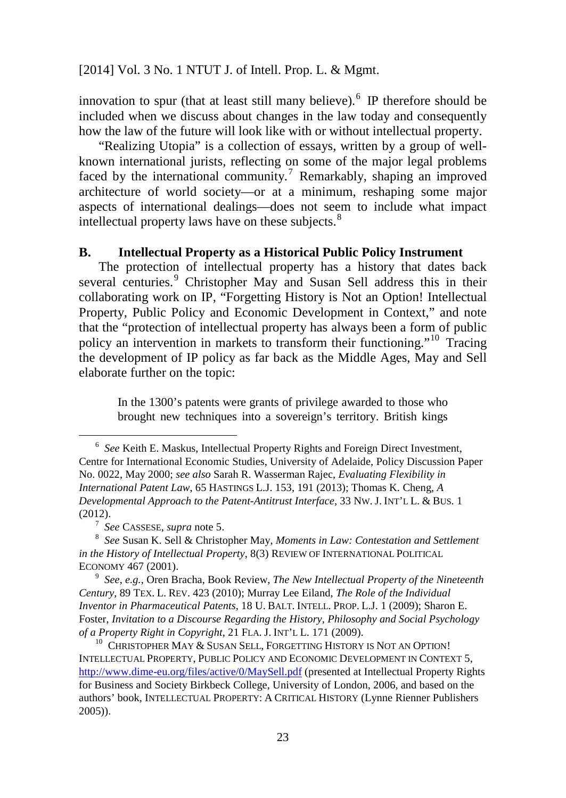innovation to spur (that at least still many believe).<sup>[6](#page-29-0)</sup> IP therefore should be included when we discuss about changes in the law today and consequently how the law of the future will look like with or without intellectual property.

"Realizing Utopia" is a collection of essays, written by a group of wellknown international jurists, reflecting on some of the major legal problems faced by the international community.<sup>[7](#page-29-1)</sup> Remarkably, shaping an improved architecture of world society—or at a minimum, reshaping some major aspects of international dealings—does not seem to include what impact intellectual property laws have on these subjects.<sup>[8](#page-29-2)</sup>

### **B. Intellectual Property as a Historical Public Policy Instrument**

The protection of intellectual property has a history that dates back several centuries.<sup>[9](#page-29-3)</sup> Christopher May and Susan Sell address this in their collaborating work on IP, "Forgetting History is Not an Option! Intellectual Property, Public Policy and Economic Development in Context," and note that the "protection of intellectual property has always been a form of public policy an intervention in markets to transform their functioning."[10](#page-29-4) Tracing the development of IP policy as far back as the Middle Ages, May and Sell elaborate further on the topic:

In the 1300's patents were grants of privilege awarded to those who brought new techniques into a sovereign's territory. British kings

<span id="page-29-0"></span><sup>6</sup> *See* Keith E. Maskus, Intellectual Property Rights and Foreign Direct Investment, Centre for International Economic Studies, University of Adelaide, Policy Discussion Paper No. 0022, May 2000; *see also* Sarah R. Wasserman Rajec, *Evaluating Flexibility in International Patent Law*, 65 HASTINGS L.J. 153, 191 (2013); Thomas K. Cheng, *A Developmental Approach to the Patent-Antitrust Interface*, 33 NW. J. INT'L L. & BUS. 1 (2012).

<span id="page-29-2"></span><span id="page-29-1"></span><sup>&</sup>lt;sup>7</sup> *See* CASSESE, *supra* note 5.<br><sup>8</sup> *See* Susan K. Sell & Christopher May, *Moments in Law: Contestation and Settlement in the History of Intellectual Property*, 8(3) REVIEW OF INTERNATIONAL POLITICAL ECONOMY 467 (2001).

<span id="page-29-3"></span><sup>9</sup> *See*, *e.g.*, Oren Bracha, Book Review, *The New Intellectual Property of the Nineteenth Century*, 89 TEX. L. REV. 423 (2010); Murray Lee Eiland, *The Role of the Individual Inventor in Pharmaceutical Patents*, 18 U. BALT. INTELL. PROP. L.J. 1 (2009); Sharon E. Foster, *Invitation to a Discourse Regarding the History, Philosophy and Social Psychology of a Property Right in Copyright*, 21 FLA. J. INT'L L. 171 (2009).

<span id="page-29-4"></span> $^{10}$  Christopher May & Susan Sell, Forgetting History is Not an Option! INTELLECTUAL PROPERTY, PUBLIC POLICY AND ECONOMIC DEVELOPMENT IN CONTEXT 5, <http://www.dime-eu.org/files/active/0/MaySell.pdf> (presented at Intellectual Property Rights for Business and Society Birkbeck College, University of London, 2006, and based on the authors' book, INTELLECTUAL PROPERTY: A CRITICAL HISTORY (Lynne Rienner Publishers 2005)).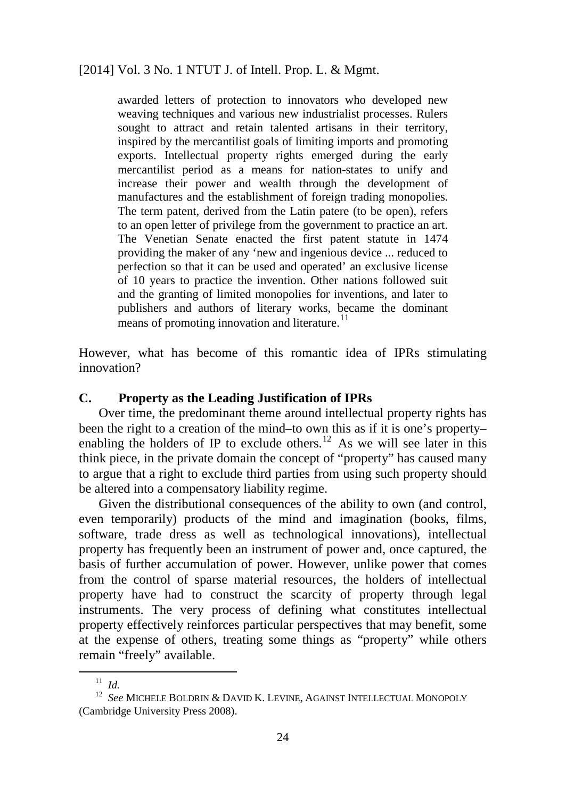awarded letters of protection to innovators who developed new weaving techniques and various new industrialist processes. Rulers sought to attract and retain talented artisans in their territory, inspired by the mercantilist goals of limiting imports and promoting exports. Intellectual property rights emerged during the early mercantilist period as a means for nation-states to unify and increase their power and wealth through the development of manufactures and the establishment of foreign trading monopolies. The term patent, derived from the Latin patere (to be open), refers to an open letter of privilege from the government to practice an art. The Venetian Senate enacted the first patent statute in 1474 providing the maker of any 'new and ingenious device ... reduced to perfection so that it can be used and operated' an exclusive license of 10 years to practice the invention. Other nations followed suit and the granting of limited monopolies for inventions, and later to publishers and authors of literary works, became the dominant means of promoting innovation and literature.<sup>[11](#page-30-0)</sup>

However, what has become of this romantic idea of IPRs stimulating innovation?

### **C. Property as the Leading Justification of IPRs**

Over time, the predominant theme around intellectual property rights has been the right to a creation of the mind–to own this as if it is one's property– enabling the holders of IP to exclude others.<sup>[12](#page-30-1)</sup> As we will see later in this think piece, in the private domain the concept of "property" has caused many to argue that a right to exclude third parties from using such property should be altered into a compensatory liability regime.

Given the distributional consequences of the ability to own (and control, even temporarily) products of the mind and imagination (books, films, software, trade dress as well as technological innovations), intellectual property has frequently been an instrument of power and, once captured, the basis of further accumulation of power. However, unlike power that comes from the control of sparse material resources, the holders of intellectual property have had to construct the scarcity of property through legal instruments. The very process of defining what constitutes intellectual property effectively reinforces particular perspectives that may benefit, some at the expense of others, treating some things as "property" while others remain "freely" available.

<sup>11</sup> *Id.*

<span id="page-30-1"></span><span id="page-30-0"></span><sup>12</sup> *See* MICHELE BOLDRIN & DAVID K. LEVINE, AGAINST INTELLECTUAL MONOPOLY (Cambridge University Press 2008).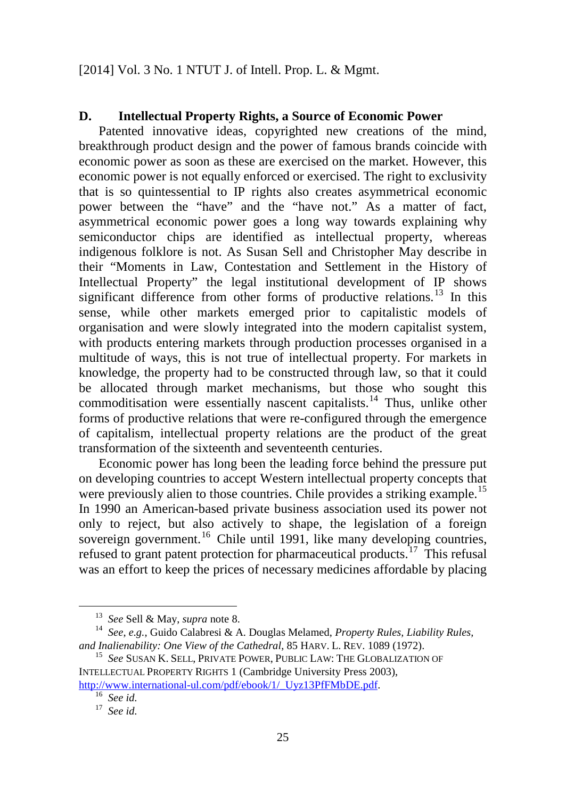### **D. Intellectual Property Rights, a Source of Economic Power**

Patented innovative ideas, copyrighted new creations of the mind, breakthrough product design and the power of famous brands coincide with economic power as soon as these are exercised on the market. However, this economic power is not equally enforced or exercised. The right to exclusivity that is so quintessential to IP rights also creates asymmetrical economic power between the "have" and the "have not." As a matter of fact, asymmetrical economic power goes a long way towards explaining why semiconductor chips are identified as intellectual property, whereas indigenous folklore is not. As Susan Sell and Christopher May describe in their "Moments in Law, Contestation and Settlement in the History of Intellectual Property" the legal institutional development of IP shows significant difference from other forms of productive relations.<sup>[13](#page-31-0)</sup> In this sense, while other markets emerged prior to capitalistic models of organisation and were slowly integrated into the modern capitalist system, with products entering markets through production processes organised in a multitude of ways, this is not true of intellectual property. For markets in knowledge, the property had to be constructed through law, so that it could be allocated through market mechanisms, but those who sought this commoditisation were essentially nascent capitalists.<sup>[14](#page-31-1)</sup> Thus, unlike other forms of productive relations that were re-configured through the emergence of capitalism, intellectual property relations are the product of the great transformation of the sixteenth and seventeenth centuries.

Economic power has long been the leading force behind the pressure put on developing countries to accept Western intellectual property concepts that were previously alien to those countries. Chile provides a striking example.<sup>[15](#page-31-2)</sup> In 1990 an American-based private business association used its power not only to reject, but also actively to shape, the legislation of a foreign sovereign government.<sup>[16](#page-31-3)</sup> Chile until 1991, like many developing countries, refused to grant patent protection for pharmaceutical products.<sup>[17](#page-31-4)</sup> This refusal was an effort to keep the prices of necessary medicines affordable by placing

<sup>13</sup> *See* Sell & May, *supra* note 8.

<span id="page-31-1"></span><span id="page-31-0"></span><sup>14</sup> *See*, *e.g.*, Guido Calabresi & A. Douglas Melamed, *Property Rules, Liability Rules, and Inalienability: One View of the Cathedral*, 85 HARV. L. REV. 1089 (1972).

<span id="page-31-2"></span><sup>15</sup> *See* SUSAN K. SELL, PRIVATE POWER, PUBLIC LAW: THE GLOBALIZATION OF INTELLECTUAL PROPERTY RIGHTS 1 (Cambridge University Press 2003),

<span id="page-31-4"></span><span id="page-31-3"></span>[http://www.international-ul.com/pdf/ebook/1/\\_Uyz13PfFMbDE.pdf.](http://www.international-ul.com/pdf/ebook/1/_Uyz13PfFMbDE.pdf) <sup>16</sup> *See id.*

<sup>17</sup> *See id.*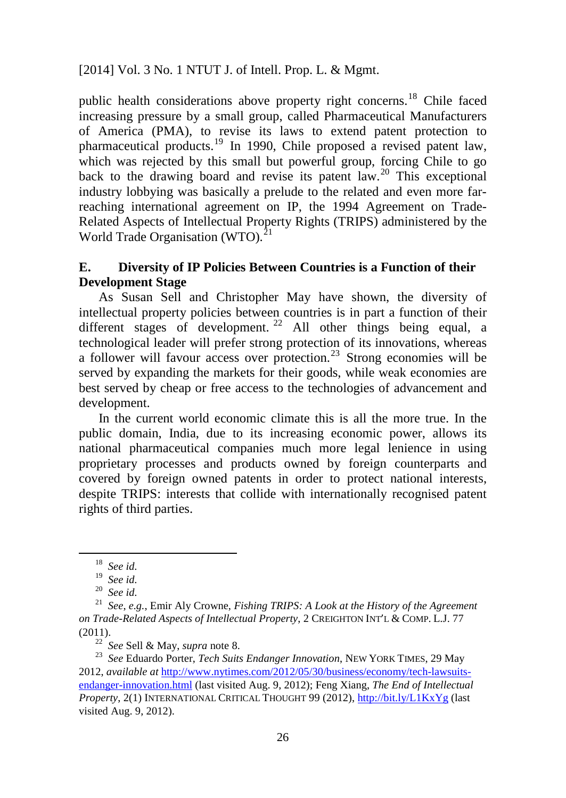public health considerations above property right concerns.[18](#page-32-0) Chile faced increasing pressure by a small group, called Pharmaceutical Manufacturers of America (PMA), to revise its laws to extend patent protection to pharmaceutical products.[19](#page-32-1) In 1990, Chile proposed a revised patent law, which was rejected by this small but powerful group, forcing Chile to go back to the drawing board and revise its patent  $law<sup>20</sup>$  $law<sup>20</sup>$  $law<sup>20</sup>$ . This exceptional industry lobbying was basically a prelude to the related and even more farreaching international agreement on IP, the 1994 Agreement on Trade-Related Aspects of Intellectual Property Rights (TRIPS) administered by the World Trade Organisation (WTO).<sup>[21](#page-32-3)</sup>

### **E. Diversity of IP Policies Between Countries is a Function of their Development Stage**

As Susan Sell and Christopher May have shown, the diversity of intellectual property policies between countries is in part a function of their different stages of development.<sup>[22](#page-32-4)</sup> All other things being equal, a technological leader will prefer strong protection of its innovations, whereas a follower will favour access over protection.<sup>[23](#page-32-5)</sup> Strong economies will be served by expanding the markets for their goods, while weak economies are best served by cheap or free access to the technologies of advancement and development.

In the current world economic climate this is all the more true. In the public domain, India, due to its increasing economic power, allows its national pharmaceutical companies much more legal lenience in using proprietary processes and products owned by foreign counterparts and covered by foreign owned patents in order to protect national interests, despite TRIPS: interests that collide with internationally recognised patent rights of third parties.

<span id="page-32-0"></span>l

<sup>18</sup> *See id.*

<sup>19</sup> *See id.*

<sup>20</sup> *See id.*

<span id="page-32-3"></span><span id="page-32-2"></span><span id="page-32-1"></span><sup>21</sup> *See*, *e.g.*, Emir Aly Crowne, *Fishing TRIPS: A Look at the History of the Agreement on Trade-Related Aspects of Intellectual Property*, 2 CREIGHTON INT'L & COMP. L.J. 77 (2011).

<sup>22</sup> *See* Sell & May, *supra* note 8.

<span id="page-32-5"></span><span id="page-32-4"></span><sup>23</sup> *See* Eduardo Porter, *Tech Suits Endanger Innovation*, NEW YORK TIMES, 29 May 2012, *available at* [http://www.nytimes.com/2012/05/30/business/economy/tech-lawsuits](http://www.nytimes.com/2012/05/30/business/economy/tech-lawsuits-endanger-innovation.html)[endanger-innovation.html](http://www.nytimes.com/2012/05/30/business/economy/tech-lawsuits-endanger-innovation.html) (last visited Aug. 9, 2012); Feng Xiang, *The End of Intellectual Property*, 2(1) INTERNATIONAL CRITICAL THOUGHT 99 (2012),<http://bit.ly/L1KxYg> (last visited Aug. 9, 2012).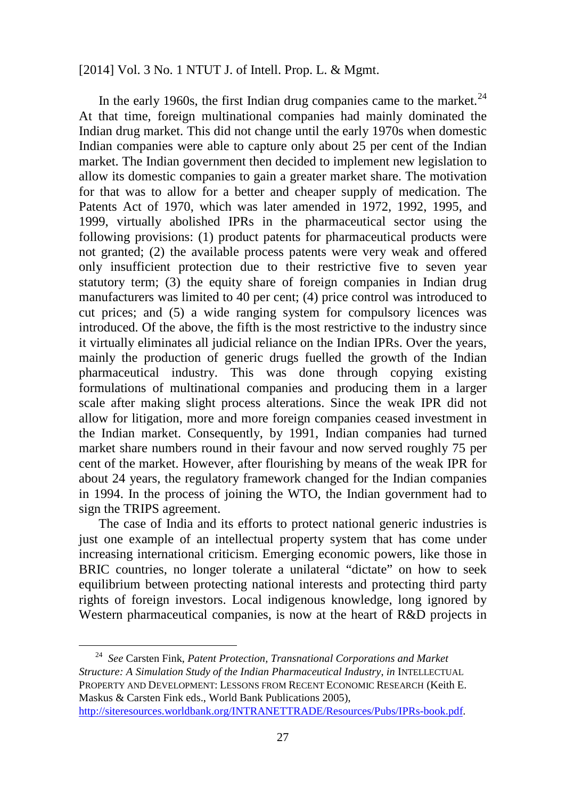In the early 1960s, the first Indian drug companies came to the market. $^{24}$  $^{24}$  $^{24}$ At that time, foreign multinational companies had mainly dominated the Indian drug market. This did not change until the early 1970s when domestic Indian companies were able to capture only about 25 per cent of the Indian market. The Indian government then decided to implement new legislation to allow its domestic companies to gain a greater market share. The motivation for that was to allow for a better and cheaper supply of medication. The Patents Act of 1970, which was later amended in 1972, 1992, 1995, and 1999, virtually abolished IPRs in the pharmaceutical sector using the following provisions: (1) product patents for pharmaceutical products were not granted; (2) the available process patents were very weak and offered only insufficient protection due to their restrictive five to seven year statutory term; (3) the equity share of foreign companies in Indian drug manufacturers was limited to 40 per cent; (4) price control was introduced to cut prices; and (5) a wide ranging system for compulsory licences was introduced. Of the above, the fifth is the most restrictive to the industry since it virtually eliminates all judicial reliance on the Indian IPRs. Over the years, mainly the production of generic drugs fuelled the growth of the Indian pharmaceutical industry. This was done through copying existing formulations of multinational companies and producing them in a larger scale after making slight process alterations. Since the weak IPR did not allow for litigation, more and more foreign companies ceased investment in the Indian market. Consequently, by 1991, Indian companies had turned market share numbers round in their favour and now served roughly 75 per cent of the market. However, after flourishing by means of the weak IPR for about 24 years, the regulatory framework changed for the Indian companies in 1994. In the process of joining the WTO, the Indian government had to sign the TRIPS agreement.

The case of India and its efforts to protect national generic industries is just one example of an intellectual property system that has come under increasing international criticism. Emerging economic powers, like those in BRIC countries, no longer tolerate a unilateral "dictate" on how to seek equilibrium between protecting national interests and protecting third party rights of foreign investors. Local indigenous knowledge, long ignored by Western pharmaceutical companies, is now at the heart of R&D projects in

<span id="page-33-0"></span><sup>24</sup> *See* Carsten Fink, *Patent Protection, Transnational Corporations and Market Structure: A Simulation Study of the Indian Pharmaceutical Industry*, *in* INTELLECTUAL PROPERTY AND DEVELOPMENT: LESSONS FROM RECENT ECONOMIC RESEARCH (Keith E. Maskus & Carsten Fink eds., World Bank Publications 2005), [http://siteresources.worldbank.org/INTRANETTRADE/Resources/Pubs/IPRs-book.pdf.](http://siteresources.worldbank.org/INTRANETTRADE/Resources/Pubs/IPRs-book.pdf)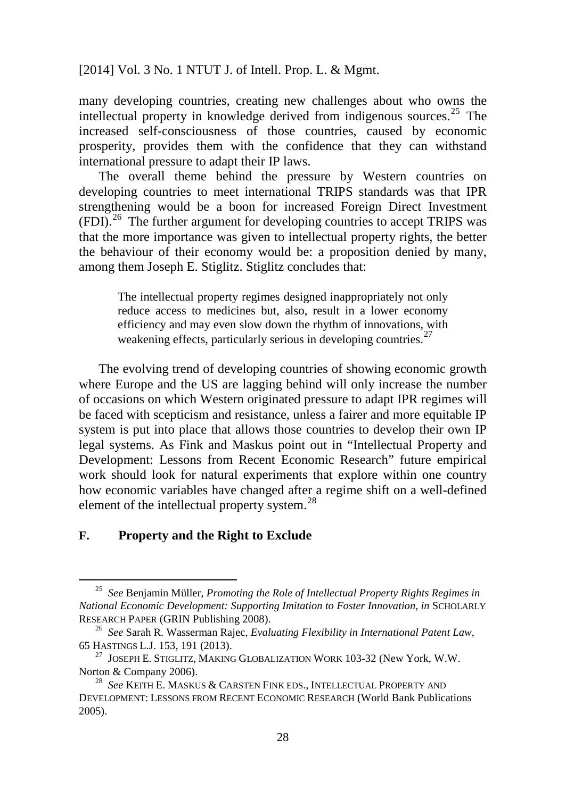many developing countries, creating new challenges about who owns the intellectual property in knowledge derived from indigenous sources.[25](#page-34-0) The increased self-consciousness of those countries, caused by economic prosperity, provides them with the confidence that they can withstand international pressure to adapt their IP laws.

The overall theme behind the pressure by Western countries on developing countries to meet international TRIPS standards was that IPR strengthening would be a boon for increased Foreign Direct Investment (FDI).[26](#page-34-1) The further argument for developing countries to accept TRIPS was that the more importance was given to intellectual property rights, the better the behaviour of their economy would be: a proposition denied by many, among them Joseph E. Stiglitz. Stiglitz concludes that:

The intellectual property regimes designed inappropriately not only reduce access to medicines but, also, result in a lower economy efficiency and may even slow down the rhythm of innovations, with weakening effects, particularly serious in developing countries.<sup>[27](#page-34-2)</sup>

The evolving trend of developing countries of showing economic growth where Europe and the US are lagging behind will only increase the number of occasions on which Western originated pressure to adapt IPR regimes will be faced with scepticism and resistance, unless a fairer and more equitable IP system is put into place that allows those countries to develop their own IP legal systems. As Fink and Maskus point out in "Intellectual Property and Development: Lessons from Recent Economic Research" future empirical work should look for natural experiments that explore within one country how economic variables have changed after a regime shift on a well-defined element of the intellectual property system.<sup>[28](#page-34-3)</sup>

### **F. Property and the Right to Exclude**

<span id="page-34-0"></span><sup>25</sup> *See* Benjamin Müller, *Promoting the Role of Intellectual Property Rights Regimes in National Economic Development: Supporting Imitation to Foster Innovation*, *in* SCHOLARLY RESEARCH PAPER (GRIN Publishing 2008).

<span id="page-34-1"></span><sup>26</sup> *See* Sarah R. Wasserman Rajec, *Evaluating Flexibility in International Patent Law*, 65 HASTINGS L.J. 153, 191 (2013).

<span id="page-34-2"></span> $^{27}$  JOSEPH E. STIGLITZ, MAKING GLOBALIZATION WORK 103-32 (New York, W.W. Norton & Company 2006).

<span id="page-34-3"></span><sup>28</sup> *See* KEITH E. MASKUS & CARSTEN FINK EDS., INTELLECTUAL PROPERTY AND DEVELOPMENT: LESSONS FROM RECENT ECONOMIC RESEARCH (World Bank Publications 2005).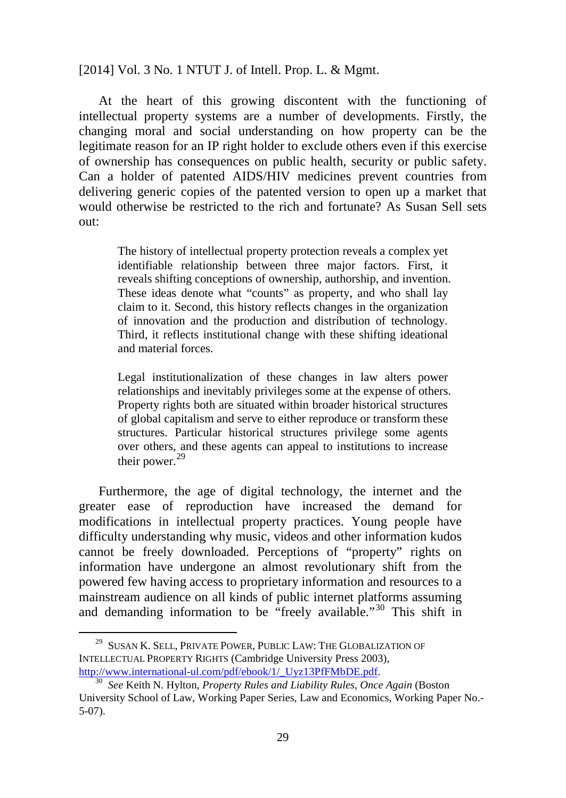At the heart of this growing discontent with the functioning of intellectual property systems are a number of developments. Firstly, the changing moral and social understanding on how property can be the legitimate reason for an IP right holder to exclude others even if this exercise of ownership has consequences on public health, security or public safety. Can a holder of patented AIDS/HIV medicines prevent countries from delivering generic copies of the patented version to open up a market that would otherwise be restricted to the rich and fortunate? As Susan Sell sets out:

The history of intellectual property protection reveals a complex yet identifiable relationship between three major factors. First, it reveals shifting conceptions of ownership, authorship, and invention. These ideas denote what "counts" as property, and who shall lay claim to it. Second, this history reflects changes in the organization of innovation and the production and distribution of technology. Third, it reflects institutional change with these shifting ideational and material forces.

Legal institutionalization of these changes in law alters power relationships and inevitably privileges some at the expense of others. Property rights both are situated within broader historical structures of global capitalism and serve to either reproduce or transform these structures. Particular historical structures privilege some agents over others, and these agents can appeal to institutions to increase their power.<sup>[29](#page-35-0)</sup>

Furthermore, the age of digital technology, the internet and the greater ease of reproduction have increased the demand for modifications in intellectual property practices. Young people have difficulty understanding why music, videos and other information kudos cannot be freely downloaded. Perceptions of "property" rights on information have undergone an almost revolutionary shift from the powered few having access to proprietary information and resources to a mainstream audience on all kinds of public internet platforms assuming and demanding information to be "freely available."[30](#page-35-1) This shift in

<span id="page-35-0"></span><sup>&</sup>lt;sup>29</sup> SUSAN K. SELL, PRIVATE POWER, PUBLIC LAW: THE GLOBALIZATION OF INTELLECTUAL PROPERTY RIGHTS (Cambridge University Press 2003), [http://www.international-ul.com/pdf/ebook/1/\\_Uyz13PfFMbDE.pdf.](http://www.international-ul.com/pdf/ebook/1/_Uyz13PfFMbDE.pdf)

<span id="page-35-1"></span><sup>30</sup> *See* Keith N. Hylton, *Property Rules and Liability Rules, Once Again* (Boston University School of Law, Working Paper Series, Law and Economics, Working Paper No.- 5-07).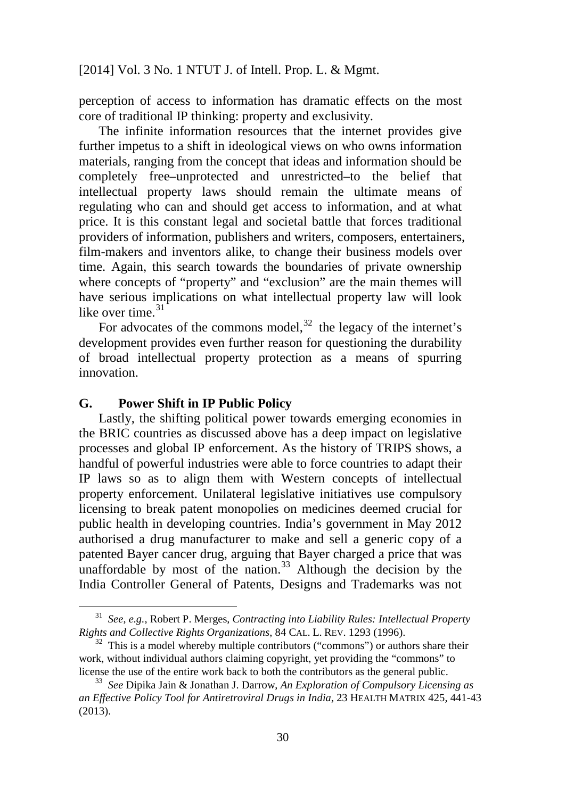perception of access to information has dramatic effects on the most core of traditional IP thinking: property and exclusivity.

The infinite information resources that the internet provides give further impetus to a shift in ideological views on who owns information materials, ranging from the concept that ideas and information should be completely free–unprotected and unrestricted–to the belief that intellectual property laws should remain the ultimate means of regulating who can and should get access to information, and at what price. It is this constant legal and societal battle that forces traditional providers of information, publishers and writers, composers, entertainers, film-makers and inventors alike, to change their business models over time. Again, this search towards the boundaries of private ownership where concepts of "property" and "exclusion" are the main themes will have serious implications on what intellectual property law will look like over time.<sup>[31](#page-36-0)</sup>

For advocates of the commons model, $32$  the legacy of the internet's development provides even further reason for questioning the durability of broad intellectual property protection as a means of spurring innovation.

#### **G. Power Shift in IP Public Policy**

 $\overline{\phantom{0}}$ 

Lastly, the shifting political power towards emerging economies in the BRIC countries as discussed above has a deep impact on legislative processes and global IP enforcement. As the history of TRIPS shows, a handful of powerful industries were able to force countries to adapt their IP laws so as to align them with Western concepts of intellectual property enforcement. Unilateral legislative initiatives use compulsory licensing to break patent monopolies on medicines deemed crucial for public health in developing countries. India's government in May 2012 authorised a drug manufacturer to make and sell a generic copy of a patented Bayer cancer drug, arguing that Bayer charged a price that was unaffordable by most of the nation. $33$  Although the decision by the India Controller General of Patents, Designs and Trademarks was not

<span id="page-36-0"></span><sup>31</sup> *See*, *e.g.*, Robert P. Merges, *Contracting into Liability Rules: Intellectual Property Rights and Collective Rights Organizations*, 84 CAL. L. REV. 1293 (1996).

<span id="page-36-1"></span> $32$  This is a model whereby multiple contributors ("commons") or authors share their work, without individual authors claiming copyright, yet providing the "commons" to license the use of the entire work back to both the contributors as the general public.

<span id="page-36-2"></span><sup>33</sup> *See* Dipika Jain & Jonathan J. Darrow, *An Exploration of Compulsory Licensing as an Effective Policy Tool for Antiretroviral Drugs in India*, 23 HEALTH MATRIX 425, 441-43 (2013).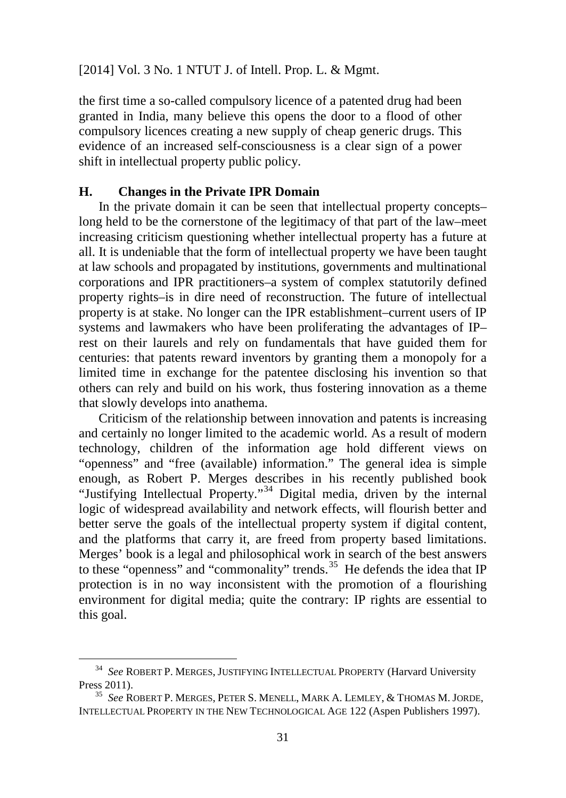the first time a so-called compulsory licence of a patented drug had been granted in India, many believe this opens the door to a flood of other compulsory licences creating a new supply of cheap generic drugs. This evidence of an increased self-consciousness is a clear sign of a power shift in intellectual property public policy.

#### **H. Changes in the Private IPR Domain**

In the private domain it can be seen that intellectual property concepts– long held to be the cornerstone of the legitimacy of that part of the law–meet increasing criticism questioning whether intellectual property has a future at all. It is undeniable that the form of intellectual property we have been taught at law schools and propagated by institutions, governments and multinational corporations and IPR practitioners–a system of complex statutorily defined property rights–is in dire need of reconstruction. The future of intellectual property is at stake. No longer can the IPR establishment–current users of IP systems and lawmakers who have been proliferating the advantages of IP– rest on their laurels and rely on fundamentals that have guided them for centuries: that patents reward inventors by granting them a monopoly for a limited time in exchange for the patentee disclosing his invention so that others can rely and build on his work, thus fostering innovation as a theme that slowly develops into anathema.

Criticism of the relationship between innovation and patents is increasing and certainly no longer limited to the academic world. As a result of modern technology, children of the information age hold different views on "openness" and "free (available) information." The general idea is simple enough, as Robert P. Merges describes in his recently published book "Justifying Intellectual Property."[34](#page-37-0) Digital media, driven by the internal logic of widespread availability and network effects, will flourish better and better serve the goals of the intellectual property system if digital content, and the platforms that carry it, are freed from property based limitations. Merges' book is a legal and philosophical work in search of the best answers to these "openness" and "commonality" trends.<sup>[35](#page-37-1)</sup> He defends the idea that IP protection is in no way inconsistent with the promotion of a flourishing environment for digital media; quite the contrary: IP rights are essential to this goal.

 $\overline{\phantom{0}}$ 

<span id="page-37-0"></span><sup>34</sup> *See* ROBERT P. MERGES, JUSTIFYING INTELLECTUAL PROPERTY (Harvard University Press 2011).

<span id="page-37-1"></span><sup>35</sup> *See* ROBERT P. MERGES, PETER S. MENELL, MARK A. LEMLEY, & THOMAS M. JORDE, INTELLECTUAL PROPERTY IN THE NEW TECHNOLOGICAL AGE 122 (Aspen Publishers 1997).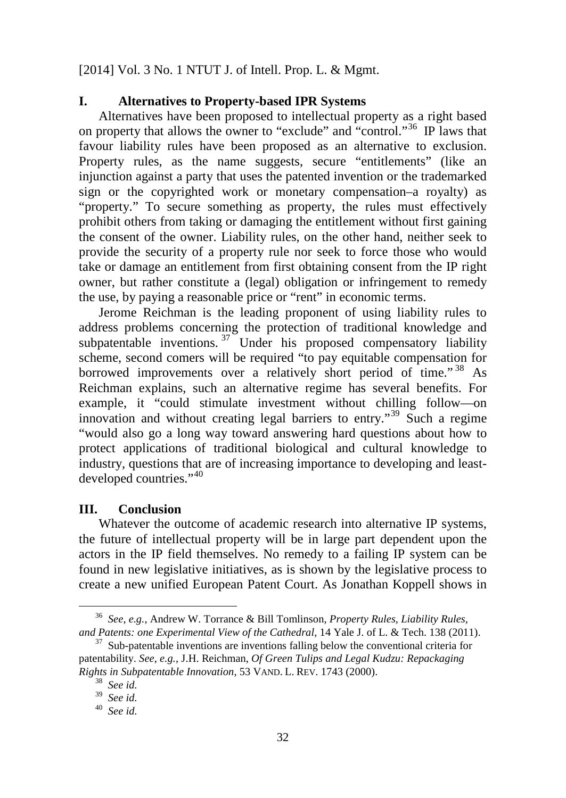### **I. Alternatives to Property-based IPR Systems**

Alternatives have been proposed to intellectual property as a right based on property that allows the owner to "exclude" and "control."[36](#page-38-0) IP laws that favour liability rules have been proposed as an alternative to exclusion. Property rules, as the name suggests, secure "entitlements" (like an injunction against a party that uses the patented invention or the trademarked sign or the copyrighted work or monetary compensation–a royalty) as "property." To secure something as property, the rules must effectively prohibit others from taking or damaging the entitlement without first gaining the consent of the owner. Liability rules, on the other hand, neither seek to provide the security of a property rule nor seek to force those who would take or damage an entitlement from first obtaining consent from the IP right owner, but rather constitute a (legal) obligation or infringement to remedy the use, by paying a reasonable price or "rent" in economic terms.

Jerome Reichman is the leading proponent of using liability rules to address problems concerning the protection of traditional knowledge and subpatentable inventions.  $37$  Under his proposed compensatory liability scheme, second comers will be required "to pay equitable compensation for borrowed improvements over a relatively short period of time."<sup>[38](#page-38-2)</sup> As Reichman explains, such an alternative regime has several benefits. For example, it "could stimulate investment without chilling follow—on innovation and without creating legal barriers to entry."<sup>[39](#page-38-3)</sup> Such a regime "would also go a long way toward answering hard questions about how to protect applications of traditional biological and cultural knowledge to industry, questions that are of increasing importance to developing and least-developed countries."<sup>[40](#page-38-4)</sup>

### **III. Conclusion**

Whatever the outcome of academic research into alternative IP systems, the future of intellectual property will be in large part dependent upon the actors in the IP field themselves. No remedy to a failing IP system can be found in new legislative initiatives, as is shown by the legislative process to create a new unified European Patent Court. As Jonathan Koppell shows in

 $\overline{\phantom{0}}$ 

<span id="page-38-0"></span><sup>36</sup> *See*, *e.g.*, Andrew W. Torrance & Bill Tomlinson, *Property Rules, Liability Rules, and Patents: one Experimental View of the Cathedral*, 14 Yale J. of L. & Tech. 138 (2011).

<span id="page-38-2"></span><span id="page-38-1"></span> $37$  Sub-patentable inventions are inventions falling below the conventional criteria for patentability. *See*, *e.g.*, J.H. Reichman, *Of Green Tulips and Legal Kudzu: Repackaging Rights in Subpatentable Innovation*, 53 VAND. L. REV. 1743 (2000).

<sup>38</sup> *See id.*

<span id="page-38-3"></span><sup>39</sup> *See id.*

<span id="page-38-4"></span><sup>40</sup> *See id.*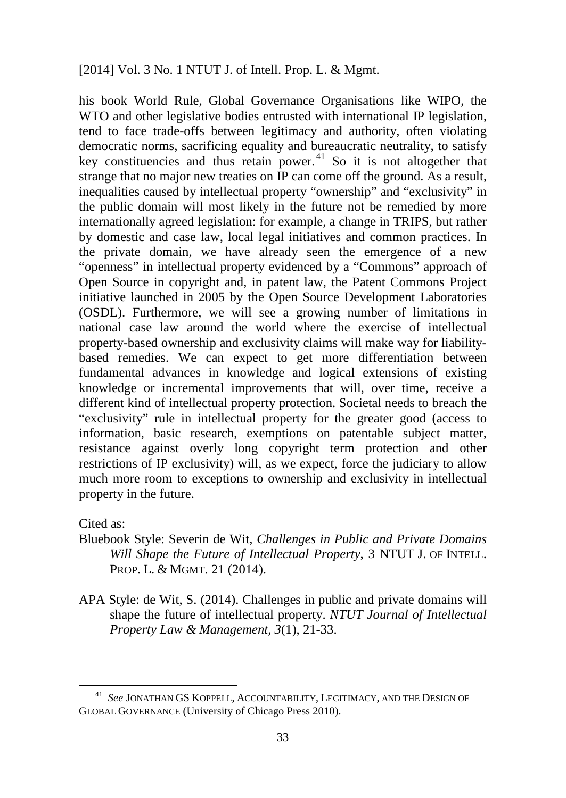his book World Rule, Global Governance Organisations like WIPO, the WTO and other legislative bodies entrusted with international IP legislation, tend to face trade-offs between legitimacy and authority, often violating democratic norms, sacrificing equality and bureaucratic neutrality, to satisfy key constituencies and thus retain power.<sup>[41](#page-39-0)</sup> So it is not altogether that strange that no major new treaties on IP can come off the ground. As a result, inequalities caused by intellectual property "ownership" and "exclusivity" in the public domain will most likely in the future not be remedied by more internationally agreed legislation: for example, a change in TRIPS, but rather by domestic and case law, local legal initiatives and common practices. In the private domain, we have already seen the emergence of a new "openness" in intellectual property evidenced by a "Commons" approach of Open Source in copyright and, in patent law, the Patent Commons Project initiative launched in 2005 by the [Open Source Development Laboratories](http://en.wikipedia.org/wiki/OSDL) (OSDL). Furthermore, we will see a growing number of limitations in national case law around the world where the exercise of intellectual property-based ownership and exclusivity claims will make way for liabilitybased remedies. We can expect to get more differentiation between fundamental advances in knowledge and logical extensions of existing knowledge or incremental improvements that will, over time, receive a different kind of intellectual property protection. Societal needs to breach the "exclusivity" rule in intellectual property for the greater good (access to information, basic research, exemptions on patentable subject matter, resistance against overly long copyright term protection and other restrictions of IP exclusivity) will, as we expect, force the judiciary to allow much more room to exceptions to ownership and exclusivity in intellectual property in the future.

Cited as:

 $\overline{\phantom{0}}$ 

- Bluebook Style: Severin de Wit, *Challenges in Public and Private Domains Will Shape the Future of Intellectual Property*, 3 NTUT J. OF INTELL. PROP. L. & MGMT. 21 (2014).
- APA Style: de Wit, S. (2014). Challenges in public and private domains will shape the future of intellectual property. *NTUT Journal of Intellectual Property Law & Management, 3*(1), 21-33.

<span id="page-39-0"></span><sup>41</sup> *See* JONATHAN GS KOPPELL, ACCOUNTABILITY, LEGITIMACY, AND THE DESIGN OF GLOBAL GOVERNANCE (University of Chicago Press 2010).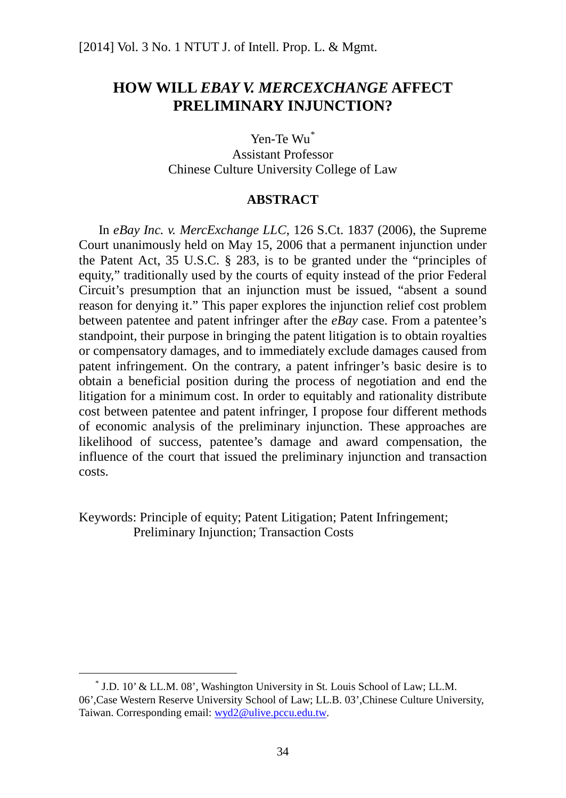# **HOW WILL** *EBAY V. MERCEXCHANGE* **AFFECT PRELIMINARY INJUNCTION?**

Yen-Te Wu[\\*](#page-40-0) Assistant Professor Chinese Culture University College of Law

#### **ABSTRACT**

In *eBay Inc. v. MercExchange LLC*, 126 S.Ct. 1837 (2006), the Supreme Court unanimously held on May 15, 2006 that a permanent injunction under the Patent Act, 35 U.S.C. § 283, is to be granted under the "principles of equity," traditionally used by the courts of equity instead of the prior Federal Circuit's presumption that an injunction must be issued, "absent a sound reason for denying it." This paper explores the injunction relief cost problem between patentee and patent infringer after the *eBay* case. From a patentee's standpoint, their purpose in bringing the patent litigation is to obtain royalties or compensatory damages, and to immediately exclude damages caused from patent infringement. On the contrary, a patent infringer's basic desire is to obtain a beneficial position during the process of negotiation and end the litigation for a minimum cost. In order to equitably and rationality distribute cost between patentee and patent infringer, I propose four different methods of economic analysis of the preliminary injunction. These approaches are likelihood of success, patentee's damage and award compensation, the influence of the court that issued the preliminary injunction and transaction costs.

Keywords: Principle of equity; Patent Litigation; Patent Infringement; Preliminary Injunction; Transaction Costs

<span id="page-40-0"></span> <sup>\*</sup> J.D. 10' & LL.M. 08', Washington University in St. Louis School of Law; LL.M. 06',Case Western Reserve University School of Law; LL.B. 03',Chinese Culture University, Taiwan. Corresponding email[: wyd2@ulive.pccu.edu.tw.](mailto:wyd2@ulive.pccu.edu.tw)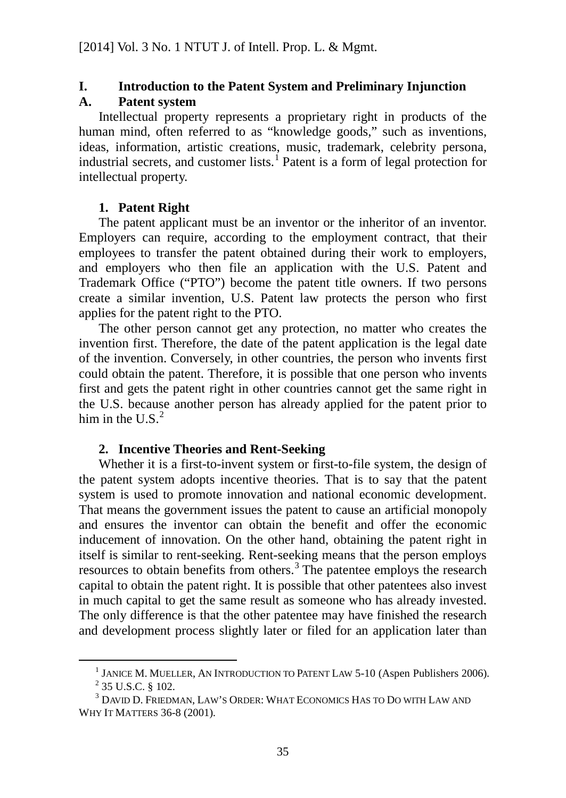# **I. Introduction to the Patent System and Preliminary Injunction A. Patent system**

Intellectual property represents a proprietary right in products of the human mind, often referred to as "knowledge goods," such as inventions, ideas, information, artistic creations, music, trademark, celebrity persona, industrial secrets, and customer lists.<sup>[1](#page-41-0)</sup> Patent is a form of legal protection for intellectual property.

### **1. Patent Right**

The patent applicant must be an inventor or the inheritor of an inventor. Employers can require, according to the employment contract, that their employees to transfer the patent obtained during their work to employers, and employers who then file an application with the U.S. Patent and Trademark Office ("PTO") become the patent title owners. If two persons create a similar invention, U.S. Patent law protects the person who first applies for the patent right to the PTO.

The other person cannot get any protection, no matter who creates the invention first. Therefore, the date of the patent application is the legal date of the invention. Conversely, in other countries, the person who invents first could obtain the patent. Therefore, it is possible that one person who invents first and gets the patent right in other countries cannot get the same right in the U.S. because another person has already applied for the patent prior to him in the U.S. $<sup>2</sup>$  $<sup>2</sup>$  $<sup>2</sup>$ </sup>

### **2. Incentive Theories and Rent-Seeking**

Whether it is a first-to-invent system or first-to-file system, the design of the patent system adopts incentive theories. That is to say that the patent system is used to promote innovation and national economic development. That means the government issues the patent to cause an artificial monopoly and ensures the inventor can obtain the benefit and offer the economic inducement of innovation. On the other hand, obtaining the patent right in itself is similar to rent-seeking. Rent-seeking means that the person employs resources to obtain benefits from others.<sup>[3](#page-41-2)</sup> The patentee employs the research capital to obtain the patent right. It is possible that other patentees also invest in much capital to get the same result as someone who has already invested. The only difference is that the other patentee may have finished the research and development process slightly later or filed for an application later than

<sup>&</sup>lt;sup>1</sup> JANICE M. MUELLER, AN INTRODUCTION TO PATENT LAW 5-10 (Aspen Publishers 2006).

 $^{2}$  35 U.S.C. § 102.

<span id="page-41-2"></span><span id="page-41-1"></span><span id="page-41-0"></span><sup>3</sup> DAVID D. FRIEDMAN, LAW'S ORDER: WHAT ECONOMICS HAS TO DO WITH LAW AND WHY IT MATTERS 36-8 (2001).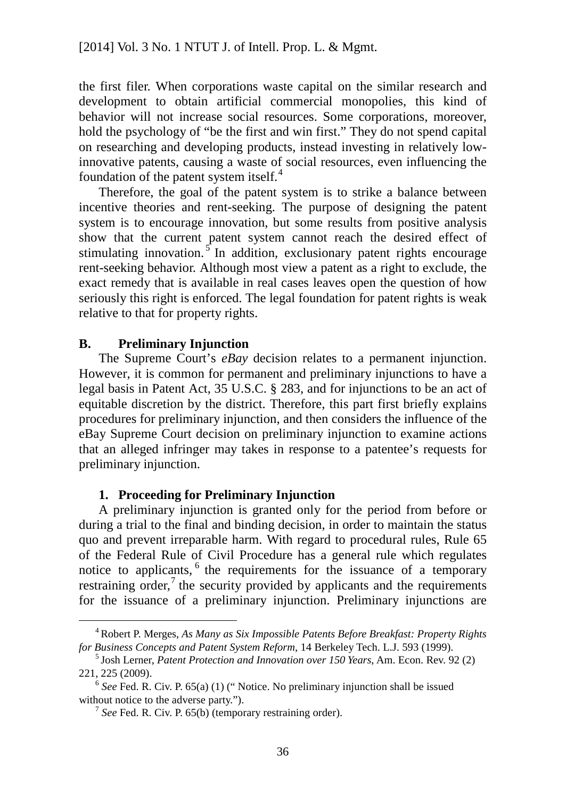the first filer. When corporations waste capital on the similar research and development to obtain artificial commercial monopolies, this kind of behavior will not increase social resources. Some corporations, moreover, hold the psychology of "be the first and win first." They do not spend capital on researching and developing products, instead investing in relatively lowinnovative patents, causing a waste of social resources, even influencing the foundation of the patent system itself. $4$ 

Therefore, the goal of the patent system is to strike a balance between incentive theories and rent-seeking. The purpose of designing the patent system is to encourage innovation, but some results from positive analysis show that the current patent system cannot reach the desired effect of stimulating innovation.  $\frac{5}{\pi}$  $\frac{5}{\pi}$  $\frac{5}{\pi}$  In addition, exclusionary patent rights encourage rent-seeking behavior. Although most view a patent as a right to exclude, the exact remedy that is available in real cases leaves open the question of how seriously this right is enforced. The legal foundation for patent rights is weak relative to that for property rights.

### **B. Preliminary Injunction**

The Supreme Court's *eBay* decision relates to a permanent injunction. However, it is common for permanent and preliminary injunctions to have a legal basis in Patent Act, 35 U.S.C. § 283, and for injunctions to be an act of equitable discretion by the district. Therefore, this part first briefly explains procedures for preliminary injunction, and then considers the influence of the eBay Supreme Court decision on preliminary injunction to examine actions that an alleged infringer may takes in response to a patentee's requests for preliminary injunction.

#### **1. Proceeding for Preliminary Injunction**

A preliminary injunction is granted only for the period from before or during a trial to the final and binding decision, in order to maintain the status quo and prevent irreparable harm. With regard to procedural rules, Rule 65 of the Federal Rule of Civil Procedure has a general rule which regulates notice to applicants, <sup>[6](#page-42-2)</sup> the requirements for the issuance of a temporary restraining order, $\frac{7}{1}$  $\frac{7}{1}$  $\frac{7}{1}$  the security provided by applicants and the requirements for the issuance of a preliminary injunction. Preliminary injunctions are

<span id="page-42-0"></span> <sup>4</sup> Robert P. Merges, *As Many as Six Impossible Patents Before Breakfast: Property Rights for Business Concepts and Patent System Reform*, 14 Berkeley Tech. L.J. 593 (1999).

<span id="page-42-1"></span><sup>5</sup> Josh Lerner, *Patent Protection and Innovation over 150 Years*, Am. Econ. Rev. 92 (2) 221, 225 (2009).

<span id="page-42-3"></span><span id="page-42-2"></span> $6$  *See* Fed. R. Civ. P. 65(a) (1) ("Notice. No preliminary injunction shall be issued without notice to the adverse party.").

 $<sup>7</sup>$  *See* Fed. R. Civ. P. 65(b) (temporary restraining order).</sup>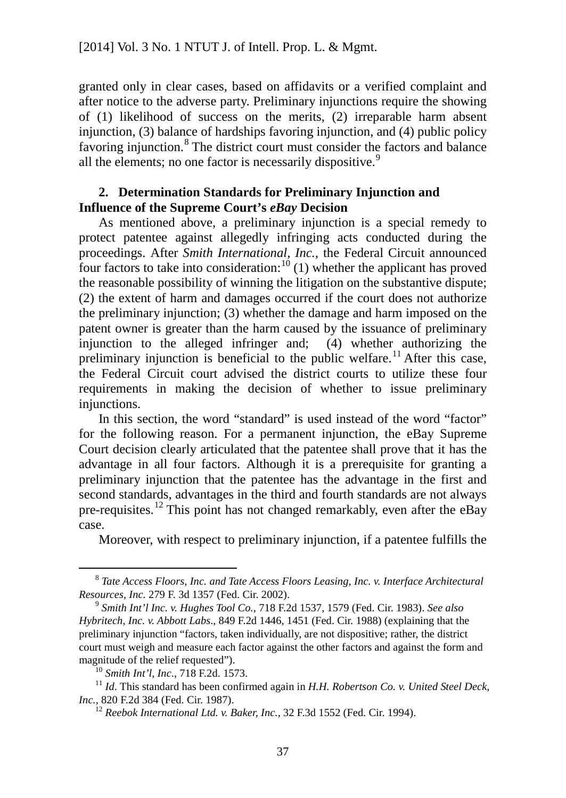granted only in clear cases, based on affidavits or a verified complaint and after notice to the adverse party. Preliminary injunctions require the showing of (1) likelihood of success on the merits, (2) irreparable harm absent injunction, (3) balance of hardships favoring injunction, and (4) public policy favoring injunction.<sup>[8](#page-43-0)</sup> The district court must consider the factors and balance all the elements; no one factor is necessarily dispositive.<sup>[9](#page-43-1)</sup>

#### **2. Determination Standards for Preliminary Injunction and Influence of the Supreme Court's** *eBay* **Decision**

As mentioned above, a preliminary injunction is a special remedy to protect patentee against allegedly infringing acts conducted during the proceedings. After *Smith International, Inc.,* the Federal Circuit announced four factors to take into consideration:  $10(1)$  $10(1)$  whether the applicant has proved the reasonable possibility of winning the litigation on the substantive dispute; (2) the extent of harm and damages occurred if the court does not authorize the preliminary injunction; (3) whether the damage and harm imposed on the patent owner is greater than the harm caused by the issuance of preliminary injunction to the alleged infringer and; (4) whether authorizing the preliminary injunction is beneficial to the public welfare.<sup>[11](#page-43-3)</sup> After this case, the Federal Circuit court advised the district courts to utilize these four requirements in making the decision of whether to issue preliminary injunctions.

In this section, the word "standard" is used instead of the word "factor" for the following reason. For a permanent injunction, the eBay Supreme Court decision clearly articulated that the patentee shall prove that it has the advantage in all four factors. Although it is a prerequisite for granting a preliminary injunction that the patentee has the advantage in the first and second standards, advantages in the third and fourth standards are not always pre-requisites.<sup>[12](#page-43-4)</sup> This point has not changed remarkably, even after the eBay case.

Moreover, with respect to preliminary injunction, if a patentee fulfills the

<span id="page-43-0"></span> <sup>8</sup> *Tate Access Floors, Inc. and Tate Access Floors Leasing, Inc. v. Interface Architectural Resources, Inc.* 279 F. 3d 1357 (Fed. Cir. 2002). 9 *Smith Int'l Inc. v. Hughes Tool Co.*, 718 F.2d 1537, 1579 (Fed. Cir. 1983). *See also*

<span id="page-43-1"></span>*Hybritech, Inc. v. Abbott Labs*., 849 F.2d 1446, 1451 (Fed. Cir. 1988) (explaining that the preliminary injunction "factors, taken individually, are not dispositive; rather, the district court must weigh and measure each factor against the other factors and against the form and magnitude of the relief requested"). 10 *Smith Int'l, Inc*., 718 F.2d. 1573.

<span id="page-43-4"></span><span id="page-43-3"></span><span id="page-43-2"></span><sup>&</sup>lt;sup>11</sup> *Id*. This standard has been confirmed again in *H.H. Robertson Co. v. United Steel Deck, Inc.,* 820 F.2d 384 (Fed. Cir. 1987).

<sup>&</sup>lt;sup>12</sup> Reebok International Ltd. v. Baker, Inc., 32 F.3d 1552 (Fed. Cir. 1994).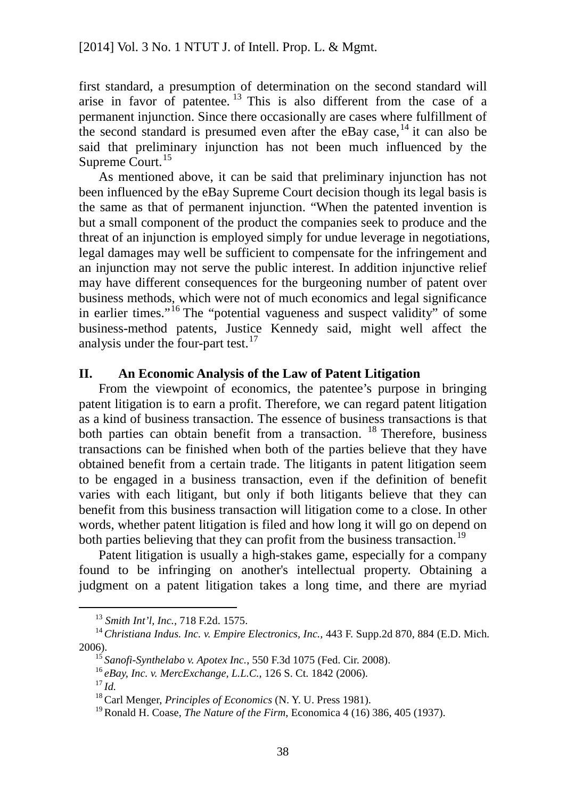first standard, a presumption of determination on the second standard will arise in favor of patentee.<sup>[13](#page-44-0)</sup> This is also different from the case of a permanent injunction. Since there occasionally are cases where fulfillment of the second standard is presumed even after the eBay case,  $^{14}$  $^{14}$  $^{14}$  it can also be said that preliminary injunction has not been much influenced by the Supreme Court.<sup>[15](#page-44-2)</sup>

As mentioned above, it can be said that preliminary injunction has not been influenced by the eBay Supreme Court decision though its legal basis is the same as that of permanent injunction. "When the patented invention is but a small component of the product the companies seek to produce and the threat of an injunction is employed simply for undue leverage in negotiations, legal damages may well be sufficient to compensate for the infringement and an injunction may not serve the public interest. In addition injunctive relief may have different consequences for the burgeoning number of patent over business methods, which were not of much economics and legal significance in earlier times."[16](#page-44-3) The "potential vagueness and suspect validity" of some business-method patents, Justice Kennedy said, might well affect the analysis under the four-part test.<sup>[17](#page-44-4)</sup>

### **II. An Economic Analysis of the Law of Patent Litigation**

From the viewpoint of economics, the patentee's purpose in bringing patent litigation is to earn a profit. Therefore, we can regard patent litigation as a kind of business transaction. The essence of business transactions is that both parties can obtain benefit from a transaction.  $18$  Therefore, business transactions can be finished when both of the parties believe that they have obtained benefit from a certain trade. The litigants in patent litigation seem to be engaged in a business transaction, even if the definition of benefit varies with each litigant, but only if both litigants believe that they can benefit from this business transaction will litigation come to a close. In other words, whether patent litigation is filed and how long it will go on depend on both parties believing that they can profit from the business transaction.<sup>[19](#page-44-6)</sup>

Patent litigation is usually a high-stakes game, especially for a company found to be infringing on another's intellectual property. Obtaining a judgment on a patent litigation takes a long time, and there are myriad

 <sup>13</sup> *Smith Int'l, Inc.,* 718 F.2d. 1575.

<span id="page-44-4"></span><span id="page-44-3"></span><span id="page-44-2"></span><span id="page-44-1"></span><span id="page-44-0"></span><sup>&</sup>lt;sup>14</sup> Christiana Indus. Inc. v. Empire Electronics, Inc., 443 F. Supp.2d 870, 884 (E.D. Mich. 2006).

<sup>15</sup> *Sanofi-Synthelabo v. Apotex Inc.*, 550 F.3d 1075 (Fed. Cir. 2008).

<sup>16</sup> *eBay, Inc. v. MercExchange, L.L.C.*, 126 S. Ct. 1842 (2006).

<sup>17</sup> *Id.*

<span id="page-44-5"></span><sup>18</sup> Carl Menger, *Principles of Economics* (N. Y. U. Press 1981).

<span id="page-44-6"></span><sup>19</sup> Ronald H. Coase, *The Nature of the Firm*, Economica 4 (16) 386, 405 (1937).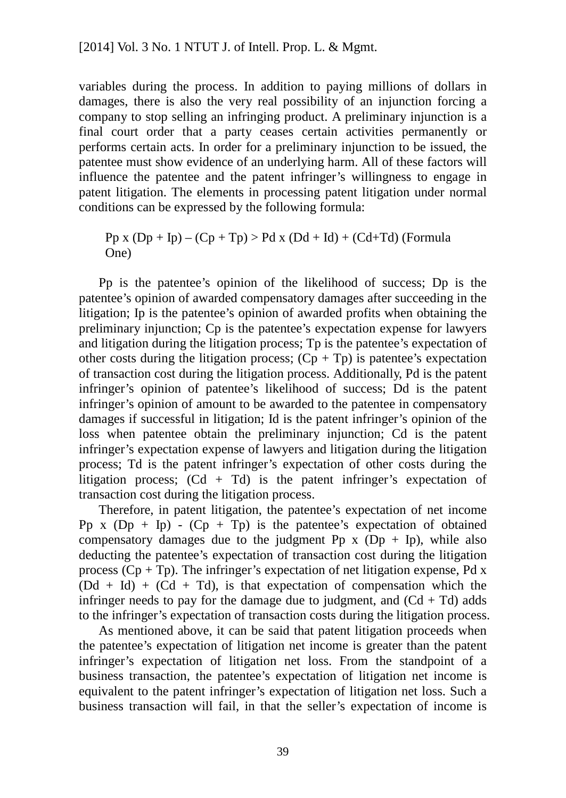variables during the process. In addition to paying millions of dollars in damages, there is also the very real possibility of an injunction forcing a company to stop selling an infringing product. A preliminary injunction is a final court order that a party ceases certain activities permanently or performs certain acts. In order for a preliminary injunction to be issued, the patentee must show evidence of an underlying harm. All of these factors will influence the patentee and the patent infringer's willingness to engage in patent litigation. The elements in processing patent litigation under normal conditions can be expressed by the following formula:

$$
Pp x (Dp + Ip) – (Cp + Tp) > Pd x (Dd + Id) + (Cd+Td) (FormulaOne)
$$

Pp is the patentee's opinion of the likelihood of success; Dp is the patentee's opinion of awarded compensatory damages after succeeding in the litigation; Ip is the patentee's opinion of awarded profits when obtaining the preliminary injunction; Cp is the patentee's expectation expense for lawyers and litigation during the litigation process; Tp is the patentee's expectation of other costs during the litigation process;  $(Cp + Tp)$  is patentee's expectation of transaction cost during the litigation process. Additionally, Pd is the patent infringer's opinion of patentee's likelihood of success; Dd is the patent infringer's opinion of amount to be awarded to the patentee in compensatory damages if successful in litigation; Id is the patent infringer's opinion of the loss when patentee obtain the preliminary injunction; Cd is the patent infringer's expectation expense of lawyers and litigation during the litigation process; Td is the patent infringer's expectation of other costs during the litigation process;  $(Cd + Td)$  is the patent infringer's expectation of transaction cost during the litigation process.

Therefore, in patent litigation, the patentee's expectation of net income Pp x  $(Dp + Ip) - (Cp + Tp)$  is the patentee's expectation of obtained compensatory damages due to the judgment Pp  $x$  (Dp + Ip), while also deducting the patentee's expectation of transaction cost during the litigation process  $(Cp + Tp)$ . The infringer's expectation of net litigation expense, Pd x  $(Dd + Id) + (Cd + Td)$ , is that expectation of compensation which the infringer needs to pay for the damage due to judgment, and  $(Cd + Td)$  adds to the infringer's expectation of transaction costs during the litigation process.

As mentioned above, it can be said that patent litigation proceeds when the patentee's expectation of litigation net income is greater than the patent infringer's expectation of litigation net loss. From the standpoint of a business transaction, the patentee's expectation of litigation net income is equivalent to the patent infringer's expectation of litigation net loss. Such a business transaction will fail, in that the seller's expectation of income is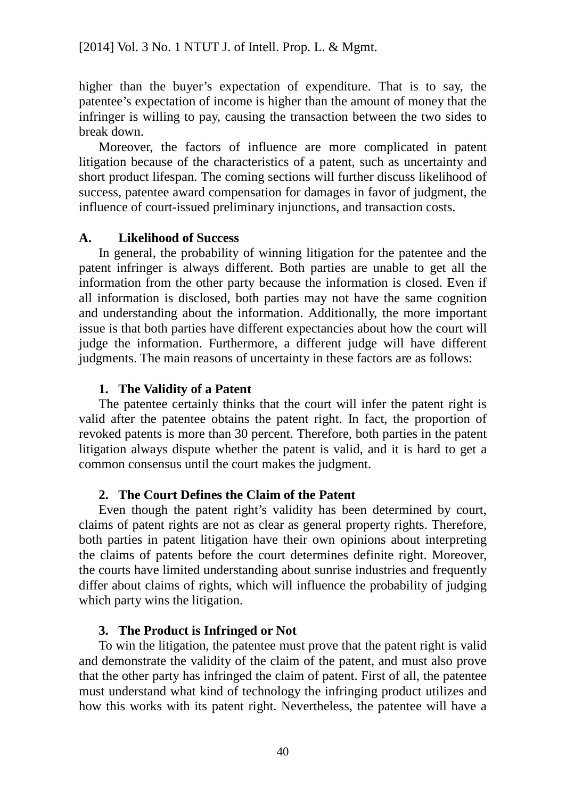higher than the buyer's expectation of expenditure. That is to say, the patentee's expectation of income is higher than the amount of money that the infringer is willing to pay, causing the transaction between the two sides to break down.

Moreover, the factors of influence are more complicated in patent litigation because of the characteristics of a patent, such as uncertainty and short product lifespan. The coming sections will further discuss likelihood of success, patentee award compensation for damages in favor of judgment, the influence of court-issued preliminary injunctions, and transaction costs.

### **A. Likelihood of Success**

In general, the probability of winning litigation for the patentee and the patent infringer is always different. Both parties are unable to get all the information from the other party because the information is closed. Even if all information is disclosed, both parties may not have the same cognition and understanding about the information. Additionally, the more important issue is that both parties have different expectancies about how the court will judge the information. Furthermore, a different judge will have different judgments. The main reasons of uncertainty in these factors are as follows:

# **1. The Validity of a Patent**

The patentee certainly thinks that the court will infer the patent right is valid after the patentee obtains the patent right. In fact, the proportion of revoked patents is more than 30 percent. Therefore, both parties in the patent litigation always dispute whether the patent is valid, and it is hard to get a common consensus until the court makes the judgment.

# **2. The Court Defines the Claim of the Patent**

Even though the patent right's validity has been determined by court, claims of patent rights are not as clear as general property rights. Therefore, both parties in patent litigation have their own opinions about interpreting the claims of patents before the court determines definite right. Moreover, the courts have limited understanding about sunrise industries and frequently differ about claims of rights, which will influence the probability of judging which party wins the litigation.

### **3. The Product is Infringed or Not**

To win the litigation, the patentee must prove that the patent right is valid and demonstrate the validity of the claim of the patent, and must also prove that the other party has infringed the claim of patent. First of all, the patentee must understand what kind of technology the infringing product utilizes and how this works with its patent right. Nevertheless, the patentee will have a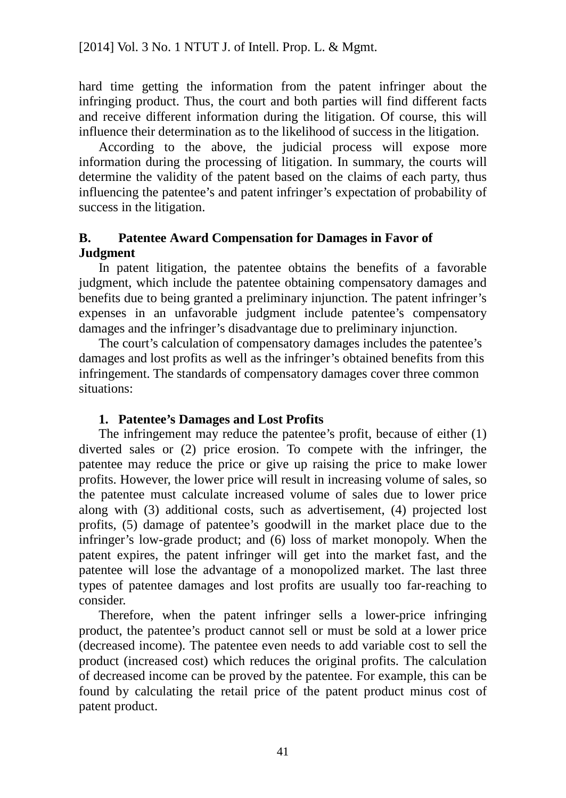hard time getting the information from the patent infringer about the infringing product. Thus, the court and both parties will find different facts and receive different information during the litigation. Of course, this will influence their determination as to the likelihood of success in the litigation.

According to the above, the judicial process will expose more information during the processing of litigation. In summary, the courts will determine the validity of the patent based on the claims of each party, thus influencing the patentee's and patent infringer's expectation of probability of success in the litigation.

### **B. Patentee Award Compensation for Damages in Favor of Judgment**

In patent litigation, the patentee obtains the benefits of a favorable judgment, which include the patentee obtaining compensatory damages and benefits due to being granted a preliminary injunction. The patent infringer's expenses in an unfavorable judgment include patentee's compensatory damages and the infringer's disadvantage due to preliminary injunction.

The court's calculation of compensatory damages includes the patentee's damages and lost profits as well as the infringer's obtained benefits from this infringement. The standards of compensatory damages cover three common situations:

### **1. Patentee's Damages and Lost Profits**

The infringement may reduce the patentee's profit, because of either (1) diverted sales or (2) price erosion. To compete with the infringer, the patentee may reduce the price or give up raising the price to make lower profits. However, the lower price will result in increasing volume of sales, so the patentee must calculate increased volume of sales due to lower price along with (3) additional costs, such as advertisement, (4) projected lost profits, (5) damage of patentee's goodwill in the market place due to the infringer's low-grade product; and (6) loss of market monopoly. When the patent expires, the patent infringer will get into the market fast, and the patentee will lose the advantage of a monopolized market. The last three types of patentee damages and lost profits are usually too far-reaching to consider.

Therefore, when the patent infringer sells a lower-price infringing product, the patentee's product cannot sell or must be sold at a lower price (decreased income). The patentee even needs to add variable cost to sell the product (increased cost) which reduces the original profits. The calculation of decreased income can be proved by the patentee. For example, this can be found by calculating the retail price of the patent product minus cost of patent product.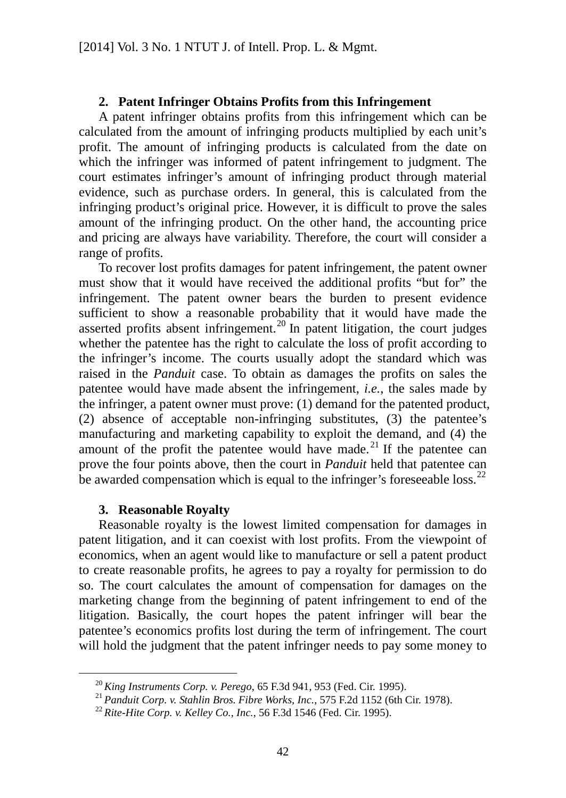#### **2. Patent Infringer Obtains Profits from this Infringement**

A patent infringer obtains profits from this infringement which can be calculated from the amount of infringing products multiplied by each unit's profit. The amount of infringing products is calculated from the date on which the infringer was informed of patent infringement to judgment. The court estimates infringer's amount of infringing product through material evidence, such as purchase orders. In general, this is calculated from the infringing product's original price. However, it is difficult to prove the sales amount of the infringing product. On the other hand, the accounting price and pricing are always have variability. Therefore, the court will consider a range of profits.

To recover lost profits damages for patent infringement, the patent owner must show that it would have received the additional profits "but for" the infringement. The patent owner bears the burden to present evidence sufficient to show a reasonable probability that it would have made the asserted profits absent infringement.<sup>[20](#page-48-0)</sup> In patent litigation, the court judges whether the patentee has the right to calculate the loss of profit according to the infringer's income. The courts usually adopt the standard which was raised in the *Panduit* case. To obtain as damages the profits on sales the patentee would have made absent the infringement, *i.e.*, the sales made by the infringer, a patent owner must prove: (1) demand for the patented product, (2) absence of acceptable non-infringing substitutes, (3) the patentee's manufacturing and marketing capability to exploit the demand, and (4) the amount of the profit the patentee would have made. $^{21}$  $^{21}$  $^{21}$  If the patentee can prove the four points above, then the court in *Panduit* held that patentee can be awarded compensation which is equal to the infringer's foreseeable loss.<sup>[22](#page-48-2)</sup>

#### **3. Reasonable Royalty**

Reasonable royalty is the lowest limited compensation for damages in patent litigation, and it can coexist with lost profits. From the viewpoint of economics, when an agent would like to manufacture or sell a patent product to create reasonable profits, he agrees to pay a royalty for permission to do so. The court calculates the amount of compensation for damages on the marketing change from the beginning of patent infringement to end of the litigation. Basically, the court hopes the patent infringer will bear the patentee's economics profits lost during the term of infringement. The court will hold the judgment that the patent infringer needs to pay some money to

 <sup>20</sup> *King Instruments Corp. v. Perego*, 65 F.3d 941, 953 (Fed. Cir. 1995).

<span id="page-48-1"></span><span id="page-48-0"></span><sup>21</sup> *Panduit Corp. v. Stahlin Bros. Fibre Works, Inc.*, 575 F.2d 1152 (6th Cir. 1978).

<span id="page-48-2"></span><sup>22</sup> *Rite-Hite Corp. v. Kelley Co., Inc.*, 56 F.3d 1546 (Fed. Cir. 1995).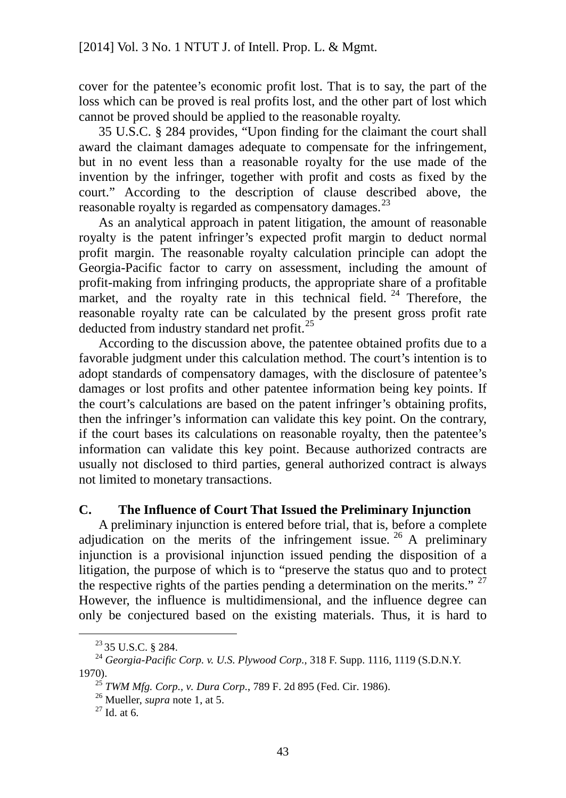cover for the patentee's economic profit lost. That is to say, the part of the loss which can be proved is real profits lost, and the other part of lost which cannot be proved should be applied to the reasonable royalty.

35 U.S.C. § 284 provides, "Upon finding for the claimant the court shall award the claimant damages adequate to compensate for the infringement, but in no event less than a reasonable royalty for the use made of the invention by the infringer, together with profit and costs as fixed by the court." According to the description of clause described above, the reasonable royalty is regarded as compensatory damages.<sup>[23](#page-49-0)</sup>

As an analytical approach in patent litigation, the amount of reasonable royalty is the patent infringer's expected profit margin to deduct normal profit margin. The reasonable royalty calculation principle can adopt the Georgia-Pacific factor to carry on assessment, including the amount of profit-making from infringing products, the appropriate share of a profitable market, and the royalty rate in this technical field.<sup>[24](#page-49-1)</sup> Therefore, the reasonable royalty rate can be calculated by the present gross profit rate deducted from industry standard net profit.<sup>[25](#page-49-2)</sup>

According to the discussion above, the patentee obtained profits due to a favorable judgment under this calculation method. The court's intention is to adopt standards of compensatory damages, with the disclosure of patentee's damages or lost profits and other patentee information being key points. If the court's calculations are based on the patent infringer's obtaining profits, then the infringer's information can validate this key point. On the contrary, if the court bases its calculations on reasonable royalty, then the patentee's information can validate this key point. Because authorized contracts are usually not disclosed to third parties, general authorized contract is always not limited to monetary transactions.

### **C. The Influence of Court That Issued the Preliminary Injunction**

A preliminary injunction is entered before trial, that is, before a complete adjudication on the merits of the infringement issue.  $26$  A preliminary injunction is a provisional injunction issued pending the disposition of a litigation, the purpose of which is to "preserve the status quo and to protect the respective rights of the parties pending a determination on the merits."  $27$ However, the influence is multidimensional, and the influence degree can only be conjectured based on the existing materials. Thus, it is hard to

 $^{23}$  35 U.S.C. § 284.

<span id="page-49-3"></span><span id="page-49-2"></span><span id="page-49-1"></span><span id="page-49-0"></span><sup>24</sup> *Georgia-Pacific Corp. v. U.S. Plywood Corp.,* 318 F. Supp. 1116, 1119 (S.D.N.Y. 1970).

<sup>25</sup> *TWM Mfg. Corp., v. Dura Corp.*, 789 F. 2d 895 (Fed. Cir. 1986).

<sup>26</sup> Mueller, *supra* note 1, at 5.

<span id="page-49-4"></span> $27$  Id. at 6.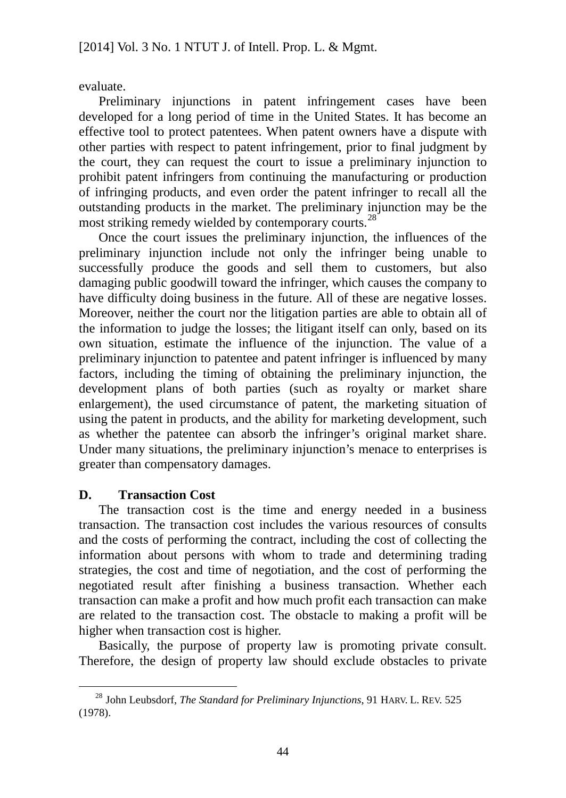evaluate.

Preliminary injunctions in patent infringement cases have been developed for a long period of time in the United States. It has become an effective tool to protect patentees. When patent owners have a dispute with other parties with respect to patent infringement, prior to final judgment by the court, they can request the court to issue a preliminary injunction to prohibit patent infringers from continuing the manufacturing or production of infringing products, and even order the patent infringer to recall all the outstanding products in the market. The preliminary injunction may be the most striking remedy wielded by contemporary courts.<sup>[28](#page-50-0)</sup>

Once the court issues the preliminary injunction, the influences of the preliminary injunction include not only the infringer being unable to successfully produce the goods and sell them to customers, but also damaging public goodwill toward the infringer, which causes the company to have difficulty doing business in the future. All of these are negative losses. Moreover, neither the court nor the litigation parties are able to obtain all of the information to judge the losses; the litigant itself can only, based on its own situation, estimate the influence of the injunction. The value of a preliminary injunction to patentee and patent infringer is influenced by many factors, including the timing of obtaining the preliminary injunction, the development plans of both parties (such as royalty or market share enlargement), the used circumstance of patent, the marketing situation of using the patent in products, and the ability for marketing development, such as whether the patentee can absorb the infringer's original market share. Under many situations, the preliminary injunction's menace to enterprises is greater than compensatory damages.

### **D. Transaction Cost**

The transaction cost is the time and energy needed in a business transaction. The transaction cost includes the various resources of consults and the costs of performing the contract, including the cost of collecting the information about persons with whom to trade and determining trading strategies, the cost and time of negotiation, and the cost of performing the negotiated result after finishing a business transaction. Whether each transaction can make a profit and how much profit each transaction can make are related to the transaction cost. The obstacle to making a profit will be higher when transaction cost is higher.

Basically, the purpose of property law is promoting private consult. Therefore, the design of property law should exclude obstacles to private

<span id="page-50-0"></span> <sup>28</sup> John Leubsdorf, *The Standard for Preliminary Injunctions*, 91 HARV. L. REV. <sup>525</sup> (1978).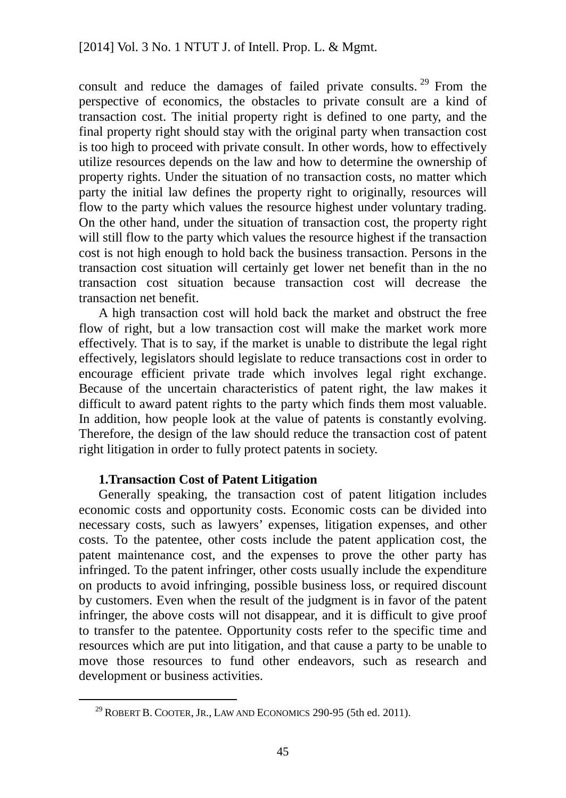consult and reduce the damages of failed private consults.  $29$  From the perspective of economics, the obstacles to private consult are a kind of transaction cost. The initial property right is defined to one party, and the final property right should stay with the original party when transaction cost is too high to proceed with private consult. In other words, how to effectively utilize resources depends on the law and how to determine the ownership of property rights. Under the situation of no transaction costs, no matter which party the initial law defines the property right to originally, resources will flow to the party which values the resource highest under voluntary trading. On the other hand, under the situation of transaction cost, the property right will still flow to the party which values the resource highest if the transaction cost is not high enough to hold back the business transaction. Persons in the transaction cost situation will certainly get lower net benefit than in the no transaction cost situation because transaction cost will decrease the transaction net benefit.

A high transaction cost will hold back the market and obstruct the free flow of right, but a low transaction cost will make the market work more effectively. That is to say, if the market is unable to distribute the legal right effectively, legislators should legislate to reduce transactions cost in order to encourage efficient private trade which involves legal right exchange. Because of the uncertain characteristics of patent right, the law makes it difficult to award patent rights to the party which finds them most valuable. In addition, how people look at the value of patents is constantly evolving. Therefore, the design of the law should reduce the transaction cost of patent right litigation in order to fully protect patents in society.

#### **1.Transaction Cost of Patent Litigation**

Generally speaking, the transaction cost of patent litigation includes economic costs and opportunity costs. Economic costs can be divided into necessary costs, such as lawyers' expenses, litigation expenses, and other costs. To the patentee, other costs include the patent application cost, the patent maintenance cost, and the expenses to prove the other party has infringed. To the patent infringer, other costs usually include the expenditure on products to avoid infringing, possible business loss, or required discount by customers. Even when the result of the judgment is in favor of the patent infringer, the above costs will not disappear, and it is difficult to give proof to transfer to the patentee. Opportunity costs refer to the specific time and resources which are put into litigation, and that cause a party to be unable to move those resources to fund other endeavors, such as research and development or business activities.

<span id="page-51-0"></span> <sup>29</sup> ROBERT B. COOTER, JR., LAW AND ECONOMICS 290-95 (5th ed. 2011).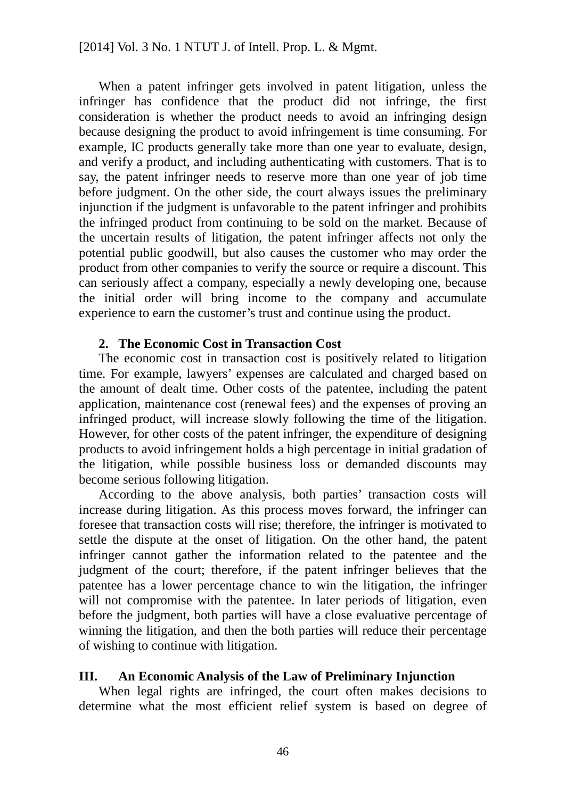When a patent infringer gets involved in patent litigation, unless the infringer has confidence that the product did not infringe, the first consideration is whether the product needs to avoid an infringing design because designing the product to avoid infringement is time consuming. For example, IC products generally take more than one year to evaluate, design, and verify a product, and including authenticating with customers. That is to say, the patent infringer needs to reserve more than one year of job time before judgment. On the other side, the court always issues the preliminary injunction if the judgment is unfavorable to the patent infringer and prohibits the infringed product from continuing to be sold on the market. Because of the uncertain results of litigation, the patent infringer affects not only the potential public goodwill, but also causes the customer who may order the product from other companies to verify the source or require a discount. This can seriously affect a company, especially a newly developing one, because the initial order will bring income to the company and accumulate experience to earn the customer's trust and continue using the product.

#### **2. The Economic Cost in Transaction Cost**

The economic cost in transaction cost is positively related to litigation time. For example, lawyers' expenses are calculated and charged based on the amount of dealt time. Other costs of the patentee, including the patent application, maintenance cost (renewal fees) and the expenses of proving an infringed product, will increase slowly following the time of the litigation. However, for other costs of the patent infringer, the expenditure of designing products to avoid infringement holds a high percentage in initial gradation of the litigation, while possible business loss or demanded discounts may become serious following litigation.

According to the above analysis, both parties' transaction costs will increase during litigation. As this process moves forward, the infringer can foresee that transaction costs will rise; therefore, the infringer is motivated to settle the dispute at the onset of litigation. On the other hand, the patent infringer cannot gather the information related to the patentee and the judgment of the court; therefore, if the patent infringer believes that the patentee has a lower percentage chance to win the litigation, the infringer will not compromise with the patentee. In later periods of litigation, even before the judgment, both parties will have a close evaluative percentage of winning the litigation, and then the both parties will reduce their percentage of wishing to continue with litigation.

#### **III. An Economic Analysis of the Law of Preliminary Injunction**

When legal rights are infringed, the court often makes decisions to determine what the most efficient relief system is based on degree of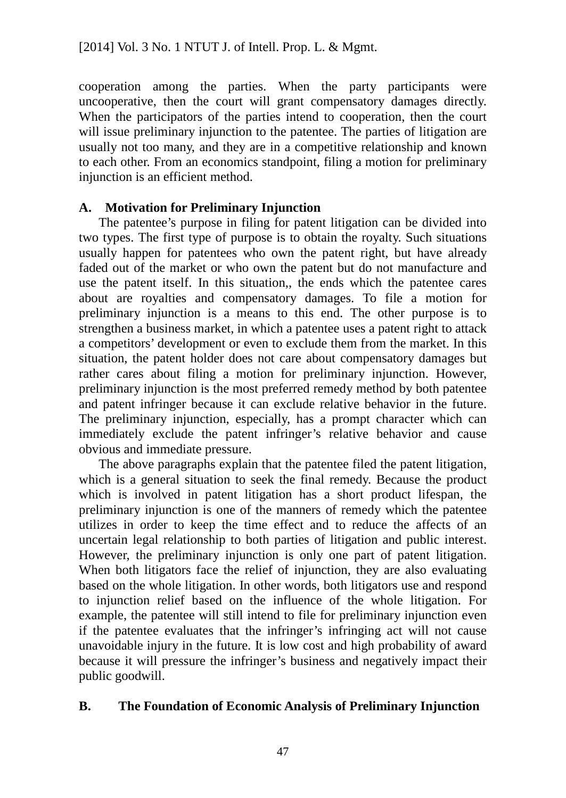cooperation among the parties. When the party participants were uncooperative, then the court will grant compensatory damages directly. When the participators of the parties intend to cooperation, then the court will issue preliminary injunction to the patentee. The parties of litigation are usually not too many, and they are in a competitive relationship and known to each other. From an economics standpoint, filing a motion for preliminary injunction is an efficient method.

### **A. Motivation for Preliminary Injunction**

The patentee's purpose in filing for patent litigation can be divided into two types. The first type of purpose is to obtain the royalty. Such situations usually happen for patentees who own the patent right, but have already faded out of the market or who own the patent but do not manufacture and use the patent itself. In this situation,, the ends which the patentee cares about are royalties and compensatory damages. To file a motion for preliminary injunction is a means to this end. The other purpose is to strengthen a business market, in which a patentee uses a patent right to attack a competitors' development or even to exclude them from the market. In this situation, the patent holder does not care about compensatory damages but rather cares about filing a motion for preliminary injunction. However, preliminary injunction is the most preferred remedy method by both patentee and patent infringer because it can exclude relative behavior in the future. The preliminary injunction, especially, has a prompt character which can immediately exclude the patent infringer's relative behavior and cause obvious and immediate pressure.

The above paragraphs explain that the patentee filed the patent litigation, which is a general situation to seek the final remedy. Because the product which is involved in patent litigation has a short product lifespan, the preliminary injunction is one of the manners of remedy which the patentee utilizes in order to keep the time effect and to reduce the affects of an uncertain legal relationship to both parties of litigation and public interest. However, the preliminary injunction is only one part of patent litigation. When both litigators face the relief of injunction, they are also evaluating based on the whole litigation. In other words, both litigators use and respond to injunction relief based on the influence of the whole litigation. For example, the patentee will still intend to file for preliminary injunction even if the patentee evaluates that the infringer's infringing act will not cause unavoidable injury in the future. It is low cost and high probability of award because it will pressure the infringer's business and negatively impact their public goodwill.

### **B. The Foundation of Economic Analysis of Preliminary Injunction**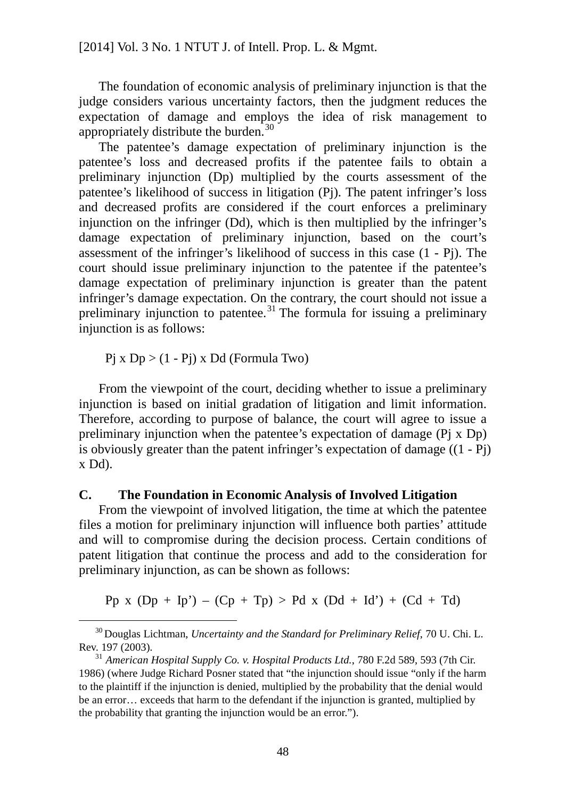The foundation of economic analysis of preliminary injunction is that the judge considers various uncertainty factors, then the judgment reduces the expectation of damage and employs the idea of risk management to appropriately distribute the burden.<sup>[30](#page-54-0)</sup>

The patentee's damage expectation of preliminary injunction is the patentee's loss and decreased profits if the patentee fails to obtain a preliminary injunction (Dp) multiplied by the courts assessment of the patentee's likelihood of success in litigation (Pj). The patent infringer's loss and decreased profits are considered if the court enforces a preliminary injunction on the infringer (Dd), which is then multiplied by the infringer's damage expectation of preliminary injunction, based on the court's assessment of the infringer's likelihood of success in this case (1 - Pj). The court should issue preliminary injunction to the patentee if the patentee's damage expectation of preliminary injunction is greater than the patent infringer's damage expectation. On the contrary, the court should not issue a preliminary injunction to patentee.<sup>[31](#page-54-1)</sup> The formula for issuing a preliminary injunction is as follows:

 $Pi x Dp > (1 - Pi) x Dd$  (Formula Two)

From the viewpoint of the court, deciding whether to issue a preliminary injunction is based on initial gradation of litigation and limit information. Therefore, according to purpose of balance, the court will agree to issue a preliminary injunction when the patentee's expectation of damage (Pj x Dp) is obviously greater than the patent infringer's expectation of damage  $((1 - Pj))$ x Dd).

#### **C. The Foundation in Economic Analysis of Involved Litigation**

From the viewpoint of involved litigation, the time at which the patentee files a motion for preliminary injunction will influence both parties' attitude and will to compromise during the decision process. Certain conditions of patent litigation that continue the process and add to the consideration for preliminary injunction, as can be shown as follows:

Pp x  $(Dp + Ip') - (Cp + Tp) > Pd$  x  $(Dd + Id') + (Cd + Td)$ 

<span id="page-54-0"></span> <sup>30</sup> Douglas Lichtman, *Uncertainty and the Standard for Preliminary Relief*, 70 U. Chi. L. Rev. 197 (2003).

<span id="page-54-1"></span><sup>31</sup> *American Hospital Supply Co. v. Hospital Products Ltd.*, 780 F.2d 589, 593 (7th Cir. 1986) (where Judge Richard Posner stated that "the injunction should issue "only if the harm to the plaintiff if the injunction is denied, multiplied by the probability that the denial would be an error… exceeds that harm to the defendant if the injunction is granted, multiplied by the probability that granting the injunction would be an error.").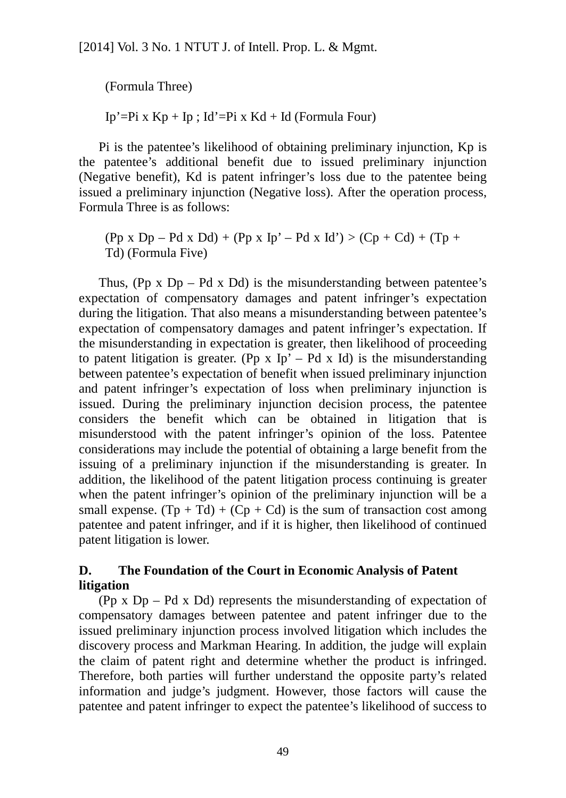(Formula Three)

Ip'=Pi x  $Kp + Ip$ ; Id'=Pi x  $Kd + Id$  (Formula Four)

Pi is the patentee's likelihood of obtaining preliminary injunction, Kp is the patentee's additional benefit due to issued preliminary injunction (Negative benefit), Kd is patent infringer's loss due to the patentee being issued a preliminary injunction (Negative loss). After the operation process, Formula Three is as follows:

 $($ Pp x Dp – Pd x Dd) +  $($ Pp x Ip' – Pd x Id' $)$  >  $($ Cp + Cd $)$  +  $(Tp +$ Td) (Formula Five)

Thus, (Pp  $x$  Dp – Pd  $x$  Dd) is the misunderstanding between patentee's expectation of compensatory damages and patent infringer's expectation during the litigation. That also means a misunderstanding between patentee's expectation of compensatory damages and patent infringer's expectation. If the misunderstanding in expectation is greater, then likelihood of proceeding to patent litigation is greater. (Pp x Ip' – Pd x Id) is the misunderstanding between patentee's expectation of benefit when issued preliminary injunction and patent infringer's expectation of loss when preliminary injunction is issued. During the preliminary injunction decision process, the patentee considers the benefit which can be obtained in litigation that is misunderstood with the patent infringer's opinion of the loss. Patentee considerations may include the potential of obtaining a large benefit from the issuing of a preliminary injunction if the misunderstanding is greater. In addition, the likelihood of the patent litigation process continuing is greater when the patent infringer's opinion of the preliminary injunction will be a small expense.  $(Tp + Td) + (Cp + Cd)$  is the sum of transaction cost among patentee and patent infringer, and if it is higher, then likelihood of continued patent litigation is lower.

# **D. The Foundation of the Court in Economic Analysis of Patent litigation**

(Pp x Dp – Pd x Dd) represents the misunderstanding of expectation of compensatory damages between patentee and patent infringer due to the issued preliminary injunction process involved litigation which includes the discovery process and Markman Hearing. In addition, the judge will explain the claim of patent right and determine whether the product is infringed. Therefore, both parties will further understand the opposite party's related information and judge's judgment. However, those factors will cause the patentee and patent infringer to expect the patentee's likelihood of success to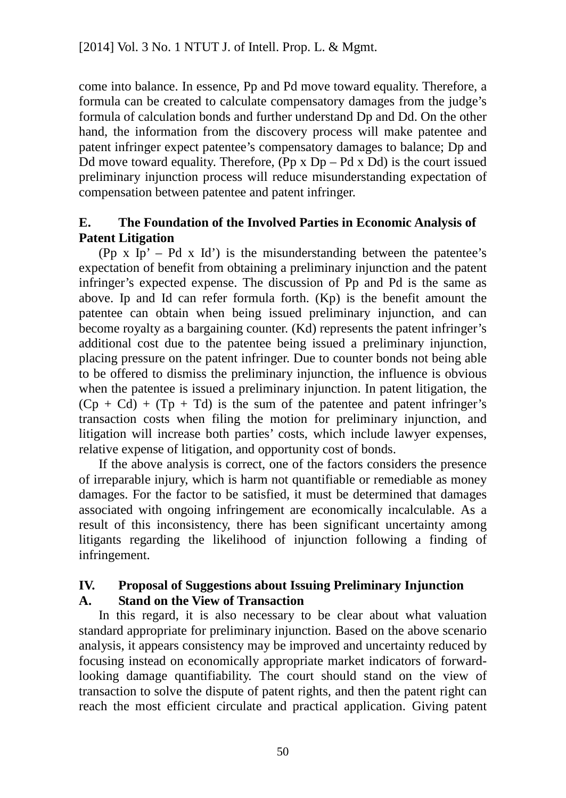come into balance. In essence, Pp and Pd move toward equality. Therefore, a formula can be created to calculate compensatory damages from the judge's formula of calculation bonds and further understand Dp and Dd. On the other hand, the information from the discovery process will make patentee and patent infringer expect patentee's compensatory damages to balance; Dp and Dd move toward equality. Therefore,  $(\text{Pp} \times \text{Dp} - \text{Pd} \times \text{Dd})$  is the court issued preliminary injunction process will reduce misunderstanding expectation of compensation between patentee and patent infringer.

### **E. The Foundation of the Involved Parties in Economic Analysis of Patent Litigation**

(Pp  $x$  Ip' – Pd  $x$  Id') is the misunderstanding between the patentee's expectation of benefit from obtaining a preliminary injunction and the patent infringer's expected expense. The discussion of Pp and Pd is the same as above. Ip and Id can refer formula forth. (Kp) is the benefit amount the patentee can obtain when being issued preliminary injunction, and can become royalty as a bargaining counter. (Kd) represents the patent infringer's additional cost due to the patentee being issued a preliminary injunction, placing pressure on the patent infringer. Due to counter bonds not being able to be offered to dismiss the preliminary injunction, the influence is obvious when the patentee is issued a preliminary injunction. In patent litigation, the  $(Cp + Cd) + (Tp + Td)$  is the sum of the patentee and patent infringer's transaction costs when filing the motion for preliminary injunction, and litigation will increase both parties' costs, which include lawyer expenses, relative expense of litigation, and opportunity cost of bonds.

If the above analysis is correct, one of the factors considers the presence of irreparable injury, which is harm not quantifiable or remediable as money damages. For the factor to be satisfied, it must be determined that damages associated with ongoing infringement are economically incalculable. As a result of this inconsistency, there has been significant uncertainty among litigants regarding the likelihood of injunction following a finding of infringement.

### **IV. Proposal of Suggestions about Issuing Preliminary Injunction A. Stand on the View of Transaction**

In this regard, it is also necessary to be clear about what valuation standard appropriate for preliminary injunction. Based on the above scenario analysis, it appears consistency may be improved and uncertainty reduced by focusing instead on economically appropriate market indicators of forwardlooking damage quantifiability. The court should stand on the view of transaction to solve the dispute of patent rights, and then the patent right can reach the most efficient circulate and practical application. Giving patent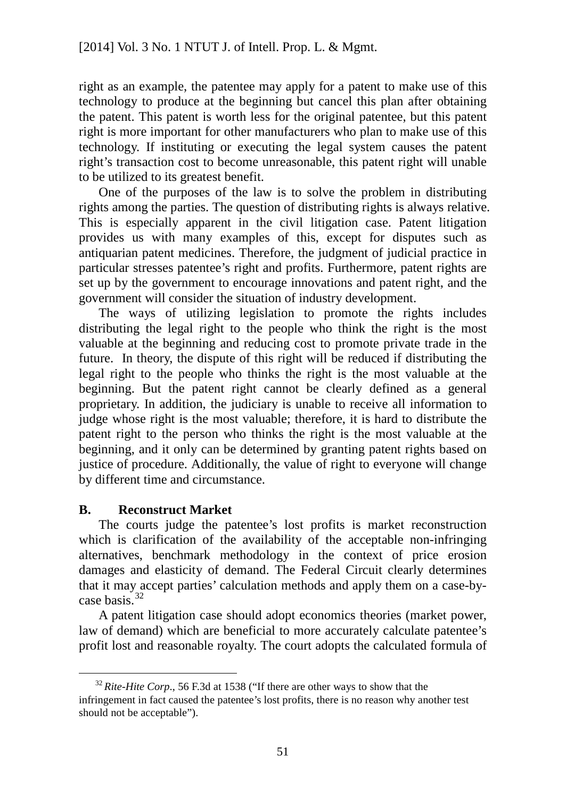right as an example, the patentee may apply for a patent to make use of this technology to produce at the beginning but cancel this plan after obtaining the patent. This patent is worth less for the original patentee, but this patent right is more important for other manufacturers who plan to make use of this technology. If instituting or executing the legal system causes the patent right's transaction cost to become unreasonable, this patent right will unable to be utilized to its greatest benefit.

One of the purposes of the law is to solve the problem in distributing rights among the parties. The question of distributing rights is always relative. This is especially apparent in the civil litigation case. Patent litigation provides us with many examples of this, except for disputes such as antiquarian patent medicines. Therefore, the judgment of judicial practice in particular stresses patentee's right and profits. Furthermore, patent rights are set up by the government to encourage innovations and patent right, and the government will consider the situation of industry development.

The ways of utilizing legislation to promote the rights includes distributing the legal right to the people who think the right is the most valuable at the beginning and reducing cost to promote private trade in the future. In theory, the dispute of this right will be reduced if distributing the legal right to the people who thinks the right is the most valuable at the beginning. But the patent right cannot be clearly defined as a general proprietary. In addition, the judiciary is unable to receive all information to judge whose right is the most valuable; therefore, it is hard to distribute the patent right to the person who thinks the right is the most valuable at the beginning, and it only can be determined by granting patent rights based on justice of procedure. Additionally, the value of right to everyone will change by different time and circumstance.

### **B. Reconstruct Market**

The courts judge the patentee's lost profits is market reconstruction which is clarification of the availability of the acceptable non-infringing alternatives, benchmark methodology in the context of price erosion damages and elasticity of demand. The Federal Circuit clearly determines that it may accept parties' calculation methods and apply them on a case-by-case basis<sup>[32](#page-57-0)</sup>

A patent litigation case should adopt economics theories (market power, law of demand) which are beneficial to more accurately calculate patentee's profit lost and reasonable royalty. The court adopts the calculated formula of

<span id="page-57-0"></span><sup>&</sup>lt;sup>32</sup> Rite-Hite Corp., 56 F.3d at 1538 ("If there are other ways to show that the infringement in fact caused the patentee's lost profits, there is no reason why another test should not be acceptable").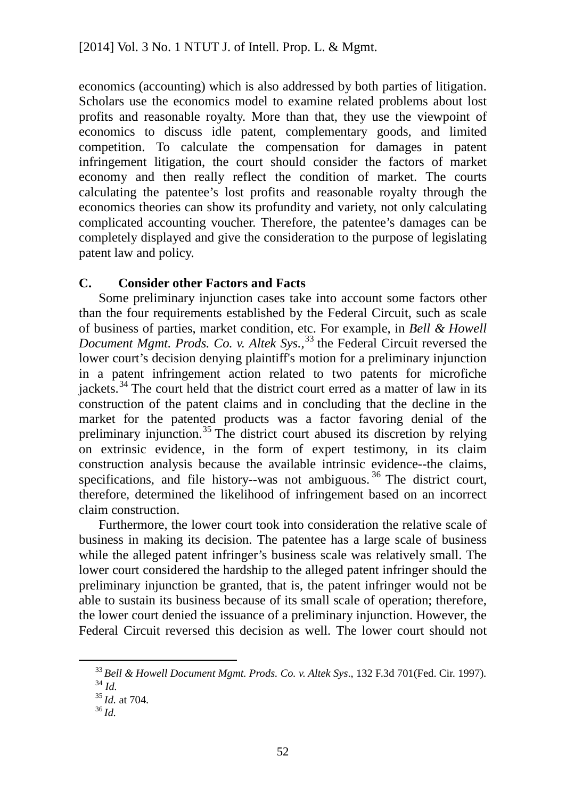economics (accounting) which is also addressed by both parties of litigation. Scholars use the economics model to examine related problems about lost profits and reasonable royalty. More than that, they use the viewpoint of economics to discuss idle patent, complementary goods, and limited competition. To calculate the compensation for damages in patent infringement litigation, the court should consider the factors of market economy and then really reflect the condition of market. The courts calculating the patentee's lost profits and reasonable royalty through the economics theories can show its profundity and variety, not only calculating complicated accounting voucher. Therefore, the patentee's damages can be completely displayed and give the consideration to the purpose of legislating patent law and policy.

### **C. Consider other Factors and Facts**

Some preliminary injunction cases take into account some factors other than the four requirements established by the Federal Circuit, such as scale of business of parties, market condition, etc. For example, in *Bell & Howell Document Mgmt. Prods. Co. v. Altek Sys.*,<sup>[33](#page-58-0)</sup> the Federal Circuit reversed the lower court's decision denying plaintiff's motion for a preliminary injunction in a patent infringement action related to two patents for microfiche jackets.<sup>[34](#page-58-1)</sup> The court held that the district court erred as a matter of law in its construction of the patent claims and in concluding that the decline in the market for the patented products was a factor favoring denial of the preliminary injunction.[35](#page-58-2) The district court abused its discretion by relying on extrinsic evidence, in the form of expert testimony, in its claim construction analysis because the available intrinsic evidence--the claims, specifications, and file history--was not ambiguous.<sup>[36](#page-58-3)</sup> The district court, therefore, determined the likelihood of infringement based on an incorrect claim construction.

Furthermore, the lower court took into consideration the relative scale of business in making its decision. The patentee has a large scale of business while the alleged patent infringer's business scale was relatively small. The lower court considered the hardship to the alleged patent infringer should the preliminary injunction be granted, that is, the patent infringer would not be able to sustain its business because of its small scale of operation; therefore, the lower court denied the issuance of a preliminary injunction. However, the Federal Circuit reversed this decision as well. The lower court should not

<span id="page-58-0"></span> <sup>33</sup> *Bell & Howell Document Mgmt. Prods. Co. v. Altek Sys*., 132 F.3d 701(Fed. Cir. 1997).

<sup>34</sup> *Id.*

<span id="page-58-3"></span><span id="page-58-2"></span><span id="page-58-1"></span><sup>35</sup> *Id.* at 704.

<sup>36</sup> *Id.*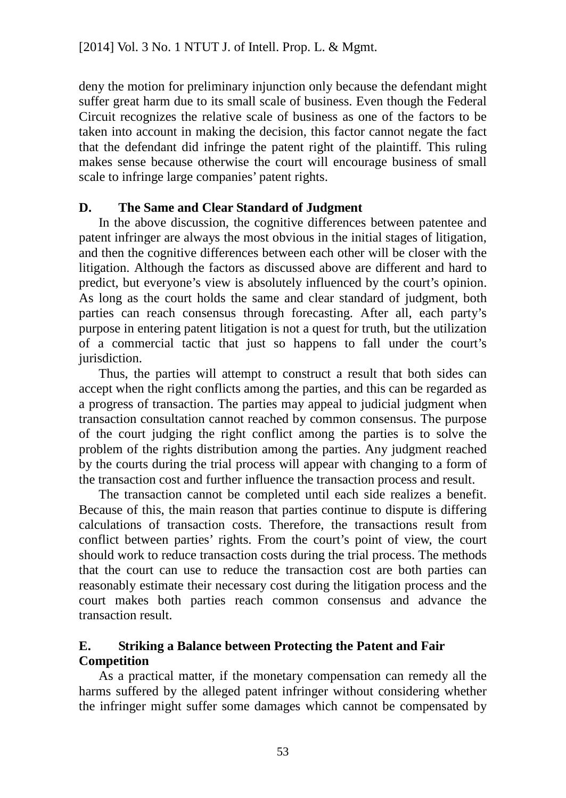deny the motion for preliminary injunction only because the defendant might suffer great harm due to its small scale of business. Even though the Federal Circuit recognizes the relative scale of business as one of the factors to be taken into account in making the decision, this factor cannot negate the fact that the defendant did infringe the patent right of the plaintiff. This ruling makes sense because otherwise the court will encourage business of small scale to infringe large companies' patent rights.

### **D. The Same and Clear Standard of Judgment**

In the above discussion, the cognitive differences between patentee and patent infringer are always the most obvious in the initial stages of litigation, and then the cognitive differences between each other will be closer with the litigation. Although the factors as discussed above are different and hard to predict, but everyone's view is absolutely influenced by the court's opinion. As long as the court holds the same and clear standard of judgment, both parties can reach consensus through forecasting. After all, each party's purpose in entering patent litigation is not a quest for truth, but the utilization of a commercial tactic that just so happens to fall under the court's jurisdiction.

Thus, the parties will attempt to construct a result that both sides can accept when the right conflicts among the parties, and this can be regarded as a progress of transaction. The parties may appeal to judicial judgment when transaction consultation cannot reached by common consensus. The purpose of the court judging the right conflict among the parties is to solve the problem of the rights distribution among the parties. Any judgment reached by the courts during the trial process will appear with changing to a form of the transaction cost and further influence the transaction process and result.

The transaction cannot be completed until each side realizes a benefit. Because of this, the main reason that parties continue to dispute is differing calculations of transaction costs. Therefore, the transactions result from conflict between parties' rights. From the court's point of view, the court should work to reduce transaction costs during the trial process. The methods that the court can use to reduce the transaction cost are both parties can reasonably estimate their necessary cost during the litigation process and the court makes both parties reach common consensus and advance the transaction result.

# **E. Striking a Balance between Protecting the Patent and Fair Competition**

As a practical matter, if the monetary compensation can remedy all the harms suffered by the alleged patent infringer without considering whether the infringer might suffer some damages which cannot be compensated by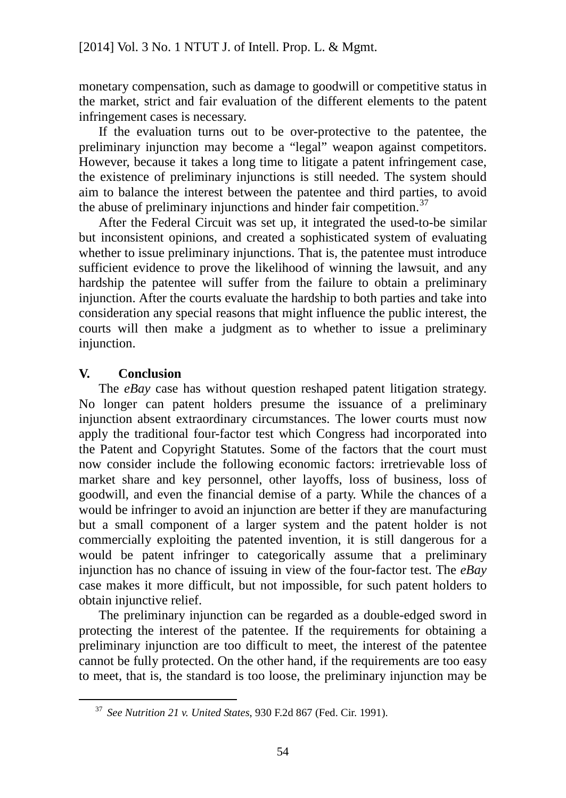monetary compensation, such as damage to goodwill or competitive status in the market, strict and fair evaluation of the different elements to the patent infringement cases is necessary.

If the evaluation turns out to be over-protective to the patentee, the preliminary injunction may become a "legal" weapon against competitors. However, because it takes a long time to litigate a patent infringement case, the existence of preliminary injunctions is still needed. The system should aim to balance the interest between the patentee and third parties, to avoid the abuse of preliminary injunctions and hinder fair competition.<sup>[37](#page-60-0)</sup>

After the Federal Circuit was set up, it integrated the used-to-be similar but inconsistent opinions, and created a sophisticated system of evaluating whether to issue preliminary injunctions. That is, the patentee must introduce sufficient evidence to prove the likelihood of winning the lawsuit, and any hardship the patentee will suffer from the failure to obtain a preliminary injunction. After the courts evaluate the hardship to both parties and take into consideration any special reasons that might influence the public interest, the courts will then make a judgment as to whether to issue a preliminary injunction.

### **V. Conclusion**

The *eBay* case has without question reshaped patent litigation strategy. No longer can patent holders presume the issuance of a preliminary injunction absent extraordinary circumstances. The lower courts must now apply the traditional four-factor test which Congress had incorporated into the Patent and Copyright Statutes. Some of the factors that the court must now consider include the following economic factors: irretrievable loss of market share and key personnel, other layoffs, loss of business, loss of goodwill, and even the financial demise of a party. While the chances of a would be infringer to avoid an injunction are better if they are manufacturing but a small component of a larger system and the patent holder is not commercially exploiting the patented invention, it is still dangerous for a would be patent infringer to categorically assume that a preliminary injunction has no chance of issuing in view of the four-factor test. The *eBay*  case makes it more difficult, but not impossible, for such patent holders to obtain injunctive relief.

The preliminary injunction can be regarded as a double-edged sword in protecting the interest of the patentee. If the requirements for obtaining a preliminary injunction are too difficult to meet, the interest of the patentee cannot be fully protected. On the other hand, if the requirements are too easy to meet, that is, the standard is too loose, the preliminary injunction may be

<span id="page-60-0"></span> <sup>37</sup> *See Nutrition 21 v. United States*, 930 F.2d 867 (Fed. Cir. 1991).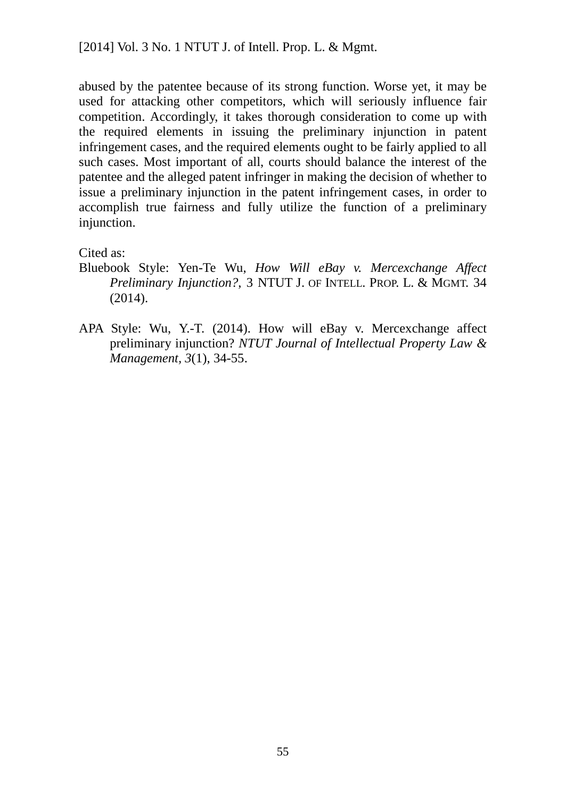abused by the patentee because of its strong function. Worse yet, it may be used for attacking other competitors, which will seriously influence fair competition. Accordingly, it takes thorough consideration to come up with the required elements in issuing the preliminary injunction in patent infringement cases, and the required elements ought to be fairly applied to all such cases. Most important of all, courts should balance the interest of the patentee and the alleged patent infringer in making the decision of whether to issue a preliminary injunction in the patent infringement cases, in order to accomplish true fairness and fully utilize the function of a preliminary injunction.

Cited as:

- Bluebook Style: Yen-Te Wu, *How Will eBay v. Mercexchange Affect Preliminary Injunction?*, 3 NTUT J. OF INTELL. PROP. L. & MGMT. 34 (2014).
- APA Style: Wu, Y.-T. (2014). How will eBay v. Mercexchange affect preliminary injunction? *NTUT Journal of Intellectual Property Law & Management, 3*(1), 34-55.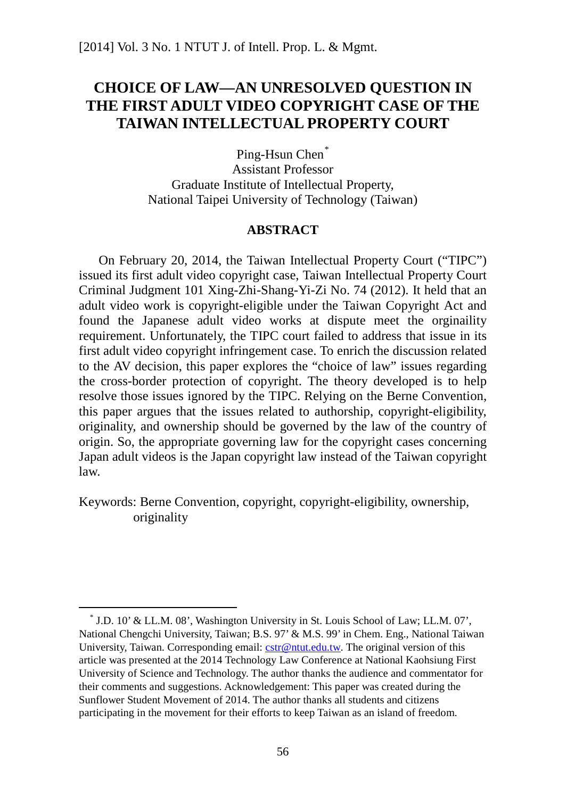# **CHOICE OF LAW—AN UNRESOLVED QUESTION IN THE FIRST ADULT VIDEO COPYRIGHT CASE OF THE TAIWAN INTELLECTUAL PROPERTY COURT**

Ping-Hsun Chen<sup>[\\*](#page-62-0)</sup> Assistant Professor Graduate Institute of Intellectual Property, National Taipei University of Technology (Taiwan)

#### **ABSTRACT**

On February 20, 2014, the Taiwan Intellectual Property Court ("TIPC") issued its first adult video copyright case, Taiwan Intellectual Property Court Criminal Judgment 101 Xing-Zhi-Shang-Yi-Zi No. 74 (2012). It held that an adult video work is copyright-eligible under the Taiwan Copyright Act and found the Japanese adult video works at dispute meet the orginaility requirement. Unfortunately, the TIPC court failed to address that issue in its first adult video copyright infringement case. To enrich the discussion related to the AV decision, this paper explores the "choice of law" issues regarding the cross-border protection of copyright. The theory developed is to help resolve those issues ignored by the TIPC. Relying on the Berne Convention, this paper argues that the issues related to authorship, copyright-eligibility, originality, and ownership should be governed by the law of the country of origin. So, the appropriate governing law for the copyright cases concerning Japan adult videos is the Japan copyright law instead of the Taiwan copyright law.

Keywords: Berne Convention, copyright, copyright-eligibility, ownership, originality

<span id="page-62-0"></span> <sup>\*</sup> J.D. 10' & LL.M. 08', Washington University in St. Louis School of Law; LL.M. 07', National Chengchi University, Taiwan; B.S. 97' & M.S. 99' in Chem. Eng., National Taiwan University, Taiwan. Corresponding email:  $cstr@ntut.edu.tw$ . The original version of this article was presented at the 2014 Technology Law Conference at National Kaohsiung First University of Science and Technology. The author thanks the audience and commentator for their comments and suggestions. Acknowledgement: This paper was created during the Sunflower Student Movement of 2014. The author thanks all students and citizens participating in the movement for their efforts to keep Taiwan as an island of freedom.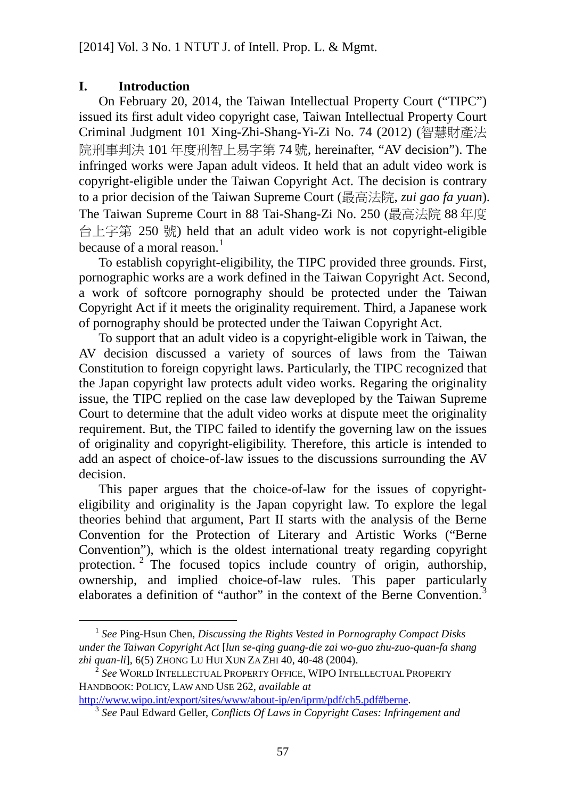### **I. Introduction**

On February 20, 2014, the Taiwan Intellectual Property Court ("TIPC") issued its first adult video copyright case, Taiwan Intellectual Property Court Criminal Judgment 101 Xing-Zhi-Shang-Yi-Zi No. 74 (2012) (智慧財產法 院刑事判決 101 年度刑智上易字第 74 號, hereinafter, "AV decision"). The infringed works were Japan adult videos. It held that an adult video work is copyright-eligible under the Taiwan Copyright Act. The decision is contrary to a prior decision of the Taiwan Supreme Court (最高法院, *zui gao fa yuan*). The Taiwan Supreme Court in 88 Tai-Shang-Zi No. 250 (最高法院 88 年度 台上字第 250 號) held that an adult video work is not copyright-eligible because of a moral reason. $<sup>1</sup>$  $<sup>1</sup>$  $<sup>1</sup>$ </sup>

To establish copyright-eligibility, the TIPC provided three grounds. First, pornographic works are a work defined in the Taiwan Copyright Act. Second, a work of softcore pornography should be protected under the Taiwan Copyright Act if it meets the originality requirement. Third, a Japanese work of pornography should be protected under the Taiwan Copyright Act.

To support that an adult video is a copyright-eligible work in Taiwan, the AV decision discussed a variety of sources of laws from the Taiwan Constitution to foreign copyright laws. Particularly, the TIPC recognized that the Japan copyright law protects adult video works. Regaring the originality issue, the TIPC replied on the case law deveploped by the Taiwan Supreme Court to determine that the adult video works at dispute meet the originality requirement. But, the TIPC failed to identify the governing law on the issues of originality and copyright-eligibility. Therefore, this article is intended to add an aspect of choice-of-law issues to the discussions surrounding the AV decision.

This paper argues that the choice-of-law for the issues of copyrighteligibility and originality is the Japan copyright law. To explore the legal theories behind that argument, Part II starts with the analysis of the Berne Convention for the Protection of Literary and Artistic Works ("Berne Convention"), which is the oldest international treaty regarding copyright protection.  $2$  The focused topics include country of origin, authorship, ownership, and implied choice-of-law rules. This paper particularly elaborates a definition of "author" in the context of the Berne Convention.<sup>[3](#page-63-2)</sup>

<span id="page-63-2"></span>[http://www.wipo.int/export/sites/www/about-ip/en/iprm/pdf/ch5.pdf#berne.](http://www.wipo.int/export/sites/www/about-ip/en/iprm/pdf/ch5.pdf#berne) 3 *See* Paul Edward Geller, *Conflicts Of Laws in Copyright Cases: Infringement and* 

<span id="page-63-0"></span> <sup>1</sup> *See* Ping-Hsun Chen, *Discussing the Rights Vested in Pornography Compact Disks under the Taiwan Copyright Act* [*lun se-qing guang-die zai wo-guo zhu-zuo-quan-fa shang zhi quan-li*], 6(5) ZHONG LU HUI XUN ZA ZHI 40, 40-48 (2004). 2 *See* WORLD INTELLECTUAL PROPERTY OFFICE, WIPO INTELLECTUAL PROPERTY

<span id="page-63-1"></span>HANDBOOK: POLICY, LAW AND USE 262, *available at*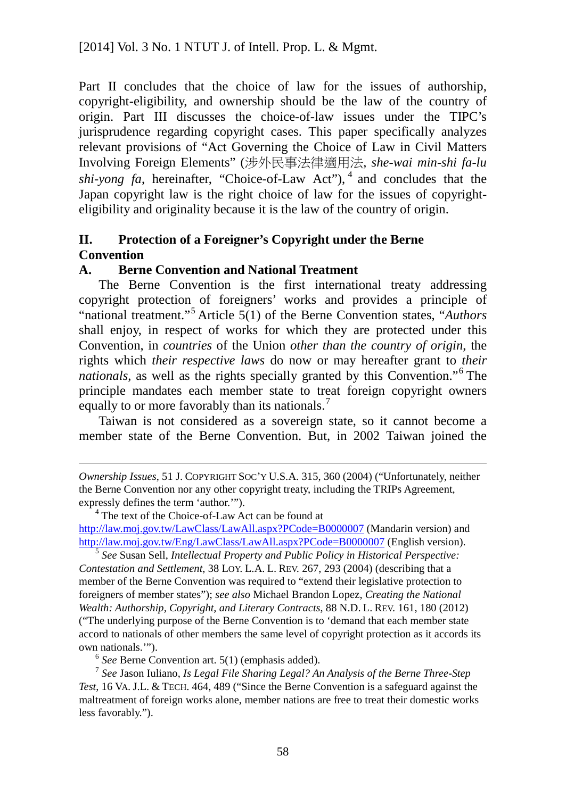Part II concludes that the choice of law for the issues of authorship, copyright-eligibility, and ownership should be the law of the country of origin. Part III discusses the choice-of-law issues under the TIPC's jurisprudence regarding copyright cases. This paper specifically analyzes relevant provisions of "Act Governing the Choice of Law in Civil Matters Involving Foreign Elements" (涉外民事法律適用法, *she-wai min-shi fa-lu shi-yong fa*, hereinafter, "Choice-of-Law Act"), [4](#page-64-0) and concludes that the Japan copyright law is the right choice of law for the issues of copyrighteligibility and originality because it is the law of the country of origin.

# **II. Protection of a Foreigner's Copyright under the Berne Convention**

### **A. Berne Convention and National Treatment**

The Berne Convention is the first international treaty addressing copyright protection of foreigners' works and provides a principle of "national treatment."[5](#page-64-1) Article 5(1) of the Berne Convention states, "*Authors* shall enjoy, in respect of works for which they are protected under this Convention, in *countries* of the Union *other than the country of origin*, the rights which *their respective laws* do now or may hereafter grant to *their nationals*, as well as the rights specially granted by this Convention."[6](#page-64-2) The principle mandates each member state to treat foreign copyright owners equally to or more favorably than its nationals.<sup>[7](#page-64-3)</sup>

Taiwan is not considered as a sovereign state, so it cannot become a member state of the Berne Convention. But, in 2002 Taiwan joined the

<span id="page-64-1"></span><sup>5</sup> *See* Susan Sell, *Intellectual Property and Public Policy in Historical Perspective: Contestation and Settlement*, 38 LOY. L.A. L. REV. 267, 293 (2004) (describing that a member of the Berne Convention was required to "extend their legislative protection to foreigners of member states"); *see also* Michael Brandon Lopez, *Creating the National Wealth: Authorship, Copyright, and Literary Contracts*, 88 N.D. L. REV. 161, 180 (2012) ("The underlying purpose of the Berne Convention is to 'demand that each member state accord to nationals of other members the same level of copyright protection as it accords its own nationals.'").

<sup>6</sup> *See* Berne Convention art. 5(1) (emphasis added).

 $\overline{a}$ 

<span id="page-64-3"></span><span id="page-64-2"></span><sup>7</sup> *See* Jason Iuliano, *Is Legal File Sharing Legal? An Analysis of the Berne Three-Step Test*, 16 VA. J.L. & TECH. 464, 489 ("Since the Berne Convention is a safeguard against the maltreatment of foreign works alone, member nations are free to treat their domestic works less favorably.").

*Ownership Issues*, 51 J. COPYRIGHT SOC'Y U.S.A. 315, 360 (2004) ("Unfortunately, neither the Berne Convention nor any other copyright treaty, including the TRIPs Agreement, expressly defines the term 'author.'").

<span id="page-64-0"></span> $4$  The text of the Choice-of-Law Act can be found at <http://law.moj.gov.tw/LawClass/LawAll.aspx?PCode=B0000007> (Mandarin version) and <http://law.moj.gov.tw/Eng/LawClass/LawAll.aspx?PCode=B0000007> (English version).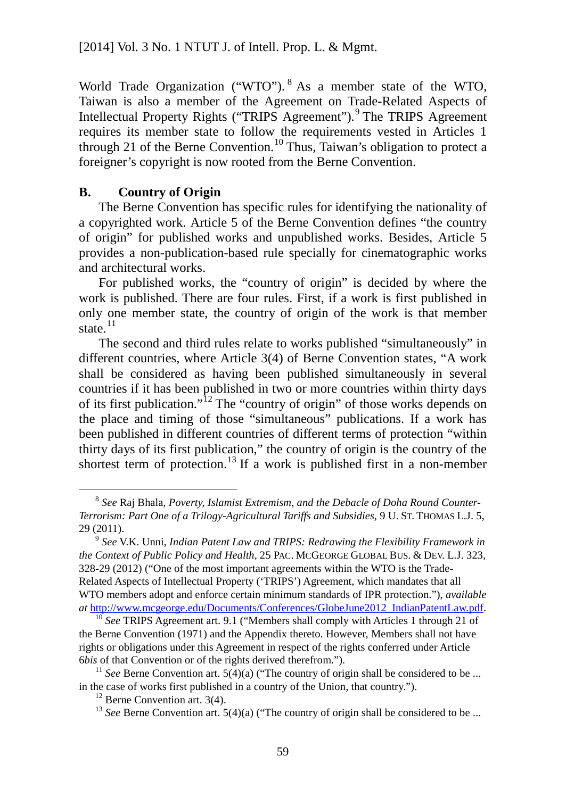World Trade Organization ("WTO"). <sup>[8](#page-65-0)</sup> As a member state of the WTO, Taiwan is also a member of the Agreement on Trade-Related Aspects of Intellectual Property Rights ("TRIPS Agreement").<sup>[9](#page-65-1)</sup> The TRIPS Agreement requires its member state to follow the requirements vested in Articles 1 through 21 of the Berne Convention.<sup>[10](#page-65-2)</sup> Thus, Taiwan's obligation to protect a foreigner's copyright is now rooted from the Berne Convention.

#### **B. Country of Origin**

The Berne Convention has specific rules for identifying the nationality of a copyrighted work. Article 5 of the Berne Convention defines "the country of origin" for published works and unpublished works. Besides, Article 5 provides a non-publication-based rule specially for cinematographic works and architectural works.

For published works, the "country of origin" is decided by where the work is published. There are four rules. First, if a work is first published in only one member state, the country of origin of the work is that member state. $^{11}$  $^{11}$  $^{11}$ 

The second and third rules relate to works published "simultaneously" in different countries, where Article 3(4) of Berne Convention states, "A work shall be considered as having been published simultaneously in several countries if it has been published in two or more countries within thirty days of its first publication."<sup>[12](#page-65-4)</sup> The "country of origin" of those works depends on the place and timing of those "simultaneous" publications. If a work has been published in different countries of different terms of protection "within thirty days of its first publication," the country of origin is the country of the shortest term of protection.<sup>[13](#page-65-5)</sup> If a work is published first in a non-member

<span id="page-65-0"></span> <sup>8</sup> *See* Raj Bhala, *Poverty, Islamist Extremism, and the Debacle of Doha Round Counter-Terrorism: Part One of a Trilogy-Agricultural Tariffs and Subsidies*, 9 U. ST. THOMAS L.J. 5, 29 (2011).

<span id="page-65-1"></span><sup>9</sup> *See* V.K. Unni, *Indian Patent Law and TRIPS: Redrawing the Flexibility Framework in the Context of Public Policy and Health*, 25 PAC. MCGEORGE GLOBAL BUS. & DEV. L.J. 323, 328-29 (2012) ("One of the most important agreements within the WTO is the Trade-Related Aspects of Intellectual Property ('TRIPS') Agreement, which mandates that all WTO members adopt and enforce certain minimum standards of IPR protection."), *available at* [http://www.mcgeorge.edu/Documents/Conferences/GlobeJune2012\\_IndianPatentLaw.pdf.](http://www.mcgeorge.edu/Documents/Conferences/GlobeJune2012_IndianPatentLaw.pdf) 10 *See* TRIPS Agreement art. 9.1 ("Members shall comply with Articles 1 through 21 of

<span id="page-65-2"></span>the Berne Convention (1971) and the Appendix thereto. However, Members shall not have rights or obligations under this Agreement in respect of the rights conferred under Article 6*bis* of that Convention or of the rights derived therefrom.").

<span id="page-65-5"></span><span id="page-65-4"></span><span id="page-65-3"></span><sup>&</sup>lt;sup>11</sup> *See* Berne Convention art. 5(4)(a) ("The country of origin shall be considered to be ... in the case of works first published in a country of the Union, that country.").

 $12$  Berne Convention art. 3(4).

<sup>&</sup>lt;sup>13</sup> *See* Berne Convention art. 5(4)(a) ("The country of origin shall be considered to be ...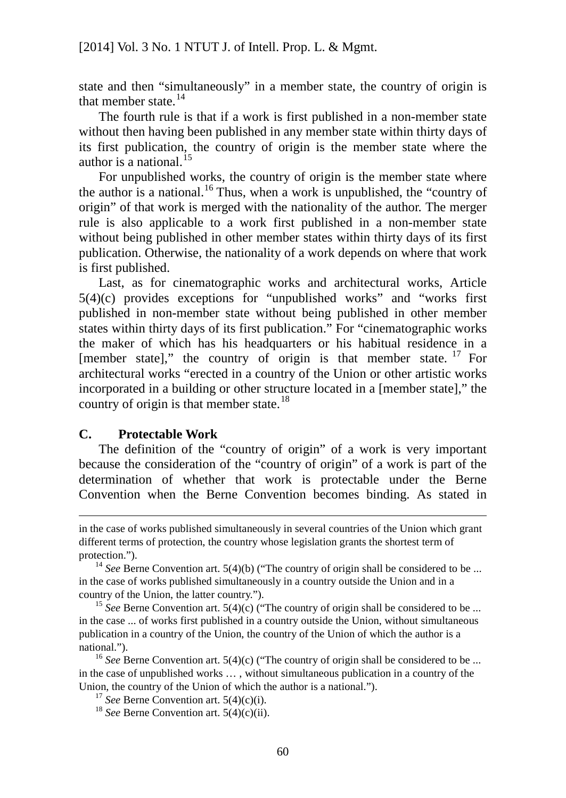state and then "simultaneously" in a member state, the country of origin is that member state. $14$ 

The fourth rule is that if a work is first published in a non-member state without then having been published in any member state within thirty days of its first publication, the country of origin is the member state where the author is a national.  $15$ 

For unpublished works, the country of origin is the member state where the author is a national.<sup>[16](#page-66-2)</sup> Thus, when a work is unpublished, the "country of origin" of that work is merged with the nationality of the author. The merger rule is also applicable to a work first published in a non-member state without being published in other member states within thirty days of its first publication. Otherwise, the nationality of a work depends on where that work is first published.

Last, as for cinematographic works and architectural works, Article  $5(4)(c)$  provides exceptions for "unpublished works" and "works first published in non-member state without being published in other member states within thirty days of its first publication." For "cinematographic works the maker of which has his headquarters or his habitual residence in a [member state]," the country of origin is that member state.  $17$  For architectural works "erected in a country of the Union or other artistic works incorporated in a building or other structure located in a [member state]," the country of origin is that member state.<sup>[18](#page-66-4)</sup>

#### **C. Protectable Work**

 $\overline{a}$ 

The definition of the "country of origin" of a work is very important because the consideration of the "country of origin" of a work is part of the determination of whether that work is protectable under the Berne Convention when the Berne Convention becomes binding. As stated in

in the case of works published simultaneously in several countries of the Union which grant different terms of protection, the country whose legislation grants the shortest term of protection.").

<span id="page-66-0"></span><sup>&</sup>lt;sup>14</sup> *See* Berne Convention art. 5(4)(b) ("The country of origin shall be considered to be ... in the case of works published simultaneously in a country outside the Union and in a country of the Union, the latter country.").

<span id="page-66-1"></span><sup>&</sup>lt;sup>15</sup> *See* Berne Convention art. 5(4)(c) ("The country of origin shall be considered to be ... in the case ... of works first published in a country outside the Union, without simultaneous publication in a country of the Union, the country of the Union of which the author is a national.").

<span id="page-66-4"></span><span id="page-66-3"></span><span id="page-66-2"></span><sup>&</sup>lt;sup>16</sup> *See* Berne Convention art. 5(4)(c) ("The country of origin shall be considered to be ... in the case of unpublished works … , without simultaneous publication in a country of the Union, the country of the Union of which the author is a national.").

<sup>&</sup>lt;sup>17</sup> *See* Berne Convention art. 5(4)(c)(i).

<sup>18</sup> *See* Berne Convention art. 5(4)(c)(ii).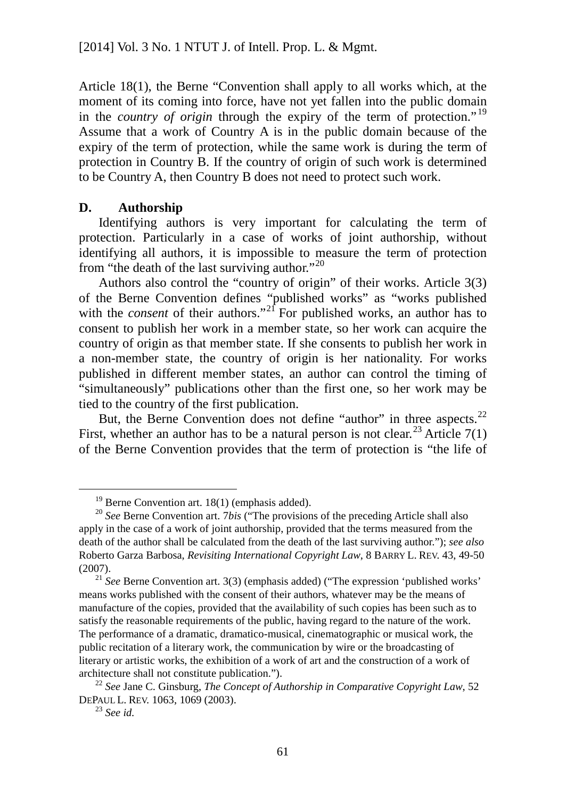Article 18(1), the Berne "Convention shall apply to all works which, at the moment of its coming into force, have not yet fallen into the public domain in the *country of origin* through the expiry of the term of protection." [19](#page-67-0) Assume that a work of Country A is in the public domain because of the expiry of the term of protection, while the same work is during the term of protection in Country B. If the country of origin of such work is determined to be Country A, then Country B does not need to protect such work.

### **D. Authorship**

Identifying authors is very important for calculating the term of protection. Particularly in a case of works of joint authorship, without identifying all authors, it is impossible to measure the term of protection from "the death of the last surviving author."<sup>[20](#page-67-1)</sup>

Authors also control the "country of origin" of their works. Article 3(3) of the Berne Convention defines "published works" as "works published with the *consent* of their authors."<sup>[21](#page-67-2)</sup> For published works, an author has to consent to publish her work in a member state, so her work can acquire the country of origin as that member state. If she consents to publish her work in a non-member state, the country of origin is her nationality. For works published in different member states, an author can control the timing of "simultaneously" publications other than the first one, so her work may be tied to the country of the first publication.

But, the Berne Convention does not define "author" in three aspects.<sup>[22](#page-67-3)</sup> First, whether an author has to be a natural person is not clear.<sup>[23](#page-67-4)</sup> Article  $7(1)$ of the Berne Convention provides that the term of protection is "the life of

 $19$  Berne Convention art. 18(1) (emphasis added).

<span id="page-67-1"></span><span id="page-67-0"></span><sup>20</sup> *See* Berne Convention art. 7*bis* ("The provisions of the preceding Article shall also apply in the case of a work of joint authorship, provided that the terms measured from the death of the author shall be calculated from the death of the last surviving author."); *see also* Roberto Garza Barbosa, *Revisiting International Copyright Law*, 8 BARRY L. REV. 43, 49-50 (2007).

<span id="page-67-2"></span><sup>21</sup> *See* Berne Convention art. 3(3) (emphasis added) ("The expression 'published works' means works published with the consent of their authors, whatever may be the means of manufacture of the copies, provided that the availability of such copies has been such as to satisfy the reasonable requirements of the public, having regard to the nature of the work. The performance of a dramatic, dramatico-musical, cinematographic or musical work, the public recitation of a literary work, the communication by wire or the broadcasting of literary or artistic works, the exhibition of a work of art and the construction of a work of architecture shall not constitute publication.").

<span id="page-67-4"></span><span id="page-67-3"></span><sup>22</sup> *See* Jane C. Ginsburg, *The Concept of Authorship in Comparative Copyright Law*, 52 DEPAUL L. REV. 1063, 1069 (2003).

<sup>23</sup> *See id.*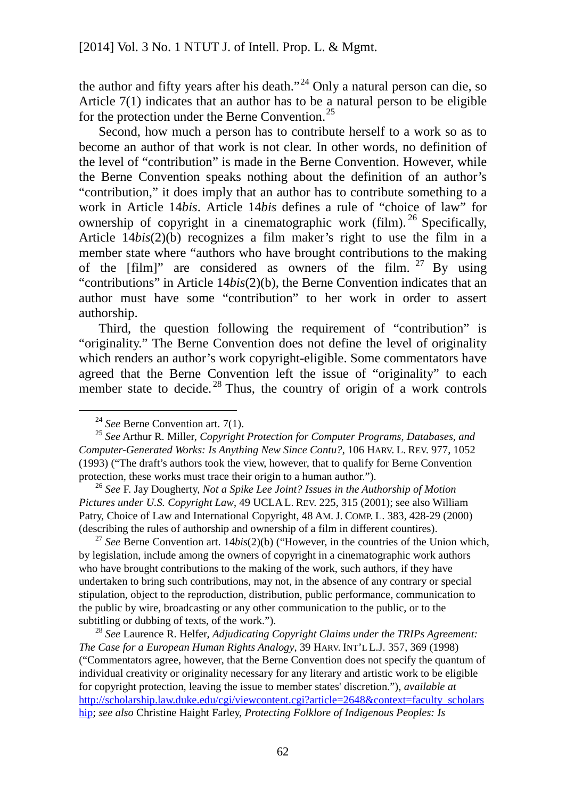the author and fifty years after his death."<sup>[24](#page-68-0)</sup> Only a natural person can die, so Article 7(1) indicates that an author has to be a natural person to be eligible for the protection under the Berne Convention.<sup>[25](#page-68-1)</sup>

Second, how much a person has to contribute herself to a work so as to become an author of that work is not clear. In other words, no definition of the level of "contribution" is made in the Berne Convention. However, while the Berne Convention speaks nothing about the definition of an author's "contribution," it does imply that an author has to contribute something to a work in Article 14*bis*. Article 14*bis* defines a rule of "choice of law" for ownership of copyright in a cinematographic work (film).<sup>[26](#page-68-2)</sup> Specifically, Article 14*bis*(2)(b) recognizes a film maker's right to use the film in a member state where "authors who have brought contributions to the making of the  $\lceil$  film]" are considered as owners of the film. <sup>[27](#page-68-3)</sup> By using "contributions" in Article 14*bis*(2)(b), the Berne Convention indicates that an author must have some "contribution" to her work in order to assert authorship.

Third, the question following the requirement of "contribution" is "originality." The Berne Convention does not define the level of originality which renders an author's work copyright-eligible. Some commentators have agreed that the Berne Convention left the issue of "originality" to each member state to decide.<sup>[28](#page-68-4)</sup> Thus, the country of origin of a work controls

<span id="page-68-2"></span><sup>26</sup> *See* F. Jay Dougherty, *Not a Spike Lee Joint? Issues in the Authorship of Motion Pictures under U.S. Copyright Law*, 49 UCLA L. REV. 225, 315 (2001); see also William Patry, Choice of Law and International Copyright, 48 AM. J. COMP. L. 383, 428-29 (2000) (describing the rules of authorship and ownership of a film in different countires).

<span id="page-68-3"></span><sup>27</sup> *See* Berne Convention art. 14*bis*(2)(b) ("However, in the countries of the Union which, by legislation, include among the owners of copyright in a cinematographic work authors who have brought contributions to the making of the work, such authors, if they have undertaken to bring such contributions, may not, in the absence of any contrary or special stipulation, object to the reproduction, distribution, public performance, communication to the public by wire, broadcasting or any other communication to the public, or to the subtitling or dubbing of texts, of the work.").

<span id="page-68-4"></span><sup>28</sup> *See* Laurence R. Helfer, *Adjudicating Copyright Claims under the TRIPs Agreement: The Case for a European Human Rights Analogy*, 39 HARV. INT'L L.J. 357, 369 (1998) ("Commentators agree, however, that the Berne Convention does not specify the quantum of individual creativity or originality necessary for any literary and artistic work to be eligible for copyright protection, leaving the issue to member states' discretion."), *available at* [http://scholarship.law.duke.edu/cgi/viewcontent.cgi?article=2648&context=faculty\\_scholars](http://scholarship.law.duke.edu/cgi/viewcontent.cgi?article=2648&context=faculty_scholarship) [hip;](http://scholarship.law.duke.edu/cgi/viewcontent.cgi?article=2648&context=faculty_scholarship) *see also* Christine Haight Farley, *Protecting Folklore of Indigenous Peoples: Is* 

<sup>&</sup>lt;sup>24</sup> See Berne Convention art. 7(1).

<span id="page-68-1"></span><span id="page-68-0"></span><sup>25</sup> *See* Arthur R. Miller, *Copyright Protection for Computer Programs, Databases, and Computer-Generated Works: Is Anything New Since Contu?*, 106 HARV. L. REV. 977, 1052 (1993) ("The draft's authors took the view, however, that to qualify for Berne Convention protection, these works must trace their origin to a human author.").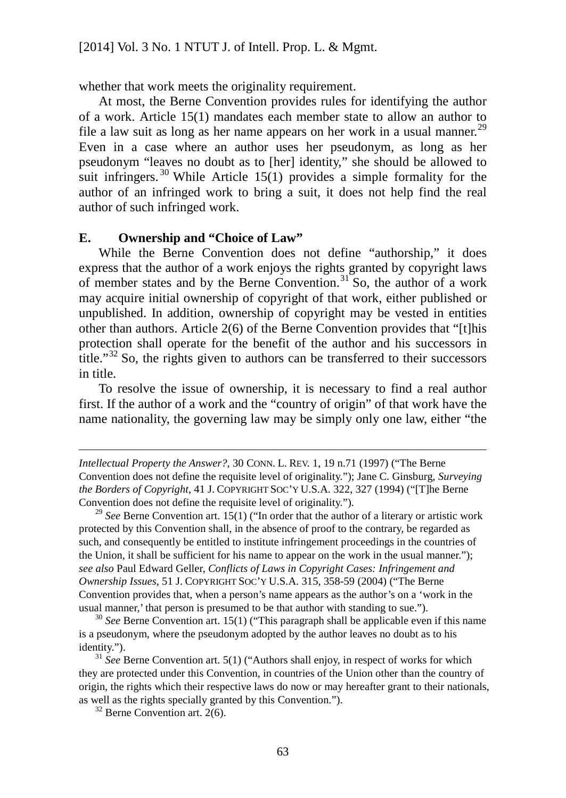whether that work meets the originality requirement.

At most, the Berne Convention provides rules for identifying the author of a work. Article 15(1) mandates each member state to allow an author to file a law suit as long as her name appears on her work in a usual manner.<sup>[29](#page-69-0)</sup> Even in a case where an author uses her pseudonym, as long as her pseudonym "leaves no doubt as to [her] identity," she should be allowed to suit infringers.<sup>[30](#page-69-1)</sup> While Article 15(1) provides a simple formality for the author of an infringed work to bring a suit, it does not help find the real author of such infringed work.

#### **E. Ownership and "Choice of Law"**

While the Berne Convention does not define "authorship," it does express that the author of a work enjoys the rights granted by copyright laws of member states and by the Berne Convention.<sup>[31](#page-69-2)</sup> So, the author of a work may acquire initial ownership of copyright of that work, either published or unpublished. In addition, ownership of copyright may be vested in entities other than authors. Article 2(6) of the Berne Convention provides that "[t]his protection shall operate for the benefit of the author and his successors in title."[32](#page-69-3) So, the rights given to authors can be transferred to their successors in title.

To resolve the issue of ownership, it is necessary to find a real author first. If the author of a work and the "country of origin" of that work have the name nationality, the governing law may be simply only one law, either "the

<span id="page-69-0"></span><sup>29</sup> *See* Berne Convention art. 15(1) ("In order that the author of a literary or artistic work protected by this Convention shall, in the absence of proof to the contrary, be regarded as such, and consequently be entitled to institute infringement proceedings in the countries of the Union, it shall be sufficient for his name to appear on the work in the usual manner."); *see also* Paul Edward Geller, *Conflicts of Laws in Copyright Cases: Infringement and Ownership Issues*, 51 J. COPYRIGHT SOC'Y U.S.A. 315, 358-59 (2004) ("The Berne Convention provides that, when a person's name appears as the author's on a 'work in the usual manner,' that person is presumed to be that author with standing to sue.").

<span id="page-69-1"></span><sup>30</sup> See Berne Convention art. 15(1) ("This paragraph shall be applicable even if this name is a pseudonym, where the pseudonym adopted by the author leaves no doubt as to his identity.").

<span id="page-69-3"></span><span id="page-69-2"></span><sup>31</sup> *See* Berne Convention art. 5(1) ("Authors shall enjoy, in respect of works for which they are protected under this Convention, in countries of the Union other than the country of origin, the rights which their respective laws do now or may hereafter grant to their nationals, as well as the rights specially granted by this Convention.").

 $32$  Berne Convention art. 2(6).

 $\overline{a}$ 

*Intellectual Property the Answer?*, 30 CONN. L. REV. 1, 19 n.71 (1997) ("The Berne Convention does not define the requisite level of originality."); Jane C. Ginsburg, *Surveying the Borders of Copyright*, 41 J. COPYRIGHT SOC'Y U.S.A. 322, 327 (1994) ("[T]he Berne Convention does not define the requisite level of originality.").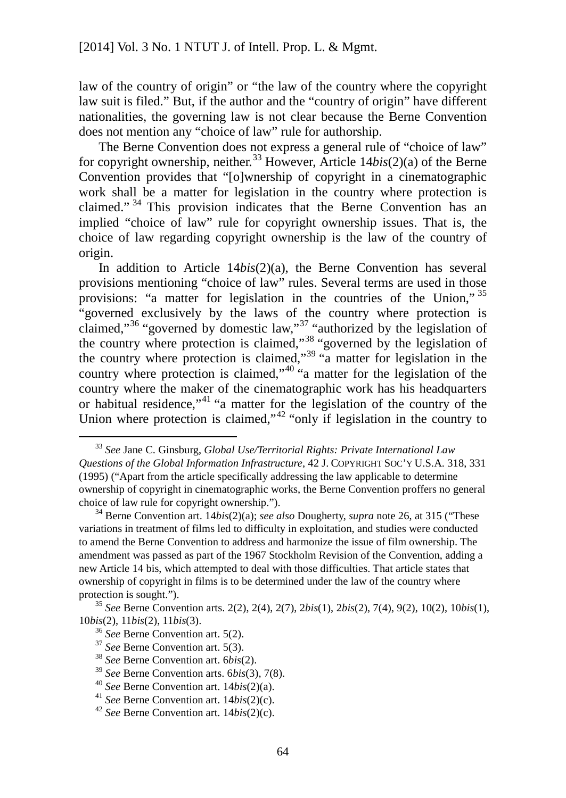law of the country of origin" or "the law of the country where the copyright law suit is filed." But, if the author and the "country of origin" have different nationalities, the governing law is not clear because the Berne Convention does not mention any "choice of law" rule for authorship.

The Berne Convention does not express a general rule of "choice of law" for copyright ownership, neither. [33](#page-70-0) However, Article 14*bis*(2)(a) of the Berne Convention provides that "[o]wnership of copyright in a cinematographic work shall be a matter for legislation in the country where protection is claimed." [34](#page-70-1) This provision indicates that the Berne Convention has an implied "choice of law" rule for copyright ownership issues. That is, the choice of law regarding copyright ownership is the law of the country of origin.

In addition to Article 14*bis*(2)(a), the Berne Convention has several provisions mentioning "choice of law" rules. Several terms are used in those provisions: "a matter for legislation in the countries of the Union," [35](#page-70-2) "governed exclusively by the laws of the country where protection is claimed,"<sup>[36](#page-70-3)</sup> "governed by domestic law,"<sup>[37](#page-70-4)</sup> "authorized by the legislation of the country where protection is claimed,"<sup>[38](#page-70-5)</sup> "governed by the legislation of the country where protection is claimed,"<sup>[39](#page-70-6)</sup> "a matter for legislation in the country where protection is claimed,"<sup>[40](#page-70-7)</sup> "a matter for the legislation of the country where the maker of the cinematographic work has his headquarters or habitual residence,"<sup>[41](#page-70-8)</sup> "a matter for the legislation of the country of the Union where protection is claimed,"<sup>[42](#page-70-9)</sup> "only if legislation in the country to

<span id="page-70-0"></span> <sup>33</sup> *See* Jane C. Ginsburg, *Global Use/Territorial Rights: Private International Law Questions of the Global Information Infrastructure*, 42 J. COPYRIGHT SOC'Y U.S.A. 318, 331 (1995) ("Apart from the article specifically addressing the law applicable to determine ownership of copyright in cinematographic works, the Berne Convention proffers no general choice of law rule for copyright ownership.").

<span id="page-70-1"></span><sup>34</sup> Berne Convention art. 14*bis*(2)(a); *see also* Dougherty, *supra* note 26, at 315 ("These variations in treatment of films led to difficulty in exploitation, and studies were conducted to amend the Berne Convention to address and harmonize the issue of film ownership. The amendment was passed as part of the 1967 Stockholm Revision of the Convention, adding a new Article 14 bis, which attempted to deal with those difficulties. That article states that ownership of copyright in films is to be determined under the law of the country where protection is sought.").

<span id="page-70-4"></span><span id="page-70-3"></span><span id="page-70-2"></span><sup>35</sup> *See* Berne Convention arts. 2(2), 2(4), 2(7), 2*bis*(1), 2*bis*(2), 7(4), 9(2), 10(2), 10*bis*(1), 10*bis*(2), 11*bis*(2), 11*bis*(3).

<sup>36</sup> *See* Berne Convention art. 5(2).

<sup>37</sup> *See* Berne Convention art. 5(3).

<span id="page-70-5"></span><sup>38</sup> *See* Berne Convention art. 6*bis*(2).

<span id="page-70-6"></span><sup>39</sup> *See* Berne Convention arts. 6*bis*(3), 7(8).

<span id="page-70-7"></span><sup>40</sup> *See* Berne Convention art. 14*bis*(2)(a).

<span id="page-70-8"></span><sup>41</sup> *See* Berne Convention art. 14*bis*(2)(c).

<span id="page-70-9"></span><sup>42</sup> *See* Berne Convention art. 14*bis*(2)(c).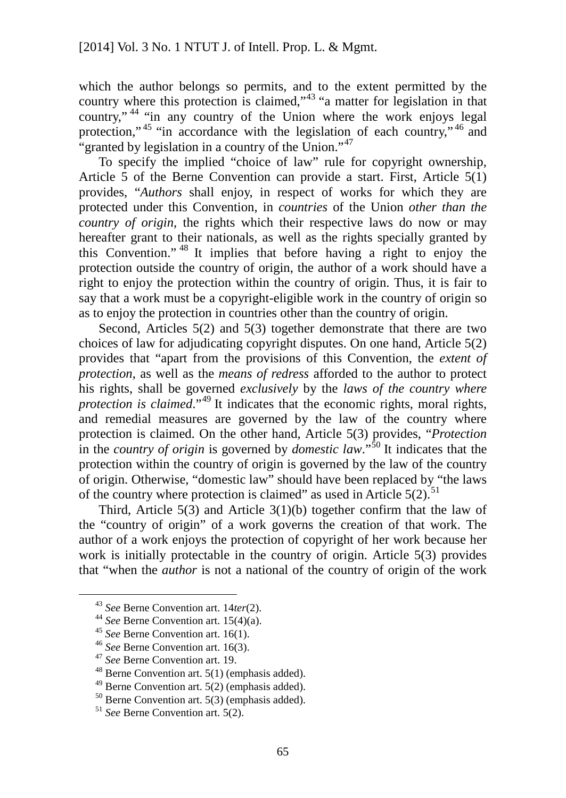which the author belongs so permits, and to the extent permitted by the country where this protection is claimed,"[43](#page-71-0) "a matter for legislation in that country,"<sup>[44](#page-71-1)</sup> "in any country of the Union where the work enjoys legal protection,"<sup>[45](#page-71-2)</sup> "in accordance with the legislation of each country,"<sup>[46](#page-71-3)</sup> and "granted by legislation in a country of the Union."<sup>[47](#page-71-4)</sup>

To specify the implied "choice of law" rule for copyright ownership, Article 5 of the Berne Convention can provide a start. First, Article 5(1) provides, "*Authors* shall enjoy, in respect of works for which they are protected under this Convention, in *countries* of the Union *other than the country of origin*, the rights which their respective laws do now or may hereafter grant to their nationals, as well as the rights specially granted by this Convention." [48](#page-71-5) It implies that before having a right to enjoy the protection outside the country of origin, the author of a work should have a right to enjoy the protection within the country of origin. Thus, it is fair to say that a work must be a copyright-eligible work in the country of origin so as to enjoy the protection in countries other than the country of origin.

Second, Articles 5(2) and 5(3) together demonstrate that there are two choices of law for adjudicating copyright disputes. On one hand, Article 5(2) provides that "apart from the provisions of this Convention, the *extent of protection*, as well as the *means of redress* afforded to the author to protect his rights, shall be governed *exclusively* by the *laws of the country where protection is claimed.*"<sup>[49](#page-71-6)</sup> It indicates that the economic rights, moral rights, and remedial measures are governed by the law of the country where protection is claimed. On the other hand, Article 5(3) provides, "*Protection* in the *country of origin* is governed by *domestic law*."[50](#page-71-7) It indicates that the protection within the country of origin is governed by the law of the country of origin. Otherwise, "domestic law" should have been replaced by "the laws of the country where protection is claimed" as used in Article  $5(2)$ .<sup>[51](#page-71-8)</sup>

Third, Article  $5(3)$  and Article  $3(1)(b)$  together confirm that the law of the "country of origin" of a work governs the creation of that work. The author of a work enjoys the protection of copyright of her work because her work is initially protectable in the country of origin. Article 5(3) provides that "when the *author* is not a national of the country of origin of the work

<span id="page-71-0"></span> <sup>43</sup> *See* Berne Convention art. 14*ter*(2).

<span id="page-71-1"></span><sup>44</sup> *See* Berne Convention art. 15(4)(a).

<span id="page-71-2"></span><sup>45</sup> *See* Berne Convention art. 16(1).

<span id="page-71-3"></span><sup>46</sup> *See* Berne Convention art. 16(3).

<span id="page-71-4"></span><sup>47</sup> *See* Berne Convention art. 19.

<span id="page-71-5"></span> $48$  Berne Convention art. 5(1) (emphasis added).

<span id="page-71-6"></span> $49$  Berne Convention art. 5(2) (emphasis added).

<span id="page-71-7"></span> $50$  Berne Convention art. 5(3) (emphasis added).

<span id="page-71-8"></span><sup>51</sup> *See* Berne Convention art. 5(2).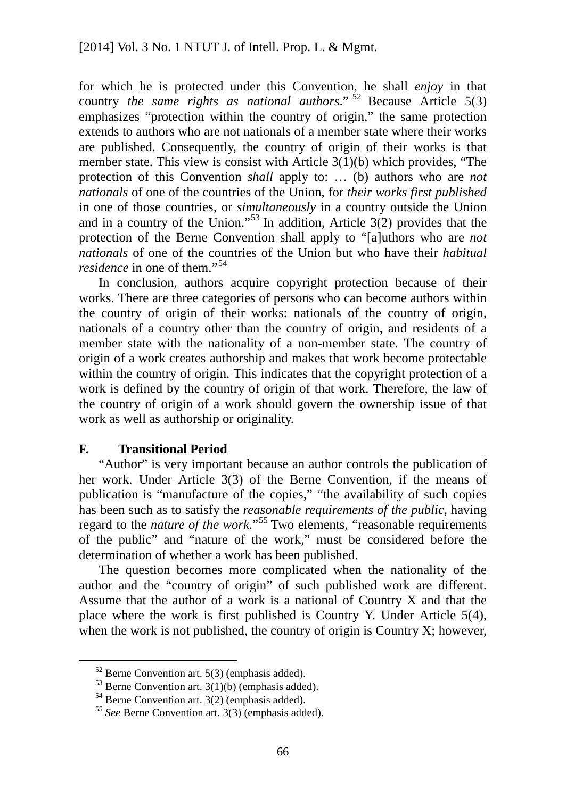for which he is protected under this Convention, he shall *enjoy* in that country *the same rights as national authors*." [52](#page-72-0) Because Article 5(3) emphasizes "protection within the country of origin," the same protection extends to authors who are not nationals of a member state where their works are published. Consequently, the country of origin of their works is that member state. This view is consist with Article 3(1)(b) which provides, "The protection of this Convention *shall* apply to: … (b) authors who are *not nationals* of one of the countries of the Union, for *their works first published* in one of those countries, or *simultaneously* in a country outside the Union and in a country of the Union."<sup>[53](#page-72-1)</sup> In addition, Article  $3(2)$  provides that the protection of the Berne Convention shall apply to "[a]uthors who are *not nationals* of one of the countries of the Union but who have their *habitual residence* in one of them."<sup>[54](#page-72-2)</sup>

In conclusion, authors acquire copyright protection because of their works. There are three categories of persons who can become authors within the country of origin of their works: nationals of the country of origin, nationals of a country other than the country of origin, and residents of a member state with the nationality of a non-member state. The country of origin of a work creates authorship and makes that work become protectable within the country of origin. This indicates that the copyright protection of a work is defined by the country of origin of that work. Therefore, the law of the country of origin of a work should govern the ownership issue of that work as well as authorship or originality.

## **F. Transitional Period**

"Author" is very important because an author controls the publication of her work. Under Article 3(3) of the Berne Convention, if the means of publication is "manufacture of the copies," "the availability of such copies has been such as to satisfy the *reasonable requirements of the public*, having regard to the *nature of the work*."[55](#page-72-3) Two elements, "reasonable requirements of the public" and "nature of the work," must be considered before the determination of whether a work has been published.

The question becomes more complicated when the nationality of the author and the "country of origin" of such published work are different. Assume that the author of a work is a national of Country X and that the place where the work is first published is Country Y. Under Article 5(4), when the work is not published, the country of origin is Country X; however,

<span id="page-72-0"></span> $52$  Berne Convention art. 5(3) (emphasis added).

<span id="page-72-1"></span> $53$  Berne Convention art. 3(1)(b) (emphasis added).

<span id="page-72-2"></span><sup>54</sup> Berne Convention art. 3(2) (emphasis added).

<span id="page-72-3"></span><sup>55</sup> *See* Berne Convention art. 3(3) (emphasis added).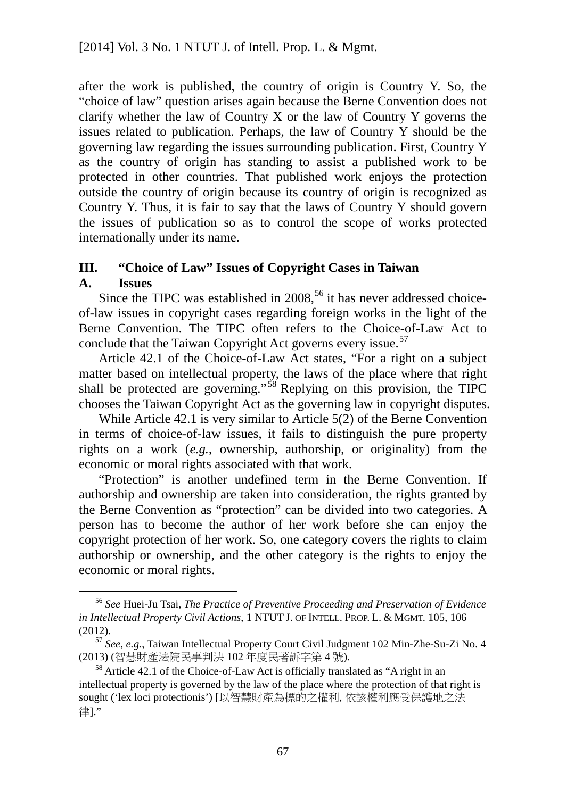after the work is published, the country of origin is Country Y. So, the "choice of law" question arises again because the Berne Convention does not clarify whether the law of Country X or the law of Country Y governs the issues related to publication. Perhaps, the law of Country Y should be the governing law regarding the issues surrounding publication. First, Country Y as the country of origin has standing to assist a published work to be protected in other countries. That published work enjoys the protection outside the country of origin because its country of origin is recognized as Country Y. Thus, it is fair to say that the laws of Country Y should govern the issues of publication so as to control the scope of works protected internationally under its name.

## **III. "Choice of Law" Issues of Copyright Cases in Taiwan A. Issues**

Since the TIPC was established in  $2008$ ,  $56$  it has never addressed choiceof-law issues in copyright cases regarding foreign works in the light of the Berne Convention. The TIPC often refers to the Choice-of-Law Act to conclude that the Taiwan Copyright Act governs every issue.<sup>[57](#page-73-1)</sup>

Article 42.1 of the Choice-of-Law Act states, "For a right on a subject matter based on intellectual property, the laws of the place where that right shall be protected are governing."<sup>[58](#page-73-2)</sup> Replying on this provision, the TIPC chooses the Taiwan Copyright Act as the governing law in copyright disputes.

While Article 42.1 is very similar to Article 5(2) of the Berne Convention in terms of choice-of-law issues, it fails to distinguish the pure property rights on a work (*e.g.*, ownership, authorship, or originality) from the economic or moral rights associated with that work.

"Protection" is another undefined term in the Berne Convention. If authorship and ownership are taken into consideration, the rights granted by the Berne Convention as "protection" can be divided into two categories. A person has to become the author of her work before she can enjoy the copyright protection of her work. So, one category covers the rights to claim authorship or ownership, and the other category is the rights to enjoy the economic or moral rights.

<span id="page-73-0"></span> <sup>56</sup> *See* Huei-Ju Tsai, *The Practice of Preventive Proceeding and Preservation of Evidence in Intellectual Property Civil Actions*, 1 NTUT J. OF INTELL. PROP. L. & MGMT. 105, 106 (2012).

<span id="page-73-1"></span><sup>57</sup> *See*, *e.g.*, Taiwan Intellectual Property Court Civil Judgment 102 Min-Zhe-Su-Zi No. 4 (2013) (智慧財產法院民事判決 102 年度民著訴字第 4 號).

<span id="page-73-2"></span><sup>&</sup>lt;sup>58</sup> Article 42.1 of the Choice-of-Law Act is officially translated as "A right in an intellectual property is governed by the law of the place where the protection of that right is sought ('lex loci protectionis') [以智慧財產為標的之權利, 依該權利應受保護地之法 律]."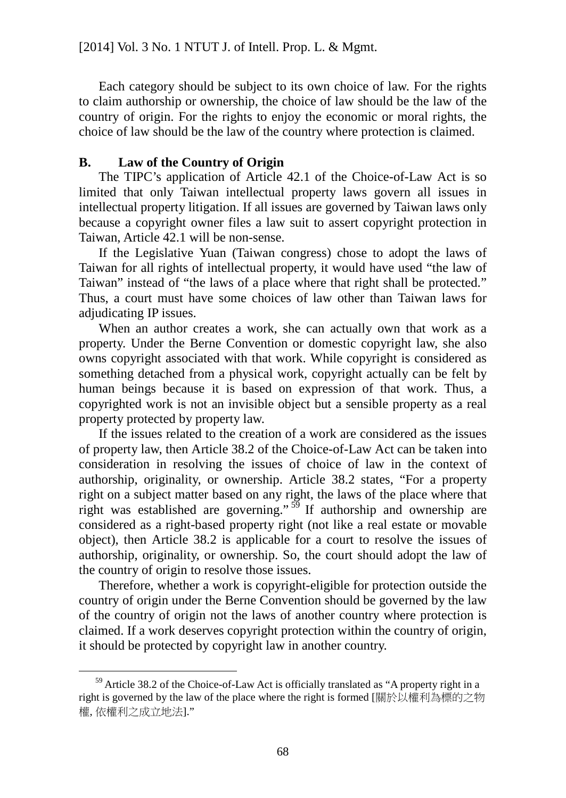Each category should be subject to its own choice of law. For the rights to claim authorship or ownership, the choice of law should be the law of the country of origin. For the rights to enjoy the economic or moral rights, the choice of law should be the law of the country where protection is claimed.

## **B. Law of the Country of Origin**

The TIPC's application of Article 42.1 of the Choice-of-Law Act is so limited that only Taiwan intellectual property laws govern all issues in intellectual property litigation. If all issues are governed by Taiwan laws only because a copyright owner files a law suit to assert copyright protection in Taiwan, Article 42.1 will be non-sense.

If the Legislative Yuan (Taiwan congress) chose to adopt the laws of Taiwan for all rights of intellectual property, it would have used "the law of Taiwan" instead of "the laws of a place where that right shall be protected." Thus, a court must have some choices of law other than Taiwan laws for adjudicating IP issues.

When an author creates a work, she can actually own that work as a property. Under the Berne Convention or domestic copyright law, she also owns copyright associated with that work. While copyright is considered as something detached from a physical work, copyright actually can be felt by human beings because it is based on expression of that work. Thus, a copyrighted work is not an invisible object but a sensible property as a real property protected by property law.

If the issues related to the creation of a work are considered as the issues of property law, then Article 38.2 of the Choice-of-Law Act can be taken into consideration in resolving the issues of choice of law in the context of authorship, originality, or ownership. Article 38.2 states, "For a property right on a subject matter based on any right, the laws of the place where that right was established are governing."  $59$  If authorship and ownership are considered as a right-based property right (not like a real estate or movable object), then Article 38.2 is applicable for a court to resolve the issues of authorship, originality, or ownership. So, the court should adopt the law of the country of origin to resolve those issues.

Therefore, whether a work is copyright-eligible for protection outside the country of origin under the Berne Convention should be governed by the law of the country of origin not the laws of another country where protection is claimed. If a work deserves copyright protection within the country of origin, it should be protected by copyright law in another country.

<span id="page-74-0"></span> $59$  Article 38.2 of the Choice-of-Law Act is officially translated as "A property right in a right is governed by the law of the place where the right is formed [關於以權利為標的之物 權, 依權利之成立地法]."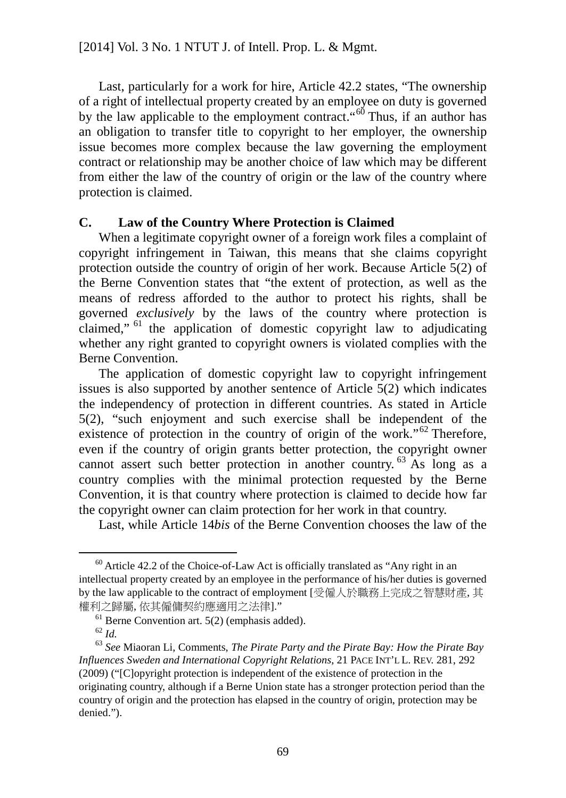Last, particularly for a work for hire, Article 42.2 states, "The ownership of a right of intellectual property created by an employee on duty is governed by the law applicable to the employment contract.  $66^\circ$  Thus, if an author has an obligation to transfer title to copyright to her employer, the ownership issue becomes more complex because the law governing the employment contract or relationship may be another choice of law which may be different from either the law of the country of origin or the law of the country where protection is claimed.

## **C. Law of the Country Where Protection is Claimed**

When a legitimate copyright owner of a foreign work files a complaint of copyright infringement in Taiwan, this means that she claims copyright protection outside the country of origin of her work. Because Article 5(2) of the Berne Convention states that "the extent of protection, as well as the means of redress afforded to the author to protect his rights, shall be governed *exclusively* by the laws of the country where protection is claimed,"  $61$  the application of domestic copyright law to adjudicating whether any right granted to copyright owners is violated complies with the Berne Convention.

The application of domestic copyright law to copyright infringement issues is also supported by another sentence of Article 5(2) which indicates the independency of protection in different countries. As stated in Article 5(2), "such enjoyment and such exercise shall be independent of the existence of protection in the country of origin of the work."<sup>[62](#page-75-2)</sup> Therefore, even if the country of origin grants better protection, the copyright owner cannot assert such better protection in another country.<sup>[63](#page-75-3)</sup> As long as a country complies with the minimal protection requested by the Berne Convention, it is that country where protection is claimed to decide how far the copyright owner can claim protection for her work in that country.

Last, while Article 14*bis* of the Berne Convention chooses the law of the

<span id="page-75-0"></span> $60$  Article 42.2 of the Choice-of-Law Act is officially translated as "Any right in an intellectual property created by an employee in the performance of his/her duties is governed by the law applicable to the contract of employment [受僱人於職務上完成之智慧財產, 其 權利之歸屬, 依其僱傭契約應適用之法律]."

 $<sup>61</sup>$  Berne Convention art. 5(2) (emphasis added).</sup>

<sup>62</sup> *Id.*

<span id="page-75-3"></span><span id="page-75-2"></span><span id="page-75-1"></span><sup>63</sup> *See* Miaoran Li, Comments, *The Pirate Party and the Pirate Bay: How the Pirate Bay Influences Sweden and International Copyright Relations*, 21 PACE INT'L L. REV. 281, 292 (2009) ("[C]opyright protection is independent of the existence of protection in the originating country, although if a Berne Union state has a stronger protection period than the country of origin and the protection has elapsed in the country of origin, protection may be denied.").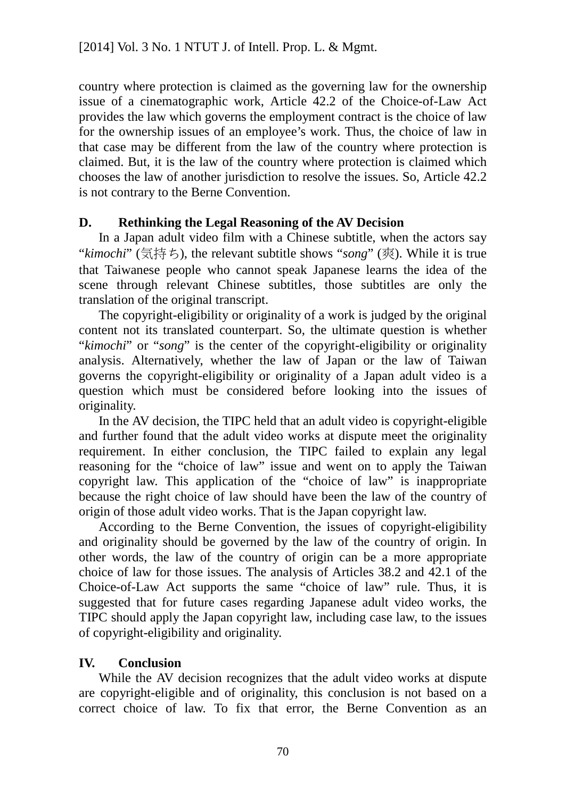country where protection is claimed as the governing law for the ownership issue of a cinematographic work, Article 42.2 of the Choice-of-Law Act provides the law which governs the employment contract is the choice of law for the ownership issues of an employee's work. Thus, the choice of law in that case may be different from the law of the country where protection is claimed. But, it is the law of the country where protection is claimed which chooses the law of another jurisdiction to resolve the issues. So, Article 42.2 is not contrary to the Berne Convention.

# **D. Rethinking the Legal Reasoning of the AV Decision**

In a Japan adult video film with a Chinese subtitle, when the actors say "*kimochi*" (気持ち), the relevant subtitle shows "*song*" (爽). While it is true that Taiwanese people who cannot speak Japanese learns the idea of the scene through relevant Chinese subtitles, those subtitles are only the translation of the original transcript.

The copyright-eligibility or originality of a work is judged by the original content not its translated counterpart. So, the ultimate question is whether "*kimochi*" or "*song*" is the center of the copyright-eligibility or originality analysis. Alternatively, whether the law of Japan or the law of Taiwan governs the copyright-eligibility or originality of a Japan adult video is a question which must be considered before looking into the issues of originality.

In the AV decision, the TIPC held that an adult video is copyright-eligible and further found that the adult video works at dispute meet the originality requirement. In either conclusion, the TIPC failed to explain any legal reasoning for the "choice of law" issue and went on to apply the Taiwan copyright law. This application of the "choice of law" is inappropriate because the right choice of law should have been the law of the country of origin of those adult video works. That is the Japan copyright law.

According to the Berne Convention, the issues of copyright-eligibility and originality should be governed by the law of the country of origin. In other words, the law of the country of origin can be a more appropriate choice of law for those issues. The analysis of Articles 38.2 and 42.1 of the Choice-of-Law Act supports the same "choice of law" rule. Thus, it is suggested that for future cases regarding Japanese adult video works, the TIPC should apply the Japan copyright law, including case law, to the issues of copyright-eligibility and originality.

# **IV. Conclusion**

While the AV decision recognizes that the adult video works at dispute are copyright-eligible and of originality, this conclusion is not based on a correct choice of law. To fix that error, the Berne Convention as an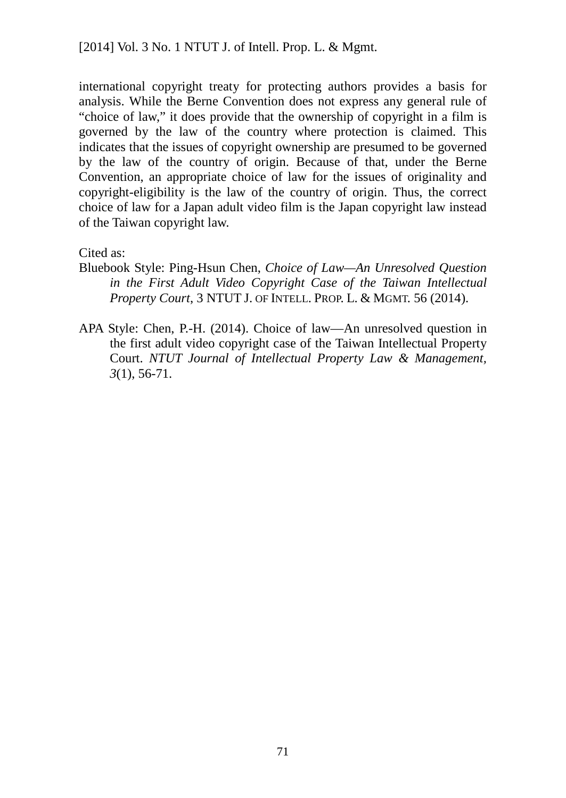international copyright treaty for protecting authors provides a basis for analysis. While the Berne Convention does not express any general rule of "choice of law," it does provide that the ownership of copyright in a film is governed by the law of the country where protection is claimed. This indicates that the issues of copyright ownership are presumed to be governed by the law of the country of origin. Because of that, under the Berne Convention, an appropriate choice of law for the issues of originality and copyright-eligibility is the law of the country of origin. Thus, the correct choice of law for a Japan adult video film is the Japan copyright law instead of the Taiwan copyright law.

Cited as:

- Bluebook Style: Ping-Hsun Chen, *Choice of Law—An Unresolved Question in the First Adult Video Copyright Case of the Taiwan Intellectual Property Court*, 3 NTUT J. OF INTELL. PROP. L. & MGMT. 56 (2014).
- APA Style: Chen, P.-H. (2014). Choice of law—An unresolved question in the first adult video copyright case of the Taiwan Intellectual Property Court. *NTUT Journal of Intellectual Property Law & Management, 3*(1), 56-71.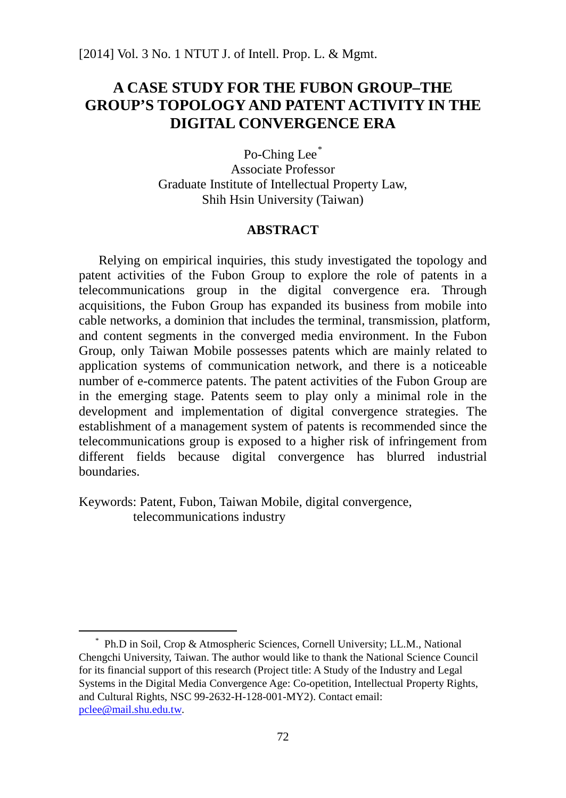# **A CASE STUDY FOR THE FUBON GROUP–THE GROUP'S TOPOLOGY AND PATENT ACTIVITY IN THE DIGITAL CONVERGENCE ERA**

Po-Ching Lee<sup>[\\*](#page-78-0)</sup> Associate Professor Graduate Institute of Intellectual Property Law, Shih Hsin University (Taiwan)

## **ABSTRACT**

Relying on empirical inquiries, this study investigated the topology and patent activities of the Fubon Group to explore the role of patents in a telecommunications group in the digital convergence era. Through acquisitions, the Fubon Group has expanded its business from mobile into cable networks, a dominion that includes the terminal, transmission, platform, and content segments in the converged media environment. In the Fubon Group, only Taiwan Mobile possesses patents which are mainly related to application systems of communication network, and there is a noticeable number of e-commerce patents. The patent activities of the Fubon Group are in the emerging stage. Patents seem to play only a minimal role in the development and implementation of digital convergence strategies. The establishment of a management system of patents is recommended since the telecommunications group is exposed to a higher risk of infringement from different fields because digital convergence has blurred industrial boundaries.

Keywords: Patent, Fubon, Taiwan Mobile, digital convergence, telecommunications industry

.

<span id="page-78-0"></span><sup>\*</sup> Ph.D in Soil, Crop & Atmospheric Sciences, Cornell University; LL.M., National Chengchi University, Taiwan. The author would like to thank the National Science Council for its financial support of this research (Project title: A Study of the Industry and Legal Systems in the Digital Media Convergence Age: Co-opetition, Intellectual Property Rights, and Cultural Rights, NSC 99-2632-H-128-001-MY2). Contact email: [pclee@mail.shu.edu.tw.](mailto:pclee@mail.shu.edu.tw)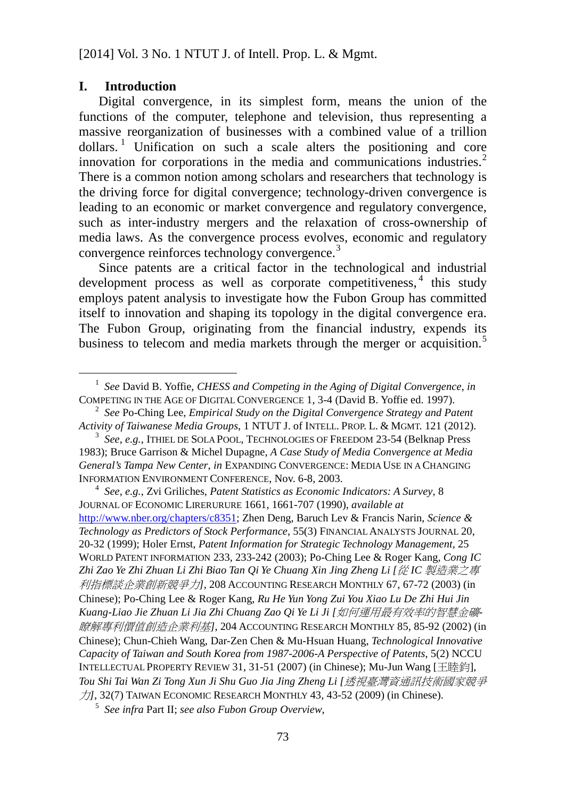#### **I. Introduction**

l

<span id="page-79-5"></span>Digital convergence, in its simplest form, means the union of the functions of the computer, telephone and television, thus representing a massive reorganization of businesses with a combined value of a trillion  $dollars.$ <sup>[1](#page-79-0)</sup> Unification on such a scale alters the positioning and core innovation for corporations in the media and communications industries. $2^2$  $2^2$ There is a common notion among scholars and researchers that technology is the driving force for digital convergence; technology-driven convergence is leading to an economic or market convergence and regulatory convergence, such as inter-industry mergers and the relaxation of cross-ownership of media laws. As the convergence process evolves, economic and regulatory convergence reinforces technology convergence.[3](#page-79-2)

Since patents are a critical factor in the technological and industrial development process as well as corporate competitiveness,<sup>[4](#page-79-3)</sup> this study employs patent analysis to investigate how the Fubon Group has committed itself to innovation and shaping its topology in the digital convergence era. The Fubon Group, originating from the financial industry, expends its business to telecom and media markets through the merger or acquisition.<sup>[5](#page-79-4)</sup>

<span id="page-79-3"></span><sup>4</sup> *See*, *e.g.*, Zvi Griliches, *Patent Statistics as Economic Indicators: A Survey*, 8 JOURNAL OF ECONOMIC LIRERURURE 1661, 1661-707 (1990), *available at* [http://www.nber.org/chapters/c8351;](http://www.nber.org/chapters/c8351) Zhen Deng, Baruch Lev & Francis Narin, *Science & Technology as Predictors of Stock Performance*, 55(3) FINANCIAL ANALYSTS JOURNAL 20, 20-32 (1999); Holer Ernst, *Patent Information for Strategic Technology Management*, 25 WORLD PATENT INFORMATION 233, 233-242 (2003); Po-Ching Lee & Roger Kang, *Cong IC Zhi Zao Ye Zhi Zhuan Li Zhi Biao Tan Qi Ye Chuang Xin Jing Zheng Li [*從 *IC* 製造業之專 利指標談企業創新競爭力*]*, 208 ACCOUNTING RESEARCH MONTHLY 67, 67-72 (2003) (in Chinese); Po-Ching Lee & Roger Kang, *Ru He Yun Yong Zui You Xiao Lu De Zhi Hui Jin Kuang-Liao Jie Zhuan Li Jia Zhi Chuang Zao Qi Ye Li Ji [*如何運用最有效率的智慧金礦*-*瞭解專利價值創造企業利基*]*, 204 ACCOUNTING RESEARCH MONTHLY 85, 85-92 (2002) (in Chinese); Chun-Chieh Wang, Dar-Zen Chen & Mu-Hsuan Huang, *Technological Innovative Capacity of Taiwan and South Korea from 1987-2006-A Perspective of Patents*, 5(2) NCCU INTELLECTUAL PROPERTY REVIEW 31, 31-51 (2007) (in Chinese); Mu-Jun Wang [王睦鈞], *Tou Shi Tai Wan Zi Tong Xun Ji Shu Guo Jia Jing Zheng Li [*透視臺灣資通訊技術國家競爭 力*]*, 32(7) TAIWAN ECONOMIC RESEARCH MONTHLY 43, 43-52 (2009) (in Chinese).

<span id="page-79-4"></span><sup>5</sup> *See infra* Part II; *see also Fubon Group Overview*,

<span id="page-79-0"></span><sup>1</sup> *See* David B. Yoffie, *CHESS and Competing in the Aging of Digital Convergence*, *in* COMPETING IN THE AGE OF DIGITAL CONVERGENCE 1, 3-4 (David B. Yoffie ed. 1997).

<span id="page-79-1"></span><sup>2</sup> *See* Po-Ching Lee, *Empirical Study on the Digital Convergence Strategy and Patent Activity of Taiwanese Media Groups*, 1 NTUT J. of INTELL. PROP. L. & MGMT. 121 (2012).

<span id="page-79-2"></span><sup>3</sup> *See*, *e.g.*, ITHIEL DE SOLA POOL, TECHNOLOGIES OF FREEDOM 23-54 (Belknap Press 1983); Bruce Garrison & Michel Dupagne, *A Case Study of Media Convergence at Media General's Tampa New Center*, *in* EXPANDING CONVERGENCE: MEDIA USE IN A CHANGING INFORMATION ENVIRONMENT CONFERENCE, Nov. 6-8, 2003.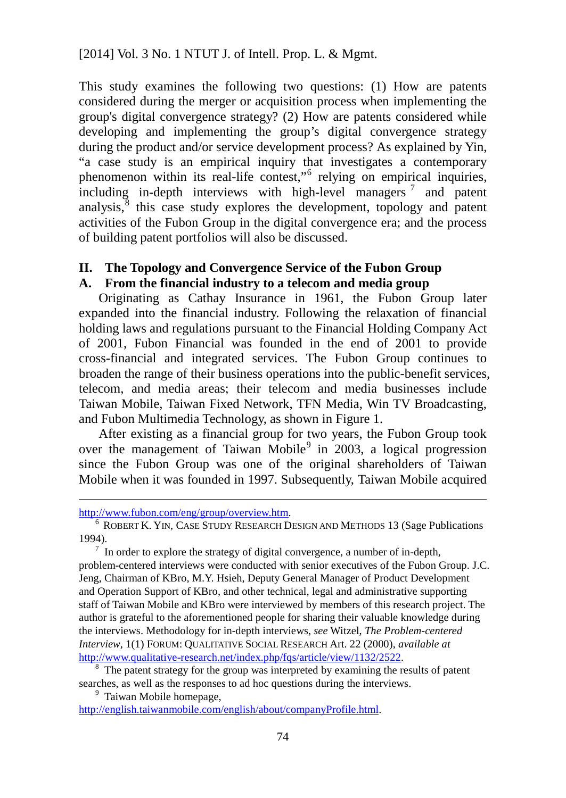This study examines the following two questions: (1) How are patents considered during the merger or acquisition process when implementing the group's digital convergence strategy? (2) How are patents considered while developing and implementing the group's digital convergence strategy during the product and/or service development process? As explained by Yin, "a case study is an empirical inquiry that investigates a contemporary phenomenon within its real-life contest,"[6](#page-80-0) relying on empirical inquiries, including in-depth interviews with high-level managers<sup>[7](#page-80-1)</sup> and patent analysis, $<sup>8</sup>$  $<sup>8</sup>$  $<sup>8</sup>$  this case study explores the development, topology and patent</sup> activities of the Fubon Group in the digital convergence era; and the process of building patent portfolios will also be discussed.

## **II. The Topology and Convergence Service of the Fubon Group**

### **A. From the financial industry to a telecom and media group**

Originating as Cathay Insurance in 1961, the Fubon Group later expanded into the financial industry. Following the relaxation of financial holding laws and regulations pursuant to the Financial Holding Company Act of 2001, Fubon Financial was founded in the end of 2001 to provide cross-financial and integrated services. The Fubon Group continues to broaden the range of their business operations into the public-benefit services, telecom, and media areas; their telecom and media businesses include Taiwan Mobile, Taiwan Fixed Network, TFN Media, Win TV Broadcasting, and Fubon Multimedia Technology, as shown in Figure 1.

After existing as a financial group for two years, the Fubon Group took over the management of Taiwan Mobile $9$  in 2003, a logical progression since the Fubon Group was one of the original shareholders of Taiwan Mobile when it was founded in 1997. Subsequently, Taiwan Mobile acquired

l

<span id="page-80-1"></span> $7$  In order to explore the strategy of digital convergence, a number of in-depth, problem-centered interviews were conducted with senior executives of the Fubon Group. J.C. Jeng, Chairman of KBro, M.Y. Hsieh, Deputy General Manager of Product Development and Operation Support of KBro, and other technical, legal and administrative supporting staff of Taiwan Mobile and KBro were interviewed by members of this research project. The author is grateful to the aforementioned people for sharing their valuable knowledge during the interviews. Methodology for in-depth interviews, *see* Witzel, *The Problem-centered Interview*, 1(1) FORUM: QUALITATIVE SOCIAL RESEARCH Art. 22 (2000), *available at* [http://www.qualitative-research.net/index.php/fqs/article/view/1132/2522.](http://www.qualitative-research.net/index.php/fqs/article/view/1132/2522)

<span id="page-80-2"></span><sup>8</sup> The patent strategy for the group was interpreted by examining the results of patent searches, as well as the responses to ad hoc questions during the interviews.

<sup>9</sup> Taiwan Mobile homepage,

<span id="page-80-3"></span>[http://english.taiwanmobile.com/english/about/companyProfile.html.](http://english.taiwanmobile.com/english/about/companyProfile.html)

[http://www.fubon.com/eng/group/overview.htm.](http://www.fubon.com/eng/group/overview.htm)

<span id="page-80-0"></span><sup>6</sup> ROBERT K. YIN, CASE STUDY RESEARCH DESIGN AND METHODS 13 (Sage Publications 1994).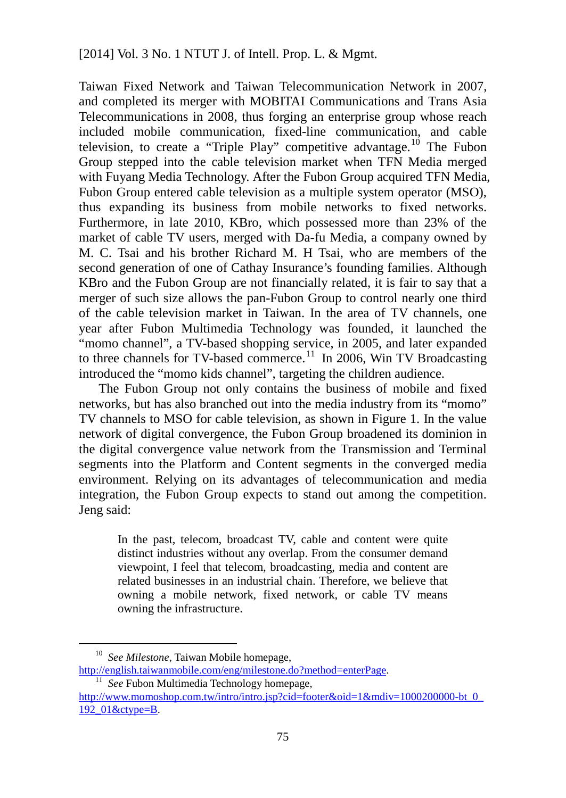<span id="page-81-2"></span>Taiwan Fixed Network and Taiwan Telecommunication Network in 2007, and completed its merger with MOBITAI Communications and Trans Asia Telecommunications in 2008, thus forging an enterprise group whose reach included mobile communication, fixed-line communication, and cable television, to create a "Triple Play" competitive advantage.<sup>[10](#page-81-0)</sup> The Fubon Group stepped into the cable television market when TFN Media merged with Fuyang Media Technology. After the Fubon Group acquired TFN Media, Fubon Group entered cable television as a multiple system operator (MSO), thus expanding its business from mobile networks to fixed networks. Furthermore, in late 2010, KBro, which possessed more than 23% of the market of cable TV users, merged with Da-fu Media, a company owned by M. C. Tsai and his brother Richard M. H Tsai, who are members of the second generation of one of Cathay Insurance's founding families. Although KBro and the Fubon Group are not financially related, it is fair to say that a merger of such size allows the pan-Fubon Group to control nearly one third of the cable television market in Taiwan. In the area of TV channels, one year after Fubon Multimedia Technology was founded, it launched the "momo channel", a TV-based shopping service, in 2005, and later expanded to three channels for TV-based commerce.<sup>[11](#page-81-1)</sup> In 2006, Win TV Broadcasting introduced the "momo kids channel", targeting the children audience.

The Fubon Group not only contains the business of mobile and fixed networks, but has also branched out into the media industry from its "momo" TV channels to MSO for cable television, as shown in Figure 1. In the value network of digital convergence, the Fubon Group broadened its dominion in the digital convergence value network from the Transmission and Terminal segments into the Platform and Content segments in the converged media environment. Relying on its advantages of telecommunication and media integration, the Fubon Group expects to stand out among the competition. Jeng said:

In the past, telecom, broadcast TV, cable and content were quite distinct industries without any overlap. From the consumer demand viewpoint, I feel that telecom, broadcasting, media and content are related businesses in an industrial chain. Therefore, we believe that owning a mobile network, fixed network, or cable TV means owning the infrastructure.

<span id="page-81-0"></span><sup>10</sup> *See Milestone*, Taiwan Mobile homepage, [http://english.taiwanmobile.com/eng/milestone.do?method=enterPage.](http://english.taiwanmobile.com/eng/milestone.do?method=enterPage)

<sup>&</sup>lt;sup>11</sup> *See* Fubon Multimedia Technology homepage,

<span id="page-81-1"></span>http://www.momoshop.com.tw/intro/intro.jsp?cid=footer&oid=1&mdiv=1000200000-bt\_0 [192\\_01&ctype=B.](http://www.momoshop.com.tw/intro/intro.jsp?cid=footer&oid=1&mdiv=1000200000-bt_0_192_01&ctype=B)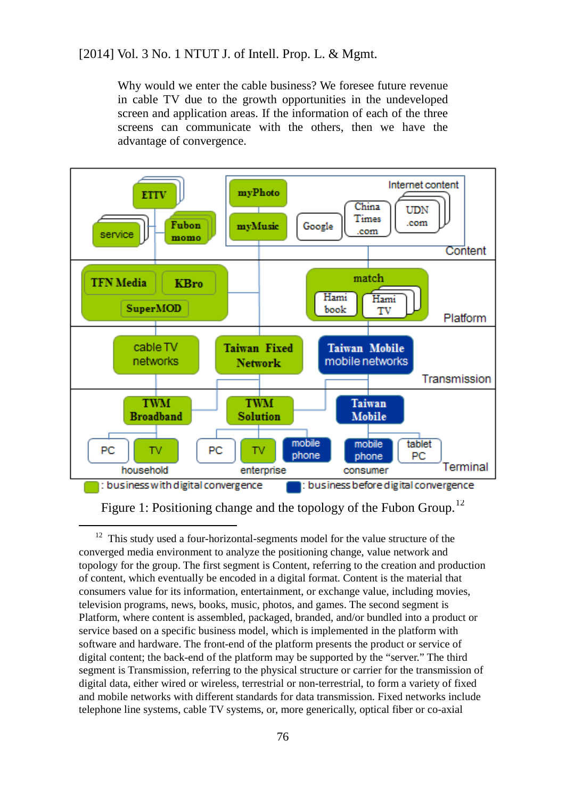Why would we enter the cable business? We foresee future revenue in cable TV due to the growth opportunities in the undeveloped screen and application areas. If the information of each of the three screens can communicate with the others, then we have the advantage of convergence.



Figure 1: Positioning change and the topology of the Fubon Group.<sup>[12](#page-82-0)</sup>

<span id="page-82-0"></span> $12$  This study used a four-horizontal-segments model for the value structure of the converged media environment to analyze the positioning change, value network and topology for the group. The first segment is Content, referring to the creation and production of content, which eventually be encoded in a digital format. Content is the material that consumers value for its information, entertainment, or exchange value, including movies, television programs, news, books, music, photos, and games. The second segment is Platform, where content is assembled, packaged, branded, and/or bundled into a product or service based on a specific business model, which is implemented in the platform with software and hardware. The front-end of the platform presents the product or service of digital content; the back-end of the platform may be supported by the "server." The third segment is Transmission, referring to the physical structure or carrier for the transmission of digital data, either wired or wireless, terrestrial or non-terrestrial, to form a variety of fixed and mobile networks with different standards for data transmission. Fixed networks include telephone line systems, cable TV systems, or, more generically, optical fiber or co-axial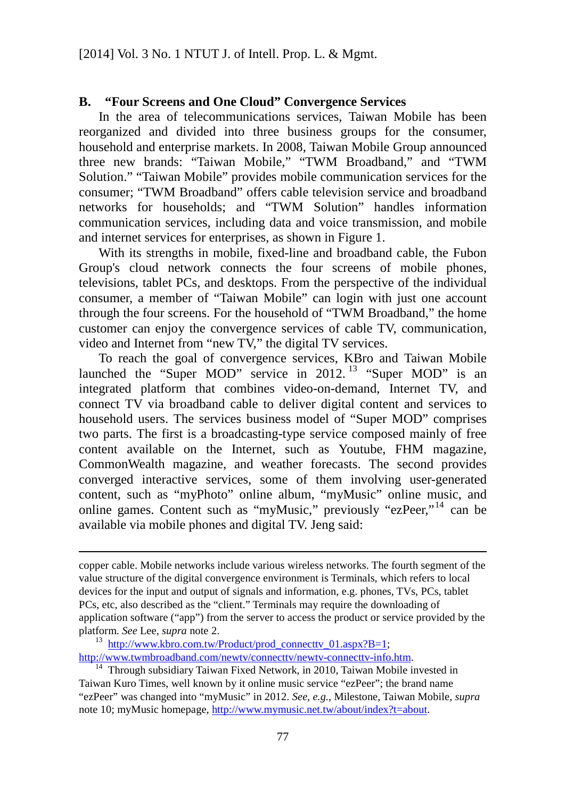### **B. "Four Screens and One Cloud" Convergence Services**

In the area of telecommunications services, Taiwan Mobile has been reorganized and divided into three business groups for the consumer, household and enterprise markets. In 2008, Taiwan Mobile Group announced three new brands: "Taiwan Mobile," "TWM Broadband," and "TWM Solution." "Taiwan Mobile" provides mobile communication services for the consumer; "TWM Broadband" offers cable television service and broadband networks for households; and "TWM Solution" handles information communication services, including data and voice transmission, and mobile and internet services for enterprises, as shown in Figure 1.

With its strengths in mobile, fixed-line and broadband cable, the Fubon Group's cloud network connects the four screens of mobile phones, televisions, tablet PCs, and desktops. From the perspective of the individual consumer, a member of "Taiwan Mobile" can login with just one account through the four screens. For the household of "TWM Broadband," the home customer can enjoy the convergence services of cable TV, communication, video and Internet from "new TV," the digital TV services.

To reach the goal of convergence services, KBro and Taiwan Mobile launched the "Super MOD" service in  $2012$ . <sup>[13](#page-83-0)</sup> "Super MOD" is an integrated platform that combines video-on-demand, Internet TV, and connect TV via broadband cable to deliver digital content and services to household users. The services business model of "Super MOD" comprises two parts. The first is a broadcasting-type service composed mainly of free content available on the Internet, such as Youtube, FHM magazine, CommonWealth magazine, and weather forecasts. The second provides converged interactive services, some of them involving user-generated content, such as "myPhoto" online album, "myMusic" online music, and online games. Content such as "myMusic," previously "ezPeer,"[14](#page-83-1) can be available via mobile phones and digital TV. Jeng said:

copper cable. Mobile networks include various wireless networks. The fourth segment of the value structure of the digital convergence environment is Terminals, which refers to local devices for the input and output of signals and information, e.g. phones, TVs, PCs, tablet PCs, etc, also described as the "client." Terminals may require the downloading of application software ("app") from the server to access the product or service provided by the platform. *See* Lee, *supra* note [2.](#page-79-5)

<span id="page-83-0"></span><sup>&</sup>lt;sup>13</sup> http://www.kbro.com.tw/Product/prod\_connectty\_01.aspx?B=1; [http://www.twmbroadband.com/newtv/connecttv/newtv-connecttv-info.htm.](http://www.twmbroadband.com/newtv/connecttv/newtv-connecttv-info.htm)

<span id="page-83-1"></span> $14$  Through subsidiary Taiwan Fixed Network, in 2010, Taiwan Mobile invested in Taiwan Kuro Times, well known by it online music service "ezPeer"; the brand name "ezPeer" was changed into "myMusic" in 2012. *See*, *e.g.*, Milestone, Taiwan Mobile, *supra* not[e 10;](#page-81-2) myMusic homepage, [http://www.mymusic.net.tw/about/index?t=about.](http://www.mymusic.net.tw/about/index?t=about)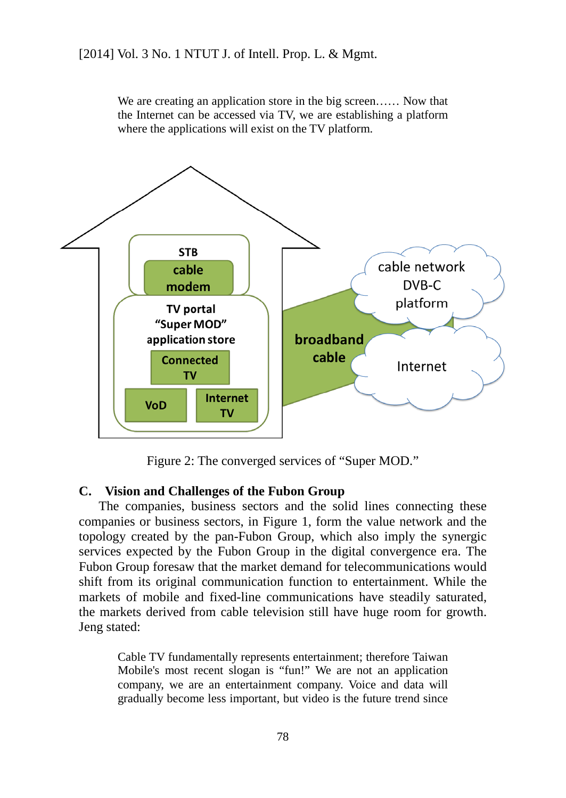We are creating an application store in the big screen…… Now that the Internet can be accessed via TV, we are establishing a platform where the applications will exist on the TV platform.



Figure 2: The converged services of "Super MOD."

#### **C. Vision and Challenges of the Fubon Group**

The companies, business sectors and the solid lines connecting these companies or business sectors, in Figure 1, form the value network and the topology created by the pan-Fubon Group, which also imply the synergic services expected by the Fubon Group in the digital convergence era. The Fubon Group foresaw that the market demand for telecommunications would shift from its original communication function to entertainment. While the markets of mobile and fixed-line communications have steadily saturated, the markets derived from cable television still have huge room for growth. Jeng stated:

Cable TV fundamentally represents entertainment; therefore Taiwan Mobile's most recent slogan is "fun!" We are not an application company, we are an entertainment company. Voice and data will gradually become less important, but video is the future trend since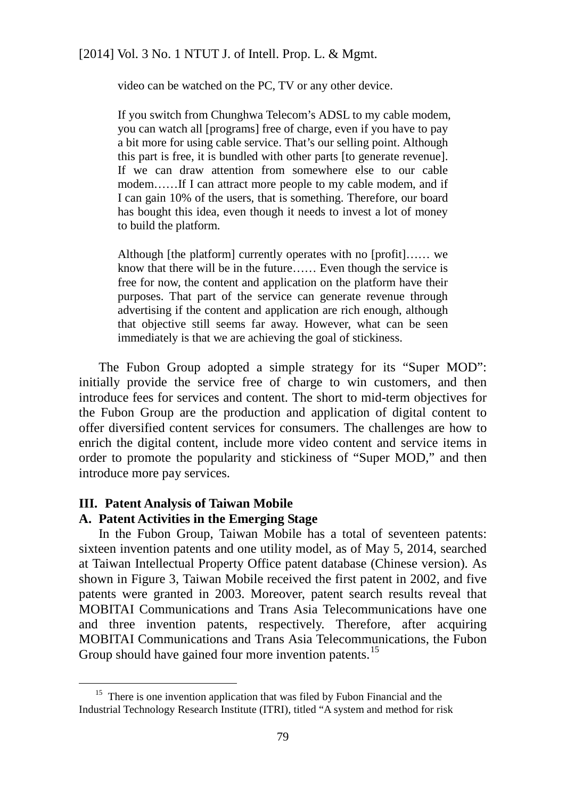video can be watched on the PC, TV or any other device.

If you switch from Chunghwa Telecom's ADSL to my cable modem, you can watch all [programs] free of charge, even if you have to pay a bit more for using cable service. That's our selling point. Although this part is free, it is bundled with other parts [to generate revenue]. If we can draw attention from somewhere else to our cable modem……If I can attract more people to my cable modem, and if I can gain 10% of the users, that is something. Therefore, our board has bought this idea, even though it needs to invest a lot of money to build the platform.

Although [the platform] currently operates with no [profit]…… we know that there will be in the future…… Even though the service is free for now, the content and application on the platform have their purposes. That part of the service can generate revenue through advertising if the content and application are rich enough, although that objective still seems far away. However, what can be seen immediately is that we are achieving the goal of stickiness.

The Fubon Group adopted a simple strategy for its "Super MOD": initially provide the service free of charge to win customers, and then introduce fees for services and content. The short to mid-term objectives for the Fubon Group are the production and application of digital content to offer diversified content services for consumers. The challenges are how to enrich the digital content, include more video content and service items in order to promote the popularity and stickiness of "Super MOD," and then introduce more pay services.

#### **III. Patent Analysis of Taiwan Mobile**

l

### **A. Patent Activities in the Emerging Stage**

In the Fubon Group, Taiwan Mobile has a total of seventeen patents: sixteen invention patents and one utility model, as of May 5, 2014, searched at Taiwan Intellectual Property Office patent database (Chinese version). As shown in Figure 3, Taiwan Mobile received the first patent in 2002, and five patents were granted in 2003. Moreover, patent search results reveal that MOBITAI Communications and Trans Asia Telecommunications have one and three invention patents, respectively. Therefore, after acquiring MOBITAI Communications and Trans Asia Telecommunications, the Fubon Group should have gained four more invention patents.<sup>[15](#page-85-0)</sup>

<span id="page-85-0"></span><sup>&</sup>lt;sup>15</sup> There is one invention application that was filed by Fubon Financial and the Industrial Technology Research Institute (ITRI), titled "A system and method for risk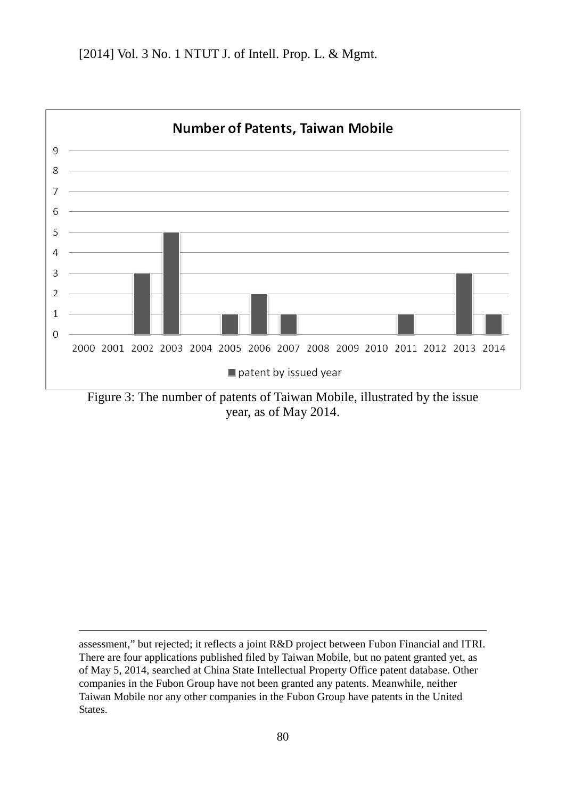

Figure 3: The number of patents of Taiwan Mobile, illustrated by the issue year, as of May 2014.

assessment," but rejected; it reflects a joint R&D project between Fubon Financial and ITRI. There are four applications published filed by Taiwan Mobile, but no patent granted yet, as of May 5, 2014, searched at China State Intellectual Property Office patent database. Other companies in the Fubon Group have not been granted any patents. Meanwhile, neither Taiwan Mobile nor any other companies in the Fubon Group have patents in the United States.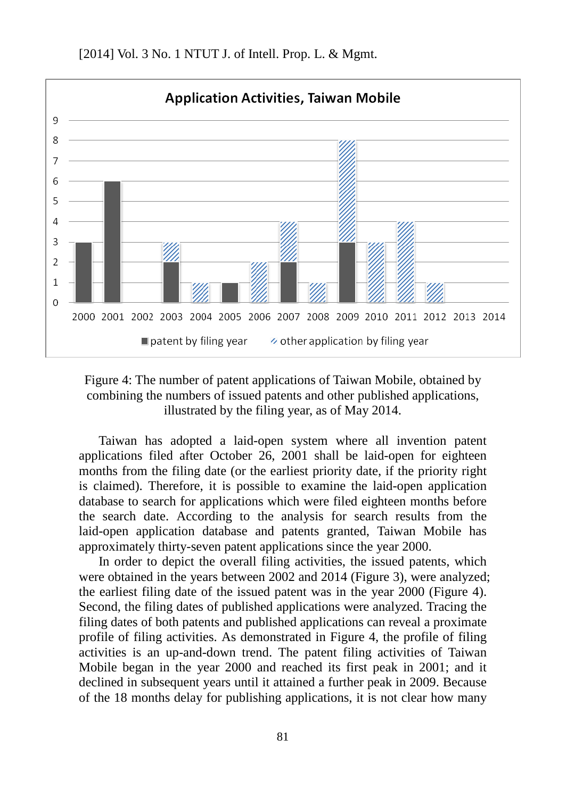

Figure 4: The number of patent applications of Taiwan Mobile, obtained by combining the numbers of issued patents and other published applications, illustrated by the filing year, as of May 2014.

Taiwan has adopted a laid-open system where all invention patent applications filed after October 26, 2001 shall be laid-open for eighteen months from the filing date (or the earliest priority date, if the priority right is claimed). Therefore, it is possible to examine the laid-open application database to search for applications which were filed eighteen months before the search date. According to the analysis for search results from the laid-open application database and patents granted, Taiwan Mobile has approximately thirty-seven patent applications since the year 2000.

In order to depict the overall filing activities, the issued patents, which were obtained in the years between 2002 and 2014 (Figure 3), were analyzed; the earliest filing date of the issued patent was in the year 2000 (Figure 4). Second, the filing dates of published applications were analyzed. Tracing the filing dates of both patents and published applications can reveal a proximate profile of filing activities. As demonstrated in Figure 4, the profile of filing activities is an up-and-down trend. The patent filing activities of Taiwan Mobile began in the year 2000 and reached its first peak in 2001; and it declined in subsequent years until it attained a further peak in 2009. Because of the 18 months delay for publishing applications, it is not clear how many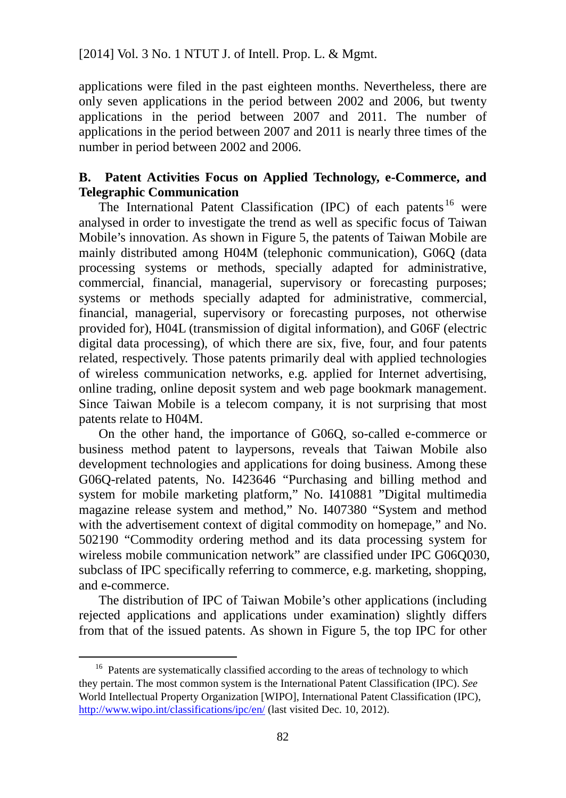applications were filed in the past eighteen months. Nevertheless, there are only seven applications in the period between 2002 and 2006, but twenty applications in the period between 2007 and 2011. The number of applications in the period between 2007 and 2011 is nearly three times of the number in period between 2002 and 2006.

# **B. Patent Activities Focus on Applied Technology, e-Commerce, and Telegraphic Communication**

The International Patent Classification (IPC) of each patents [16](#page-88-0) were analysed in order to investigate the trend as well as specific focus of Taiwan Mobile's innovation. As shown in Figure 5, the patents of Taiwan Mobile are mainly distributed among H04M (telephonic communication), G06Q (data processing systems or methods, specially adapted for administrative, commercial, financial, managerial, supervisory or forecasting purposes; systems or methods specially adapted for administrative, commercial, financial, managerial, supervisory or forecasting purposes, not otherwise provided for), H04L (transmission of digital information), and G06F (electric digital data processing), of which there are six, five, four, and four patents related, respectively. Those patents primarily deal with applied technologies of wireless communication networks, e.g. applied for Internet advertising, online trading, online deposit system and web page bookmark management. Since Taiwan Mobile is a telecom company, it is not surprising that most patents relate to H04M.

On the other hand, the importance of G06Q, so-called e-commerce or business method patent to laypersons, reveals that Taiwan Mobile also development technologies and applications for doing business. Among these G06Q-related patents, No. I423646 "Purchasing and billing method and system for mobile marketing platform," No. I410881 "Digital multimedia magazine release system and method," No. I407380 "System and method with the advertisement context of digital commodity on homepage," and No. 502190 "Commodity ordering method and its data processing system for wireless mobile communication network" are classified under IPC G06O030, subclass of IPC specifically referring to commerce, e.g. marketing, shopping, and e-commerce.

The distribution of IPC of Taiwan Mobile's other applications (including rejected applications and applications under examination) slightly differs from that of the issued patents. As shown in Figure 5, the top IPC for other

<span id="page-88-0"></span><sup>&</sup>lt;sup>16</sup> Patents are systematically classified according to the areas of technology to which they pertain. The most common system is the International Patent Classification (IPC). *See* World Intellectual Property Organization [WIPO], International Patent Classification (IPC), <http://www.wipo.int/classifications/ipc/en/> (last visited Dec. 10, 2012).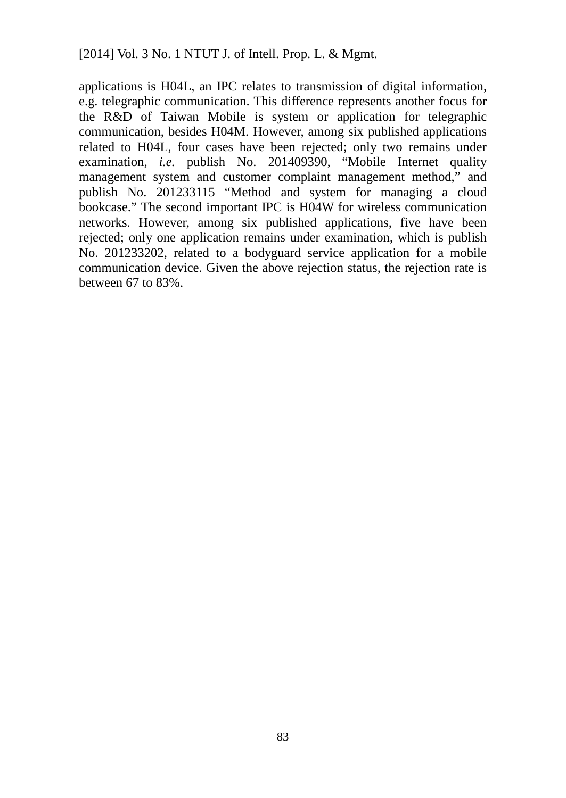applications is H04L, an IPC relates to transmission of digital information, e.g. telegraphic communication. This difference represents another focus for the R&D of Taiwan Mobile is system or application for telegraphic communication, besides H04M. However, among six published applications related to H04L, four cases have been rejected; only two remains under examination, *i.e.* publish No. 201409390, "Mobile Internet quality management system and customer complaint management method," and publish No. 201233115 "Method and system for managing a cloud bookcase." The second important IPC is H04W for wireless communication networks. However, among six published applications, five have been rejected; only one application remains under examination, which is publish No. 201233202, related to a bodyguard service application for a mobile communication device. Given the above rejection status, the rejection rate is between 67 to 83%.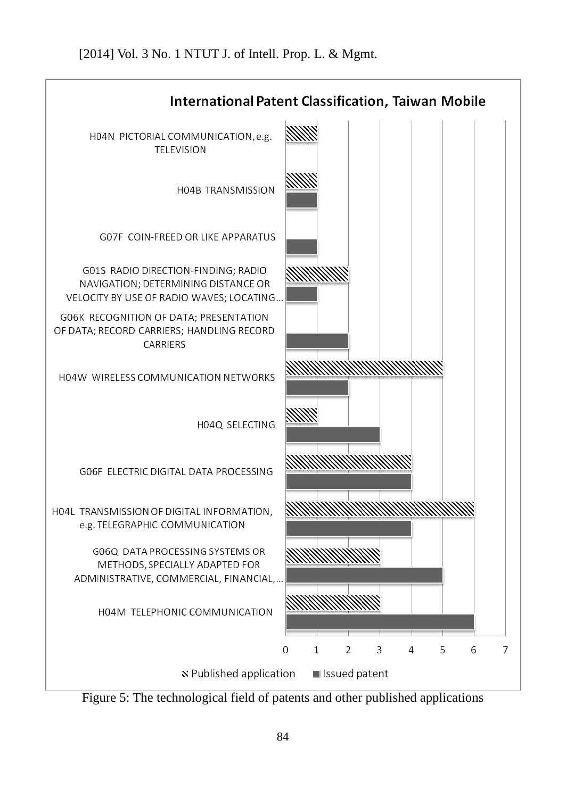

Figure 5: The technological field of patents and other published applications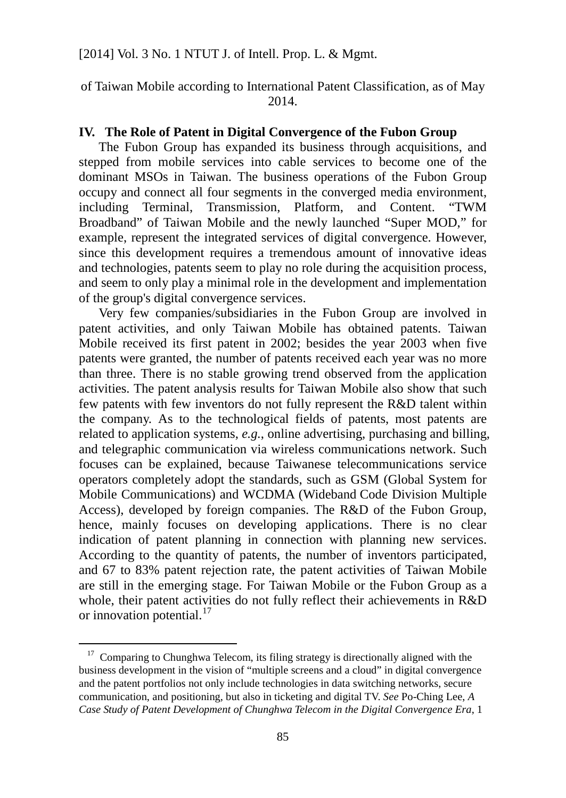of Taiwan Mobile according to International Patent Classification, as of May 2014.

## **IV. The Role of Patent in Digital Convergence of the Fubon Group**

The Fubon Group has expanded its business through acquisitions, and stepped from mobile services into cable services to become one of the dominant MSOs in Taiwan. The business operations of the Fubon Group occupy and connect all four segments in the converged media environment, including Terminal, Transmission, Platform, and Content. "TWM Broadband" of Taiwan Mobile and the newly launched "Super MOD," for example, represent the integrated services of digital convergence. However, since this development requires a tremendous amount of innovative ideas and technologies, patents seem to play no role during the acquisition process, and seem to only play a minimal role in the development and implementation of the group's digital convergence services.

Very few companies/subsidiaries in the Fubon Group are involved in patent activities, and only Taiwan Mobile has obtained patents. Taiwan Mobile received its first patent in 2002; besides the year 2003 when five patents were granted, the number of patents received each year was no more than three. There is no stable growing trend observed from the application activities. The patent analysis results for Taiwan Mobile also show that such few patents with few inventors do not fully represent the R&D talent within the company. As to the technological fields of patents, most patents are related to application systems, *e.g.*, online advertising, purchasing and billing, and telegraphic communication via wireless communications network. Such focuses can be explained, because Taiwanese telecommunications service operators completely adopt the standards, such as GSM (Global System for Mobile Communications) and WCDMA (Wideband Code Division Multiple Access), developed by foreign companies. The R&D of the Fubon Group, hence, mainly focuses on developing applications. There is no clear indication of patent planning in connection with planning new services. According to the quantity of patents, the number of inventors participated, and 67 to 83% patent rejection rate, the patent activities of Taiwan Mobile are still in the emerging stage. For Taiwan Mobile or the Fubon Group as a whole, their patent activities do not fully reflect their achievements in R&D or innovation potential. $17$ 

<span id="page-91-0"></span><sup>&</sup>lt;sup>17</sup> Comparing to Chunghwa Telecom, its filing strategy is directionally aligned with the business development in the vision of "multiple screens and a cloud" in digital convergence and the patent portfolios not only include technologies in data switching networks, secure communication, and positioning, but also in ticketing and digital TV. *See* Po-Ching Lee, *A Case Study of Patent Development of Chunghwa Telecom in the Digital Convergence Era*, 1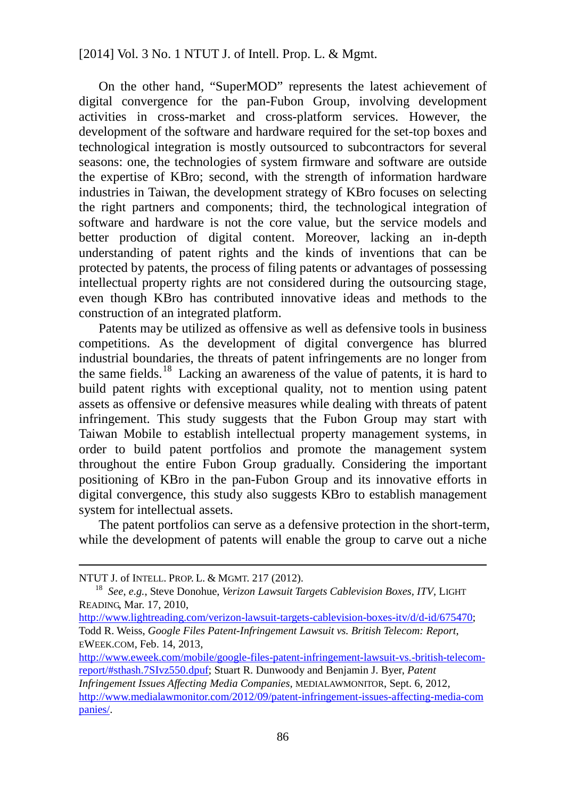On the other hand, "SuperMOD" represents the latest achievement of digital convergence for the pan-Fubon Group, involving development activities in cross-market and cross-platform services. However, the development of the software and hardware required for the set-top boxes and technological integration is mostly outsourced to subcontractors for several seasons: one, the technologies of system firmware and software are outside the expertise of KBro; second, with the strength of information hardware industries in Taiwan, the development strategy of KBro focuses on selecting the right partners and components; third, the technological integration of software and hardware is not the core value, but the service models and better production of digital content. Moreover, lacking an in-depth understanding of patent rights and the kinds of inventions that can be protected by patents, the process of filing patents or advantages of possessing intellectual property rights are not considered during the outsourcing stage, even though KBro has contributed innovative ideas and methods to the construction of an integrated platform.

Patents may be utilized as offensive as well as defensive tools in business competitions. As the development of digital convergence has blurred industrial boundaries, the threats of patent infringements are no longer from the same fields.<sup>[18](#page-92-0)</sup> Lacking an awareness of the value of patents, it is hard to build patent rights with exceptional quality, not to mention using patent assets as offensive or defensive measures while dealing with threats of patent infringement. This study suggests that the Fubon Group may start with Taiwan Mobile to establish intellectual property management systems, in order to build patent portfolios and promote the management system throughout the entire Fubon Group gradually. Considering the important positioning of KBro in the pan-Fubon Group and its innovative efforts in digital convergence, this study also suggests KBro to establish management system for intellectual assets.

The patent portfolios can serve as a defensive protection in the short-term, while the development of patents will enable the group to carve out a niche

l

[http://www.lightreading.com/verizon-lawsuit-targets-cablevision-boxes-itv/d/d-id/675470;](http://www.lightreading.com/verizon-lawsuit-targets-cablevision-boxes-itv/d/d-id/675470) Todd R. Weiss, *Google Files Patent-Infringement Lawsuit vs. British Telecom: Report*, EWEEK.COM, Feb. 14, 2013,

[http://www.eweek.com/mobile/google-files-patent-infringement-lawsuit-vs.-british-telecom](http://www.eweek.com/mobile/google-files-patent-infringement-lawsuit-vs.-british-telecom-report/#sthash.7SIvz550.dpuf)[report/#sthash.7SIvz550.dpuf;](http://www.eweek.com/mobile/google-files-patent-infringement-lawsuit-vs.-british-telecom-report/#sthash.7SIvz550.dpuf) Stuart R. Dunwoody and Benjamin J. Byer, *Patent Infringement Issues Affecting Media Companies*, MEDIALAWMONITOR, Sept. 6, 2012,

[http://www.medialawmonitor.com/2012/09/patent-infringement-issues-affecting-media-com](http://www.medialawmonitor.com/2012/09/patent-infringement-issues-affecting-media-companies/) [panies/.](http://www.medialawmonitor.com/2012/09/patent-infringement-issues-affecting-media-companies/)

NTUT J. of INTELL. PROP. L. & MGMT. 217 (2012).

<span id="page-92-0"></span><sup>18</sup> *See*, *e.g.*, Steve Donohue, *Verizon Lawsuit Targets Cablevision Boxes, ITV*, LIGHT READING, Mar. 17, 2010,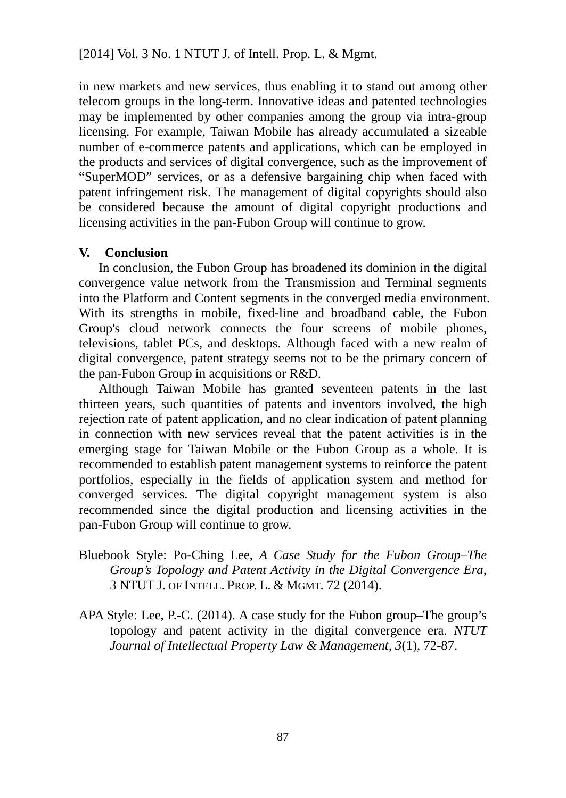in new markets and new services, thus enabling it to stand out among other telecom groups in the long-term. Innovative ideas and patented technologies may be implemented by other companies among the group via intra-group licensing. For example, Taiwan Mobile has already accumulated a sizeable number of e-commerce patents and applications, which can be employed in the products and services of digital convergence, such as the improvement of "SuperMOD" services, or as a defensive bargaining chip when faced with patent infringement risk. The management of digital copyrights should also be considered because the amount of digital copyright productions and licensing activities in the pan-Fubon Group will continue to grow.

### **V. Conclusion**

In conclusion, the Fubon Group has broadened its dominion in the digital convergence value network from the Transmission and Terminal segments into the Platform and Content segments in the converged media environment. With its strengths in mobile, fixed-line and broadband cable, the Fubon Group's cloud network connects the four screens of mobile phones, televisions, tablet PCs, and desktops. Although faced with a new realm of digital convergence, patent strategy seems not to be the primary concern of the pan-Fubon Group in acquisitions or R&D.

Although Taiwan Mobile has granted seventeen patents in the last thirteen years, such quantities of patents and inventors involved, the high rejection rate of patent application, and no clear indication of patent planning in connection with new services reveal that the patent activities is in the emerging stage for Taiwan Mobile or the Fubon Group as a whole. It is recommended to establish patent management systems to reinforce the patent portfolios, especially in the fields of application system and method for converged services. The digital copyright management system is also recommended since the digital production and licensing activities in the pan-Fubon Group will continue to grow.

- Bluebook Style: Po-Ching Lee, *A Case Study for the Fubon Group–The Group's Topology and Patent Activity in the Digital Convergence Era*, 3 NTUT J. OF INTELL. PROP. L. & MGMT. 72 (2014).
- APA Style: Lee, P.-C. (2014). A case study for the Fubon group–The group's topology and patent activity in the digital convergence era. *NTUT Journal of Intellectual Property Law & Management, 3*(1), 72-87.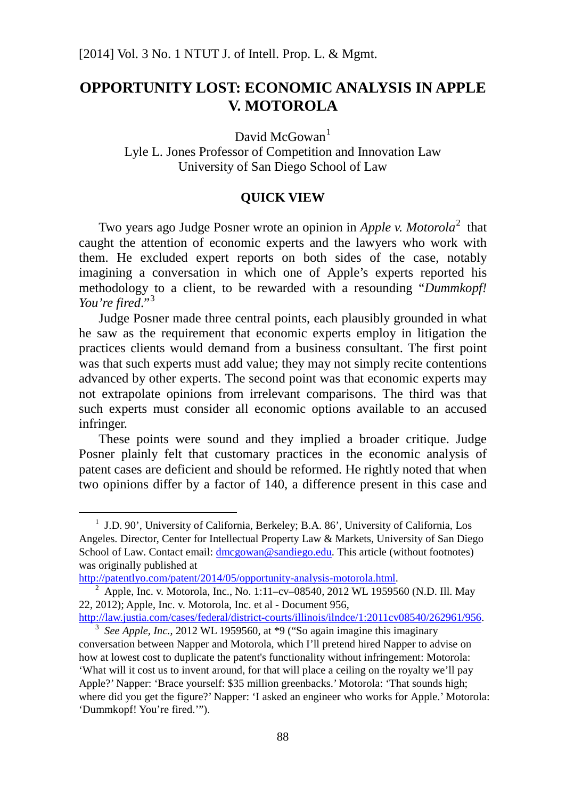# **OPPORTUNITY LOST: ECONOMIC ANALYSIS IN APPLE V. MOTOROLA**

David McGowan<sup>[1](#page-94-0)</sup> Lyle L. Jones Professor of Competition and Innovation Law University of San Diego School of Law

#### **QUICK VIEW**

Two years ago Judge Posner wrote an opinion in *Apple v. Motorola*<sup>[2](#page-94-1)</sup> that caught the attention of economic experts and the lawyers who work with them. He excluded expert reports on both sides of the case, notably imagining a conversation in which one of Apple's experts reported his methodology to a client, to be rewarded with a resounding "*Dummkopf! You're fired*."[3](#page-94-2)

Judge Posner made three central points, each plausibly grounded in what he saw as the requirement that economic experts employ in litigation the practices clients would demand from a business consultant. The first point was that such experts must add value; they may not simply recite contentions advanced by other experts. The second point was that economic experts may not extrapolate opinions from irrelevant comparisons. The third was that such experts must consider all economic options available to an accused infringer.

These points were sound and they implied a broader critique. Judge Posner plainly felt that customary practices in the economic analysis of patent cases are deficient and should be reformed. He rightly noted that when two opinions differ by a factor of 140, a difference present in this case and

<span id="page-94-0"></span> $1$  J.D. 90', University of California, Berkeley; B.A. 86', University of California, Los Angeles. Director, Center for Intellectual Property Law & Markets, University of San Diego School of Law. Contact email: [dmcgowan@sandiego.edu.](mailto:dmcgowan@sandiego.edu) This article (without footnotes) was originally published at

<span id="page-94-1"></span>[http://patentlyo.com/patent/2014/05/opportunity-analysis-motorola.html.](http://patentlyo.com/patent/2014/05/opportunity-analysis-motorola.html)<br><sup>2</sup> Apple, Inc. v. Motorola, Inc., No. 1:11–cv–08540, 2012 WL 1959560 (N.D. Ill. May 22, 2012); Apple, Inc. v. Motorola, Inc. et al - Document 956,

[http://law.justia.com/cases/federal/district-courts/illinois/ilndce/1:2011cv08540/262961/956.](http://law.justia.com/cases/federal/district-courts/illinois/ilndce/1:2011cv08540/262961/956) 3 *See Apple, Inc.*, 2012 WL 1959560, at \*9 ("So again imagine this imaginary

<span id="page-94-2"></span>conversation between Napper and Motorola, which I'll pretend hired Napper to advise on how at lowest cost to duplicate the patent's functionality without infringement: Motorola: 'What will it cost us to invent around, for that will place a ceiling on the royalty we'll pay Apple?' Napper: 'Brace yourself: \$35 million greenbacks.' Motorola: 'That sounds high; where did you get the figure?' Napper: 'I asked an engineer who works for Apple.' Motorola: 'Dummkopf! You're fired.'").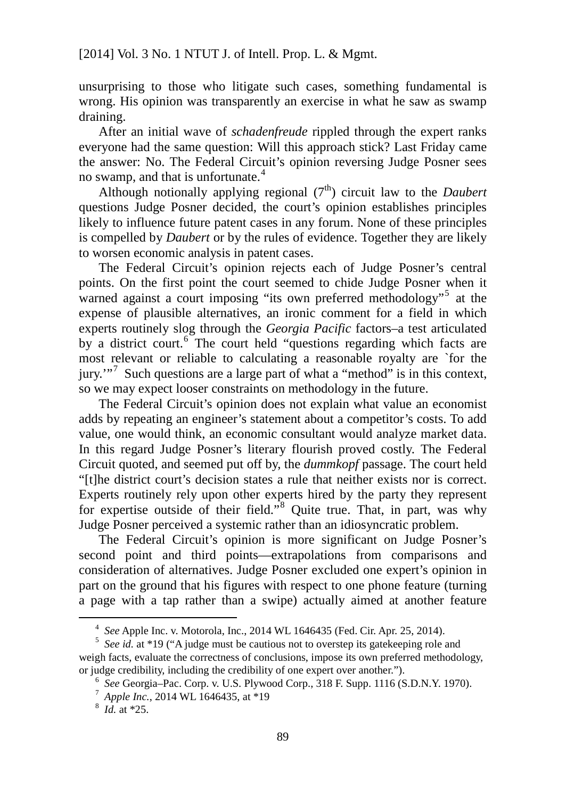unsurprising to those who litigate such cases, something fundamental is wrong. His opinion was transparently an exercise in what he saw as swamp draining.

After an initial wave of *schadenfreude* rippled through the expert ranks everyone had the same question: Will this approach stick? Last Friday came the answer: No. The Federal Circuit's opinion reversing Judge Posner sees no swamp, and that is unfortunate. $4$ 

Although notionally applying regional  $(7<sup>th</sup>)$  circuit law to the *Daubert* questions Judge Posner decided, the court's opinion establishes principles likely to influence future patent cases in any forum. None of these principles is compelled by *Daubert* or by the rules of evidence. Together they are likely to worsen economic analysis in patent cases.

The Federal Circuit's opinion rejects each of Judge Posner's central points. On the first point the court seemed to chide Judge Posner when it warned against a court imposing "its own preferred methodology"<sup>[5](#page-95-1)</sup> at the expense of plausible alternatives, an ironic comment for a field in which experts routinely slog through the *Georgia Pacific* factors–a test articulated by a district court.<sup>[6](#page-95-2)</sup> The court held "questions regarding which facts are most relevant or reliable to calculating a reasonable royalty are `for the  $jurv.^{"7}$  $jurv.^{"7}$  $jurv.^{"7}$  Such questions are a large part of what a "method" is in this context, so we may expect looser constraints on methodology in the future.

The Federal Circuit's opinion does not explain what value an economist adds by repeating an engineer's statement about a competitor's costs. To add value, one would think, an economic consultant would analyze market data. In this regard Judge Posner's literary flourish proved costly. The Federal Circuit quoted, and seemed put off by, the *dummkopf* passage. The court held "[t]he district court's decision states a rule that neither exists nor is correct. Experts routinely rely upon other experts hired by the party they represent for expertise outside of their field."[8](#page-95-4) Quite true. That, in part, was why Judge Posner perceived a systemic rather than an idiosyncratic problem.

The Federal Circuit's opinion is more significant on Judge Posner's second point and third points—extrapolations from comparisons and consideration of alternatives. Judge Posner excluded one expert's opinion in part on the ground that his figures with respect to one phone feature (turning a page with a tap rather than a swipe) actually aimed at another feature

<sup>4</sup> *See* Apple Inc. v. Motorola, Inc., 2014 WL 1646435 (Fed. Cir. Apr. 25, 2014).

<span id="page-95-2"></span><span id="page-95-1"></span><span id="page-95-0"></span><sup>5</sup> *See id.* at \*19 ("A judge must be cautious not to overstep its gatekeeping role and weigh facts, evaluate the correctness of conclusions, impose its own preferred methodology, or judge credibility, including the credibility of one expert over another.").

<sup>6</sup> *See* Georgia–Pac. Corp. v. U.S. Plywood Corp., 318 F. Supp. 1116 (S.D.N.Y. 1970).

<span id="page-95-3"></span><sup>7</sup> *Apple Inc.*, 2014 WL 1646435, at \*19

<span id="page-95-4"></span><sup>8</sup> *Id.* at \*25.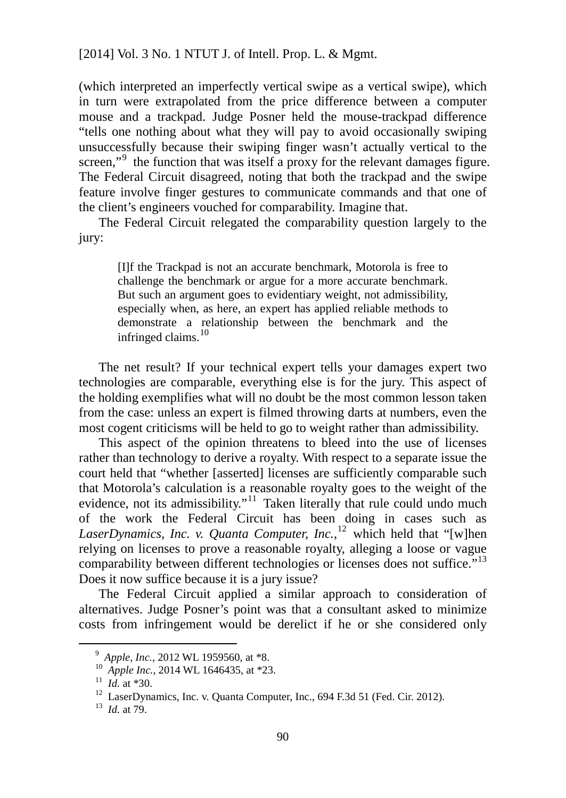(which interpreted an imperfectly vertical swipe as a vertical swipe), which in turn were extrapolated from the price difference between a computer mouse and a trackpad. Judge Posner held the mouse-trackpad difference "tells one nothing about what they will pay to avoid occasionally swiping unsuccessfully because their swiping finger wasn't actually vertical to the screen,"<sup>[9](#page-96-0)</sup> the function that was itself a proxy for the relevant damages figure. The Federal Circuit disagreed, noting that both the trackpad and the swipe feature involve finger gestures to communicate commands and that one of the client's engineers vouched for comparability. Imagine that.

The Federal Circuit relegated the comparability question largely to the jury:

[I]f the Trackpad is not an accurate benchmark, Motorola is free to challenge the benchmark or argue for a more accurate benchmark. But such an argument goes to evidentiary weight, not admissibility, especially when, as here, an expert has applied reliable methods to demonstrate a relationship between the benchmark and the infringed claims.<sup>[10](#page-96-1)</sup>

The net result? If your technical expert tells your damages expert two technologies are comparable, everything else is for the jury. This aspect of the holding exemplifies what will no doubt be the most common lesson taken from the case: unless an expert is filmed throwing darts at numbers, even the most cogent criticisms will be held to go to weight rather than admissibility.

This aspect of the opinion threatens to bleed into the use of licenses rather than technology to derive a royalty. With respect to a separate issue the court held that "whether [asserted] licenses are sufficiently comparable such that Motorola's calculation is a reasonable royalty goes to the weight of the evidence, not its admissibility."<sup>[11](#page-96-2)</sup> Taken literally that rule could undo much of the work the Federal Circuit has been doing in cases such as *LaserDynamics, Inc. v. Quanta Computer, Inc.*, [12](#page-96-3) which held that "[w]hen relying on licenses to prove a reasonable royalty, alleging a loose or vague comparability between different technologies or licenses does not suffice."<sup>[13](#page-96-4)</sup> Does it now suffice because it is a jury issue?

The Federal Circuit applied a similar approach to consideration of alternatives. Judge Posner's point was that a consultant asked to minimize costs from infringement would be derelict if he or she considered only

<sup>9</sup> *Apple, Inc.*, 2012 WL 1959560, at \*8.

<span id="page-96-1"></span><span id="page-96-0"></span><sup>10</sup> *Apple Inc.*, 2014 WL 1646435, at \*23.

<span id="page-96-2"></span> $11$  *Id.* at \*30.

<span id="page-96-3"></span><sup>&</sup>lt;sup>12</sup> LaserDynamics, Inc. v. Quanta Computer, Inc., 694 F.3d 51 (Fed. Cir. 2012).

<span id="page-96-4"></span><sup>13</sup> *Id.* at 79.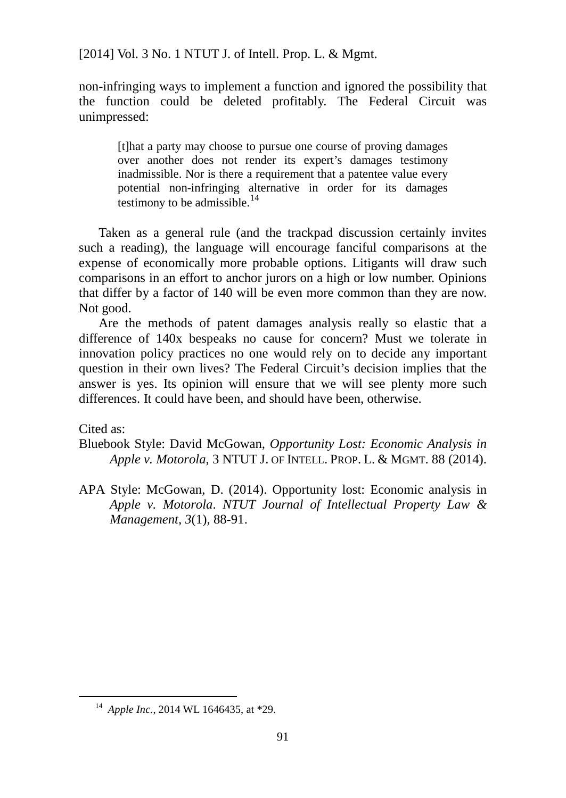non-infringing ways to implement a function and ignored the possibility that the function could be deleted profitably. The Federal Circuit was unimpressed:

[t]hat a party may choose to pursue one course of proving damages over another does not render its expert's damages testimony inadmissible. Nor is there a requirement that a patentee value every potential non-infringing alternative in order for its damages testimony to be admissible. $^{14}$  $^{14}$  $^{14}$ 

Taken as a general rule (and the trackpad discussion certainly invites such a reading), the language will encourage fanciful comparisons at the expense of economically more probable options. Litigants will draw such comparisons in an effort to anchor jurors on a high or low number. Opinions that differ by a factor of 140 will be even more common than they are now. Not good.

Are the methods of patent damages analysis really so elastic that a difference of 140x bespeaks no cause for concern? Must we tolerate in innovation policy practices no one would rely on to decide any important question in their own lives? The Federal Circuit's decision implies that the answer is yes. Its opinion will ensure that we will see plenty more such differences. It could have been, and should have been, otherwise.

Cited as:

<span id="page-97-0"></span>l

Bluebook Style: David McGowan, *Opportunity Lost: Economic Analysis in Apple v. Motorola*, 3 NTUT J. OF INTELL. PROP. L. & MGMT. 88 (2014).

APA Style: McGowan, D. (2014). Opportunity lost: Economic analysis in *Apple v. Motorola*. *NTUT Journal of Intellectual Property Law & Management, 3*(1), 88-91.

<sup>14</sup> *Apple Inc.*, 2014 WL 1646435, at \*29.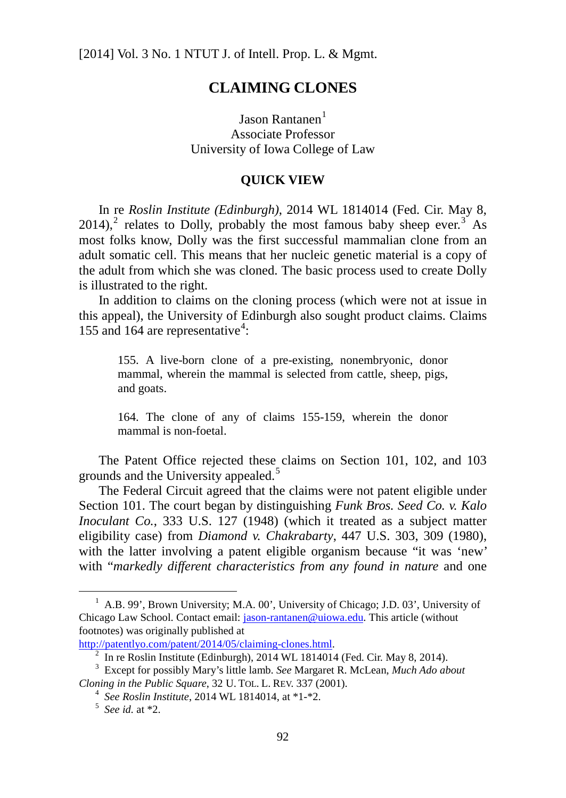# **CLAIMING CLONES**

 $Isson$  Rantanen $<sup>1</sup>$  $<sup>1</sup>$  $<sup>1</sup>$ </sup> Associate Professor University of Iowa College of Law

### **QUICK VIEW**

In re *Roslin Institute (Edinburgh)*, 2014 WL 1814014 (Fed. Cir. May 8, [2](#page-98-1)014),<sup>2</sup> relates to Dolly, [probably the most famous baby sheep ever.](http://en.wikipedia.org/wiki/Dolly_%28sheep%29)<sup>[3](#page-98-2)</sup> As most folks know, Dolly was the first successful mammalian clone from an adult somatic cell. This means that her nucleic genetic material is a copy of the adult from which she was cloned. The basic process used to create Dolly is illustrated to the right.

In addition to claims on the cloning process (which were not at issue in this appeal), the University of Edinburgh also sought product claims. Claims 155 and 16[4](#page-98-3) are representative<sup>4</sup>:

155. A live-born clone of a pre-existing, nonembryonic, donor mammal, wherein the mammal is selected from cattle, sheep, pigs, and goats.

164. The clone of any of claims 155-159, wherein the donor mammal is non-foetal.

The Patent Office rejected these claims on Section 101, 102, and 103 grounds and the University appealed.<sup>[5](#page-98-4)</sup>

The Federal Circuit agreed that the claims were not patent eligible under Section 101. The court began by distinguishing *Funk Bros. Seed Co. v. Kalo Inoculant Co.*, 333 U.S. 127 (1948) (which it treated as a subject matter eligibility case) from *Diamond v. Chakrabarty*, 447 U.S. 303, 309 (1980), with the latter involving a patent eligible organism because "it was 'new' with "*markedly different characteristics from any found in nature* and one

<span id="page-98-0"></span><sup>&</sup>lt;sup>1</sup> A.B. 99', Brown University; M.A. 00', University of Chicago; J.D. 03', University of Chicago Law School. Contact email: [jason-rantanen@uiowa.edu.](mailto:jason-rantanen@uiowa.edu) This article (without footnotes) was originally published at

[http://patentlyo.com/patent/2014/05/claiming-clones.html.](http://patentlyo.com/patent/2014/05/claiming-clones.html)<br><sup>2</sup> In re Roslin Institute (Edinburgh), 2014 WL 1814014 (Fed. Cir. May 8, 2014).

<span id="page-98-4"></span><span id="page-98-3"></span><span id="page-98-2"></span><span id="page-98-1"></span><sup>&</sup>lt;sup>3</sup> Except for possibly Mary's little lamb. *See* Margaret R. McLean, *Much Ado about Cloning in the Public Square*, 32 U. TOL. L. REV. 337 (2001).

<sup>4</sup> *See Roslin Institute*, 2014 WL 1814014, at \*1-\*2. 5 *See id.* at \*2.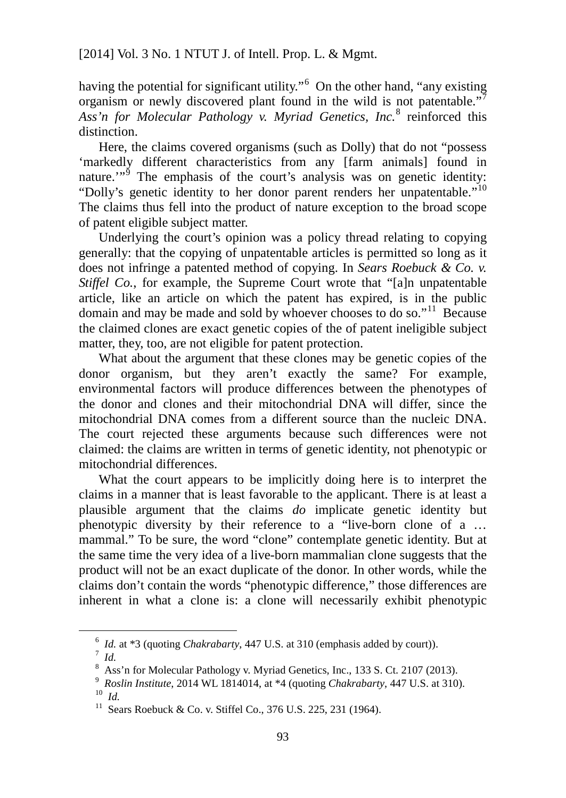having the potential for significant utility."<sup>[6](#page-99-0)</sup> On the other hand, "any existing organism or newly discovered plant found in the wild is not patentable."<sup>[7](#page-99-1)</sup> *Ass'n for Molecular Pathology v. Myriad Genetics, Inc.*[8](#page-99-2) reinforced this distinction.

Here, the claims covered organisms (such as Dolly) that do not "possess 'markedly different characteristics from any [farm animals] found in nature. $\mathbf{w}^5$  The emphasis of the court's analysis was on genetic identity: "Dolly's genetic identity to her donor parent renders her unpatentable."<sup>[10](#page-99-4)</sup> The claims thus fell into the product of nature exception to the broad scope of patent eligible subject matter.

Underlying the court's opinion was a policy thread relating to copying generally: that the copying of unpatentable articles is permitted so long as it does not infringe a patented method of copying. In *Sears Roebuck & Co. v. Stiffel Co.*, for example, the Supreme Court wrote that "[a]n unpatentable article, like an article on which the patent has expired, is in the public domain and may be made and sold by whoever chooses to do so."[11](#page-99-5) Because the claimed clones are exact genetic copies of the of patent ineligible subject matter, they, too, are not eligible for patent protection.

What about the argument that these clones may be genetic copies of the donor organism, but they aren't exactly the same? For example, environmental factors will produce differences between the phenotypes of the donor and clones and their mitochondrial DNA will differ, since the mitochondrial DNA comes from a different source than the nucleic DNA. The court rejected these arguments because such differences were not claimed: the claims are written in terms of genetic identity, not phenotypic or mitochondrial differences.

What the court appears to be implicitly doing here is to interpret the claims in a manner that is least favorable to the applicant. There is at least a plausible argument that the claims *do* implicate genetic identity but phenotypic diversity by their reference to a "live-born clone of a … mammal." To be sure, the word "clone" contemplate genetic identity. But at the same time the very idea of a live-born mammalian clone suggests that the product will not be an exact duplicate of the donor. In other words, while the claims don't contain the words "phenotypic difference," those differences are inherent in what a clone is: a clone will necessarily exhibit phenotypic

<sup>&</sup>lt;sup>6</sup> *Id.* at \*3 (quoting *Chakrabarty*, 447 U.S. at 310 (emphasis added by court)).

<span id="page-99-1"></span><span id="page-99-0"></span><sup>8</sup> Ass'n for Molecular Pathology v. Myriad Genetics, Inc., 133 S. Ct. 2107 (2013).

<span id="page-99-5"></span><span id="page-99-4"></span><span id="page-99-3"></span><span id="page-99-2"></span><sup>9</sup> *Roslin Institute*, 2014 WL 1814014, at \*4 (quoting *Chakrabarty*, 447 U.S. at 310). 10 *Id.*

<sup>&</sup>lt;sup>11</sup> Sears Roebuck & Co. v. Stiffel Co., 376 U.S. 225, 231 (1964).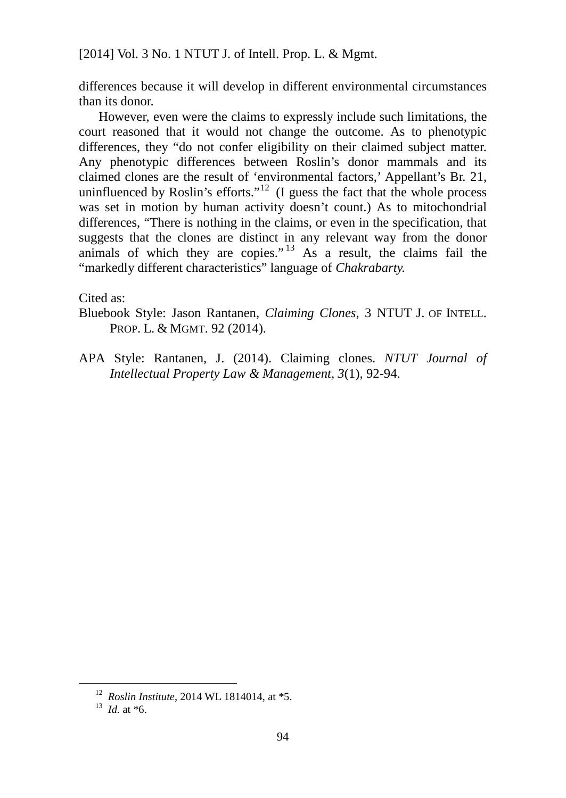differences because it will develop in different environmental circumstances than its donor.

However, even were the claims to expressly include such limitations, the court reasoned that it would not change the outcome. As to phenotypic differences, they "do not confer eligibility on their claimed subject matter. Any phenotypic differences between Roslin's donor mammals and its claimed clones are the result of 'environmental factors,' Appellant's Br. 21, uninfluenced by Roslin's efforts."<sup>[12](#page-100-0)</sup> (I guess the fact that the whole process was set in motion by human activity doesn't count.) As to mitochondrial differences, "There is nothing in the claims, or even in the specification, that suggests that the clones are distinct in any relevant way from the donor animals of which they are copies."<sup>[13](#page-100-1)</sup> As a result, the claims fail the "markedly different characteristics" language of *Chakrabarty.*

Cited as:

Bluebook Style: Jason Rantanen, *Claiming Clones*, 3 NTUT J. OF INTELL. PROP. L. & MGMT. 92 (2014).

APA Style: Rantanen, J. (2014). Claiming clones. *NTUT Journal of Intellectual Property Law & Management, 3*(1), 92-94.

<span id="page-100-1"></span><span id="page-100-0"></span><sup>12</sup> *Roslin Institute*, 2014 WL 1814014, at \*5. 13 *Id.* at \*6.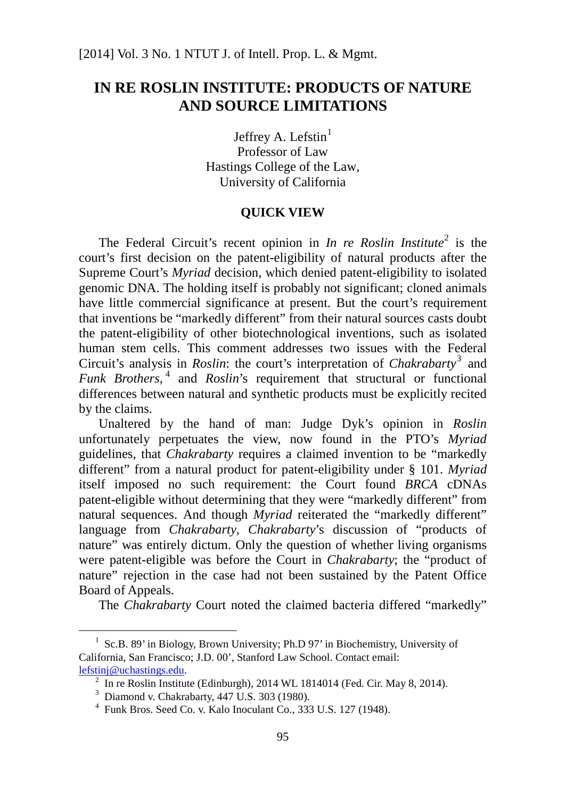# **IN RE ROSLIN INSTITUTE: PRODUCTS OF NATURE AND SOURCE LIMITATIONS**

Jeffrey A. Lefstin $<sup>1</sup>$  $<sup>1</sup>$  $<sup>1</sup>$ </sup> Professor of Law Hastings College of the Law, University of California

## **QUICK VIEW**

The Federal Circuit's recent opinion in *In re Roslin Institute*<sup>[2](#page-101-1)</sup> is the court's first decision on the patent-eligibility of natural products after the Supreme Court's *Myriad* decision, which denied patent-eligibility to isolated genomic DNA. The holding itself is probably not significant; cloned animals have little commercial significance at present. But the court's requirement that inventions be "markedly different" from their natural sources casts doubt the patent-eligibility of other biotechnological inventions, such as isolated human stem cells. This comment addresses two issues with the Federal Circuit's analysis in *Roslin*: the court's interpretation of *Chakrabarty*<sup>[3](#page-101-2)</sup> and *Funk Brothers*, [4](#page-101-3) and *Roslin*'s requirement that structural or functional differences between natural and synthetic products must be explicitly recited by the claims.

Unaltered by the hand of man: Judge Dyk's opinion in *Roslin* unfortunately perpetuates the view, now found in the PTO's *Myriad*  guidelines, that *Chakrabarty* requires a claimed invention to be "markedly different" from a natural product for patent-eligibility under § 101. *Myriad*  itself imposed no such requirement: the Court found *BRCA* cDNAs patent-eligible without determining that they were "markedly different" from natural sequences. And though *Myriad* reiterated the "markedly different" language from *Chakrabarty*, *Chakrabarty*'s discussion of "products of nature" was entirely dictum. Only the question of whether living organisms were patent-eligible was before the Court in *Chakrabarty*; the "product of nature" rejection in the case had not been sustained by the Patent Office Board of Appeals.

The *Chakrabarty* Court noted the claimed bacteria differed "markedly"

<span id="page-101-2"></span><span id="page-101-1"></span><span id="page-101-0"></span><sup>&</sup>lt;sup>1</sup> Sc.B. 89' in Biology, Brown University; Ph.D 97' in Biochemistry, University of California, San Francisco; J.D. 00', Stanford Law School. Contact email: [lefstinj@uchastings.edu.](mailto:lefstinj@uchastings.edu)

 $\frac{2}{3}$  In re Roslin Institute (Edinburgh), 2014 WL 1814014 (Fed. Cir. May 8, 2014).<br> $\frac{3}{3}$  Diamond v. Chakrabarty, 447 U.S. 303 (1980).

<span id="page-101-3"></span> $4$  Funk Bros. Seed Co. v. Kalo Inoculant Co., 333 U.S. 127 (1948).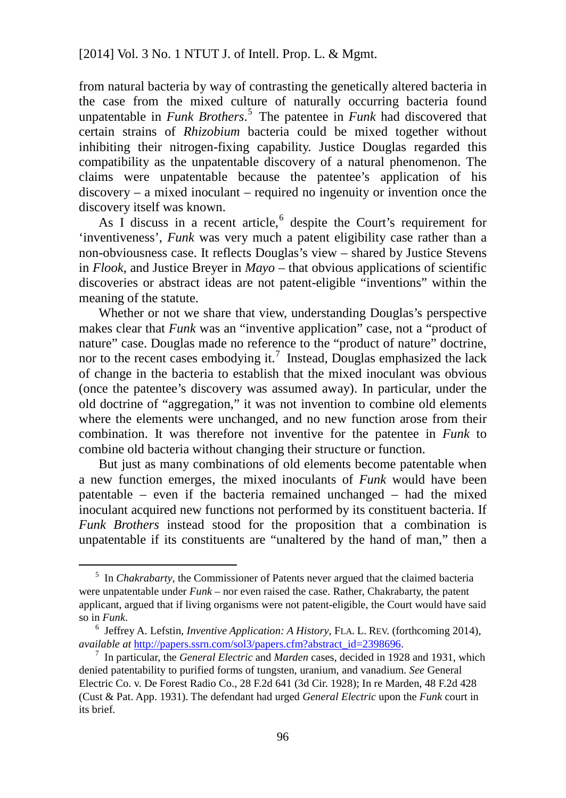from natural bacteria by way of contrasting the genetically altered bacteria in the case from the mixed culture of naturally occurring bacteria found unpatentable in *Funk Brothers*. [5](#page-102-0) The patentee in *Funk* had discovered that certain strains of *Rhizobium* bacteria could be mixed together without inhibiting their nitrogen-fixing capability. Justice Douglas regarded this compatibility as the unpatentable discovery of a natural phenomenon. The claims were unpatentable because the patentee's application of his discovery – a mixed inoculant – required no ingenuity or invention once the discovery itself was known.

As I discuss in a recent article,<sup>[6](#page-102-1)</sup> despite the Court's requirement for 'inventiveness', *Funk* was very much a patent eligibility case rather than a non-obviousness case. It reflects Douglas's view – shared by Justice Stevens in *Flook*, and Justice Breyer in *Mayo* – that obvious applications of scientific discoveries or abstract ideas are not patent-eligible "inventions" within the meaning of the statute.

Whether or not we share that view, understanding Douglas's perspective makes clear that *Funk* was an "inventive application" case, not a "product of nature" case. Douglas made no reference to the "product of nature" doctrine, nor to the recent cases embodying it.<sup>[7](#page-102-2)</sup> Instead, Douglas emphasized the lack of change in the bacteria to establish that the mixed inoculant was obvious (once the patentee's discovery was assumed away). In particular, under the old doctrine of "aggregation," it was not invention to combine old elements where the elements were unchanged, and no new function arose from their combination. It was therefore not inventive for the patentee in *Funk* to combine old bacteria without changing their structure or function.

But just as many combinations of old elements become patentable when a new function emerges, the mixed inoculants of *Funk* would have been patentable – even if the bacteria remained unchanged – had the mixed inoculant acquired new functions not performed by its constituent bacteria. If *Funk Brothers* instead stood for the proposition that a combination is unpatentable if its constituents are "unaltered by the hand of man," then a

j

<span id="page-102-0"></span><sup>5</sup> In *Chakrabarty*, the Commissioner of Patents never argued that the claimed bacteria were unpatentable under *Funk* – nor even raised the case. Rather, Chakrabarty, the patent applicant, argued that if living organisms were not patent-eligible, the Court would have said so in *Funk*.

<span id="page-102-1"></span><sup>6</sup> Jeffrey A. Lefstin, *Inventive Application: A History*, FLA. L. REV. (forthcoming 2014), *available at* [http://papers.ssrn.com/sol3/papers.cfm?abstract\\_id=2398696.](http://papers.ssrn.com/sol3/papers.cfm?abstract_id=2398696)<br><sup>7</sup> In particular, the *General Electric* and *Marden* cases, decided in 1928 and 1931, which

<span id="page-102-2"></span>denied patentability to purified forms of tungsten, uranium, and vanadium. *See* General Electric Co. v. De Forest Radio Co., 28 F.2d 641 (3d Cir. 1928); In re Marden, 48 F.2d 428 (Cust & Pat. App. 1931). The defendant had urged *General Electric* upon the *Funk* court in its brief.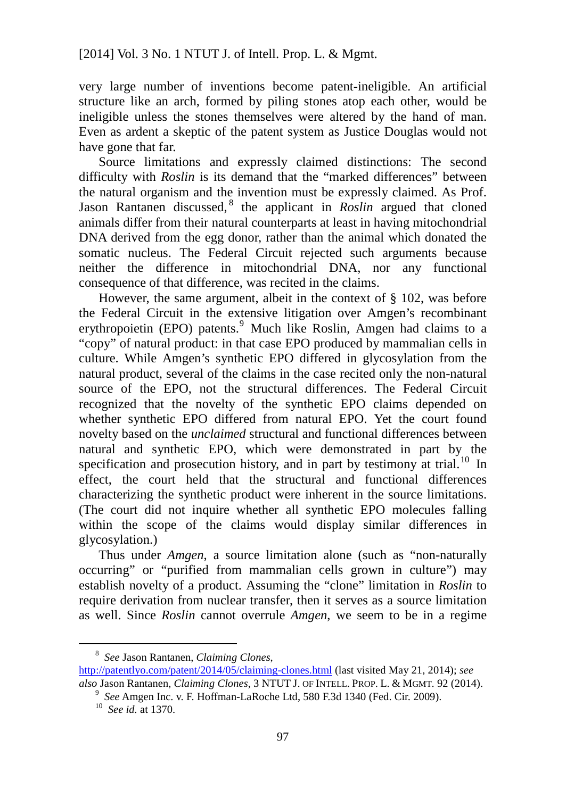very large number of inventions become patent-ineligible. An artificial structure like an arch, formed by piling stones atop each other, would be ineligible unless the stones themselves were altered by the hand of man. Even as ardent a skeptic of the patent system as Justice Douglas would not have gone that far.

Source limitations and expressly claimed distinctions: The second difficulty with *Roslin* is its demand that the "marked differences" between the natural organism and the invention must be expressly claimed. As Prof. Jason Rantanen discussed, [8](#page-103-0) the applicant in *Roslin* argued that cloned animals differ from their natural counterparts at least in having mitochondrial DNA derived from the egg donor, rather than the animal which donated the somatic nucleus. The Federal Circuit rejected such arguments because neither the difference in mitochondrial DNA, nor any functional consequence of that difference, was recited in the claims.

However, the same argument, albeit in the context of § 102, was before the Federal Circuit in the extensive litigation over Amgen's recombinant erythropoietin (EPO) patents.<sup>[9](#page-103-1)</sup> Much like Roslin, Amgen had claims to a "copy" of natural product: in that case EPO produced by mammalian cells in culture. While Amgen's synthetic EPO differed in glycosylation from the natural product, several of the claims in the case recited only the non-natural source of the EPO, not the structural differences. The Federal Circuit recognized that the novelty of the synthetic EPO claims depended on whether synthetic EPO differed from natural EPO. Yet the court found novelty based on the *unclaimed* structural and functional differences between natural and synthetic EPO, which were demonstrated in part by the specification and prosecution history, and in part by testimony at trial.<sup>[10](#page-103-2)</sup> In effect, the court held that the structural and functional differences characterizing the synthetic product were inherent in the source limitations. (The court did not inquire whether all synthetic EPO molecules falling within the scope of the claims would display similar differences in glycosylation.)

Thus under *Amgen*, a source limitation alone (such as "non-naturally occurring" or "purified from mammalian cells grown in culture") may establish novelty of a product. Assuming the "clone" limitation in *Roslin* to require derivation from nuclear transfer, then it serves as a source limitation as well. Since *Roslin* cannot overrule *Amgen*, we seem to be in a regime

j

<span id="page-103-1"></span><span id="page-103-0"></span><sup>8</sup> *See* Jason Rantanen, *Claiming Clones*, <http://patentlyo.com/patent/2014/05/claiming-clones.html> (last visited May 21, 2014); *see also* Jason Rantanen, *Claiming Clones*, 3 NTUT J. OF INTELL. PROP. L. & MGMT. 92 (2014).

<span id="page-103-2"></span><sup>9</sup> *See* Amgen Inc. v. F. Hoffman-LaRoche Ltd, 580 F.3d 1340 (Fed. Cir. 2009).

<sup>10</sup> *See id.* at 1370.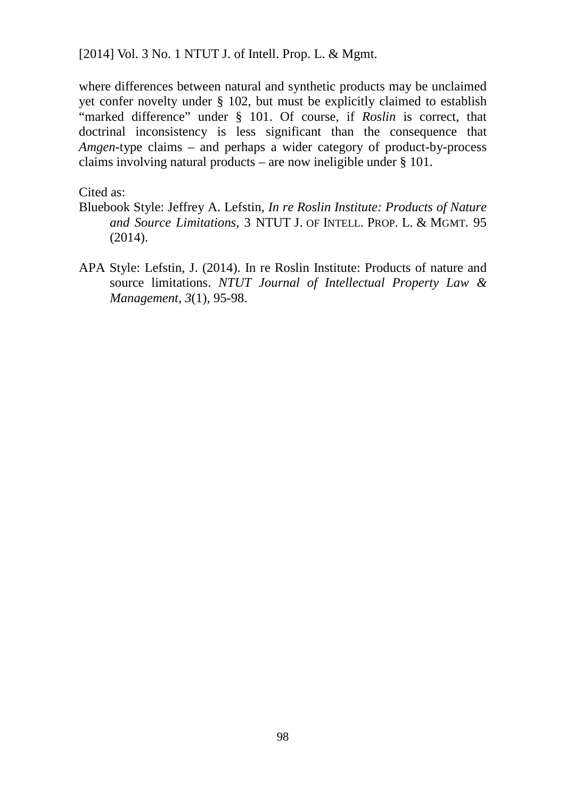where differences between natural and synthetic products may be unclaimed yet confer novelty under § 102, but must be explicitly claimed to establish "marked difference" under § 101. Of course, if *Roslin* is correct, that doctrinal inconsistency is less significant than the consequence that *Amgen*-type claims – and perhaps a wider category of product-by-process claims involving natural products – are now ineligible under § 101.

Cited as:

- Bluebook Style: Jeffrey A. Lefstin, *In re Roslin Institute: Products of Nature and Source Limitations*, 3 NTUT J. OF INTELL. PROP. L. & MGMT. 95 (2014).
- APA Style: Lefstin, J. (2014). In re Roslin Institute: Products of nature and source limitations. *NTUT Journal of Intellectual Property Law & Management, 3*(1), 95-98.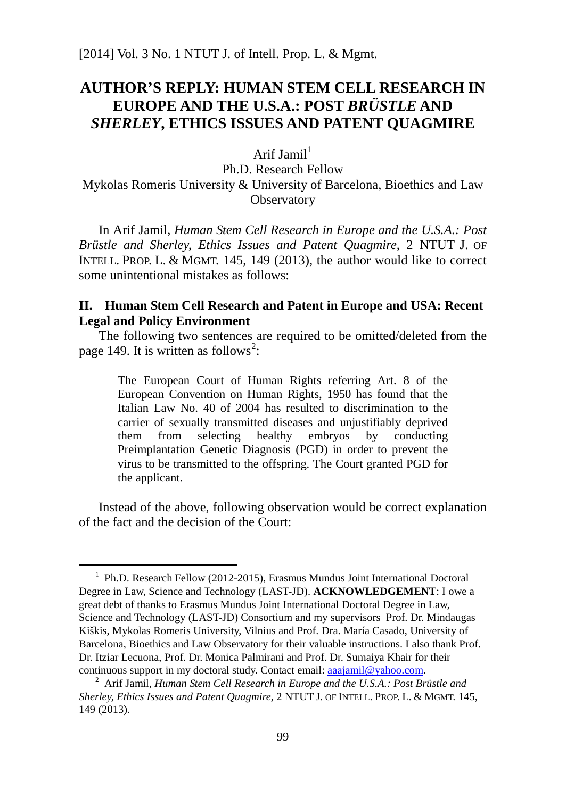# **AUTHOR'S REPLY: HUMAN STEM CELL RESEARCH IN EUROPE AND THE U.S.A.: POST** *BRÜSTLE* **AND**  *SHERLEY***, ETHICS ISSUES AND PATENT QUAGMIRE**

Arif Iamil<sup>[1](#page-105-0)</sup>

Ph.D. Research Fellow Mykolas Romeris University & [University of Barcelona, Bioethics and Law](http://www.pcb.ub.edu/bioeticaidret/index.php?option=com_content&task=view&id=236&Itemid=121&lang=en_UK)  **Observatory** 

In Arif Jamil, *Human Stem Cell Research in Europe and the U.S.A.: Post Brüstle and Sherley, Ethics Issues and Patent Quagmire*, 2 NTUT J. OF INTELL. PROP. L. & MGMT. 145, 149 (2013), the author would like to correct some unintentional mistakes as follows:

### **II. Human Stem Cell Research and Patent in Europe and USA: Recent Legal and Policy Environment**

The following two sentences are required to be omitted/deleted from the page 149. It is written as follows<sup>[2](#page-105-1)</sup>:

The European Court of Human Rights referring Art. 8 of the European Convention on Human Rights, 1950 has found that the Italian Law No. 40 of 2004 has resulted to discrimination to the carrier of sexually transmitted diseases and unjustifiably deprived them from selecting healthy embryos by conducting Preimplantation Genetic Diagnosis (PGD) in order to prevent the virus to be transmitted to the offspring. The Court granted PGD for the applicant.

Instead of the above, following observation would be correct explanation of the fact and the decision of the Court:

j

<span id="page-105-0"></span><sup>&</sup>lt;sup>1</sup> Ph.D. Research Fellow (2012-2015), Erasmus Mundus Joint International Doctoral Degree in Law, Science and Technology (LAST-JD). **ACKNOWLEDGEMENT**: I owe a great debt of thanks to Erasmus Mundus Joint International Doctoral Degree in Law, Science and Technology (LAST-JD) Consortium and my supervisors Prof. Dr. Mindaugas Kiškis, Mykolas Romeris University, Vilnius and Prof. Dra. María Casado, University of Barcelona, Bioethics and Law Observatory for their valuable instructions. I also thank Prof. Dr. Itziar Lecuona, Prof. Dr. Monica Palmirani and Prof. Dr. Sumaiya Khair for their continuous support in my doctoral study. Contact email: [aaajamil@yahoo.com.](mailto:aaajamil@yahoo.com) 2 Arif Jamil, *Human Stem Cell Research in Europe and the U.S.A.: Post Brüstle and* 

<span id="page-105-1"></span>*Sherley, Ethics Issues and Patent Quagmire*, 2 NTUT J. OF INTELL. PROP. L. & MGMT. 145, 149 (2013).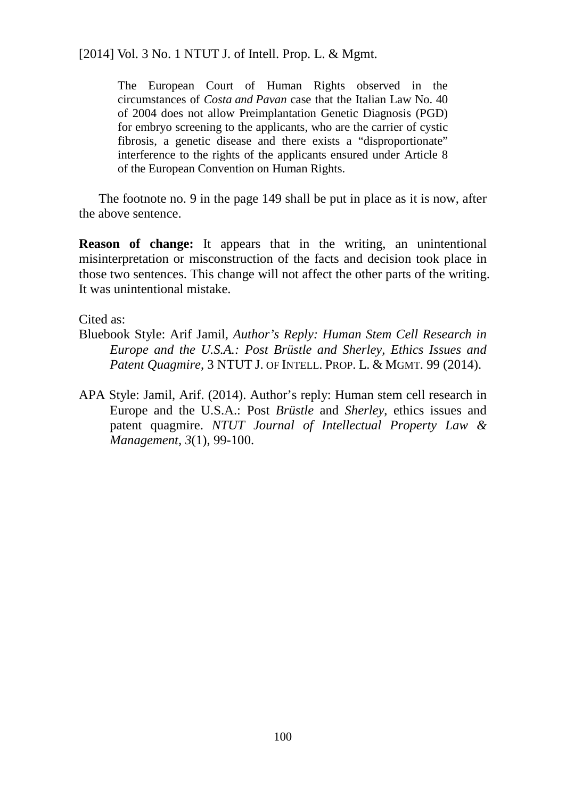The European Court of Human Rights observed in the circumstances of *Costa and Pavan* case that the Italian Law No. 40 of 2004 does not allow Preimplantation Genetic Diagnosis (PGD) for embryo screening to the applicants, who are the carrier of cystic fibrosis, a genetic disease and there exists a "disproportionate" interference to the rights of the applicants ensured under Article 8 of the European Convention on Human Rights.

The footnote no. 9 in the page 149 shall be put in place as it is now, after the above sentence.

**Reason of change:** It appears that in the writing, an unintentional misinterpretation or misconstruction of the facts and decision took place in those two sentences. This change will not affect the other parts of the writing. It was unintentional mistake.

Cited as:

- Bluebook Style: Arif Jamil, *Author's Reply: Human Stem Cell Research in Europe and the U.S.A.: Post Brüstle and Sherley, Ethics Issues and Patent Quagmire*, 3 NTUT J. OF INTELL. PROP. L. & MGMT. 99 (2014).
- APA Style: Jamil, Arif. (2014). Author's reply: Human stem cell research in Europe and the U.S.A.: Post *Brüstle* and *Sherley*, ethics issues and patent quagmire. *NTUT Journal of Intellectual Property Law & Management, 3*(1), 99-100.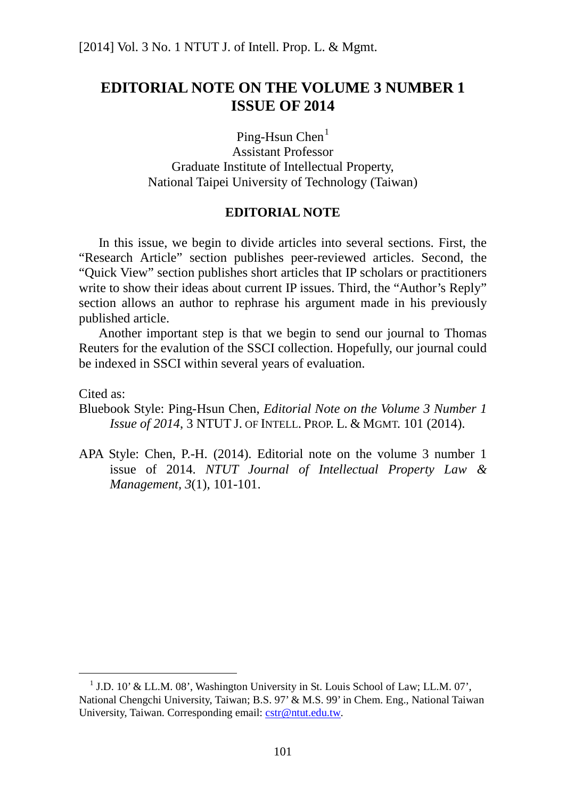# **EDITORIAL NOTE ON THE VOLUME 3 NUMBER 1 ISSUE OF 2014**

Ping-Hsun Chen $<sup>1</sup>$  $<sup>1</sup>$  $<sup>1</sup>$ </sup>

Assistant Professor Graduate Institute of Intellectual Property, National Taipei University of Technology (Taiwan)

## **EDITORIAL NOTE**

In this issue, we begin to divide articles into several sections. First, the "Research Article" section publishes peer-reviewed articles. Second, the "Quick View" section publishes short articles that IP scholars or practitioners write to show their ideas about current IP issues. Third, the "Author's Reply" section allows an author to rephrase his argument made in his previously published article.

Another important step is that we begin to send our journal to Thomas Reuters for the evalution of the SSCI collection. Hopefully, our journal could be indexed in SSCI within several years of evaluation.

Cited as:

Bluebook Style: Ping-Hsun Chen, *Editorial Note on the Volume 3 Number 1 Issue of 2014*, 3 NTUT J. OF INTELL. PROP. L. & MGMT. 101 (2014).

APA Style: Chen, P.-H. (2014). Editorial note on the volume 3 number 1 issue of 2014. *NTUT Journal of Intellectual Property Law & Management, 3*(1), 101-101.

<span id="page-107-0"></span> $1$  J.D. 10' & LL.M. 08', Washington University in St. Louis School of Law; LL.M. 07', National Chengchi University, Taiwan; B.S. 97' & M.S. 99' in Chem. Eng., National Taiwan University, Taiwan. Corresponding email: [cstr@ntut.edu.tw.](mailto:cstr@ntut.edu.tw)